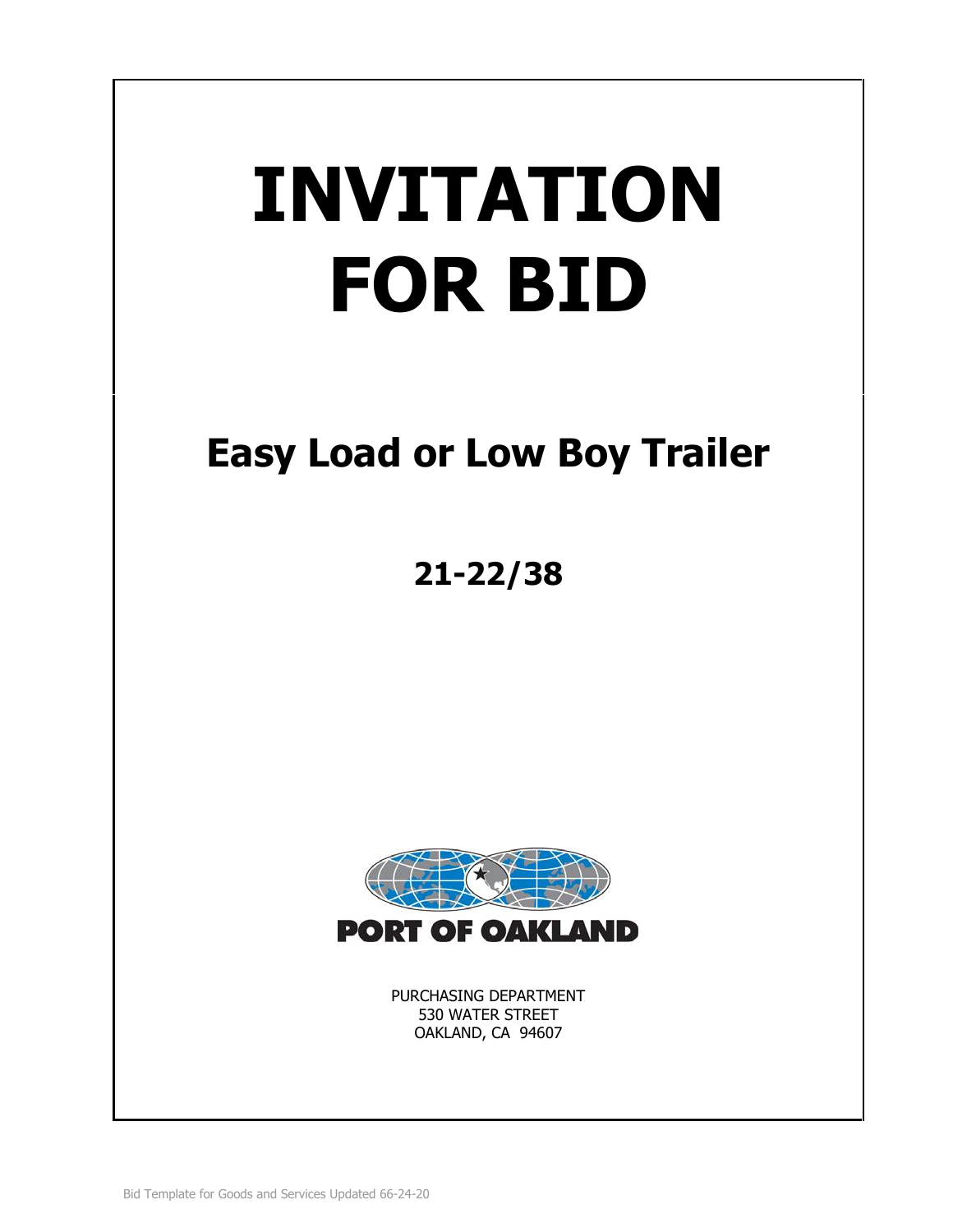# **INVITATION FOR BID**

# **Easy Load or Low Boy Trailer**

**21-22/38**



PURCHASING DEPARTMENT 530 WATER STREET OAKLAND, CA 94607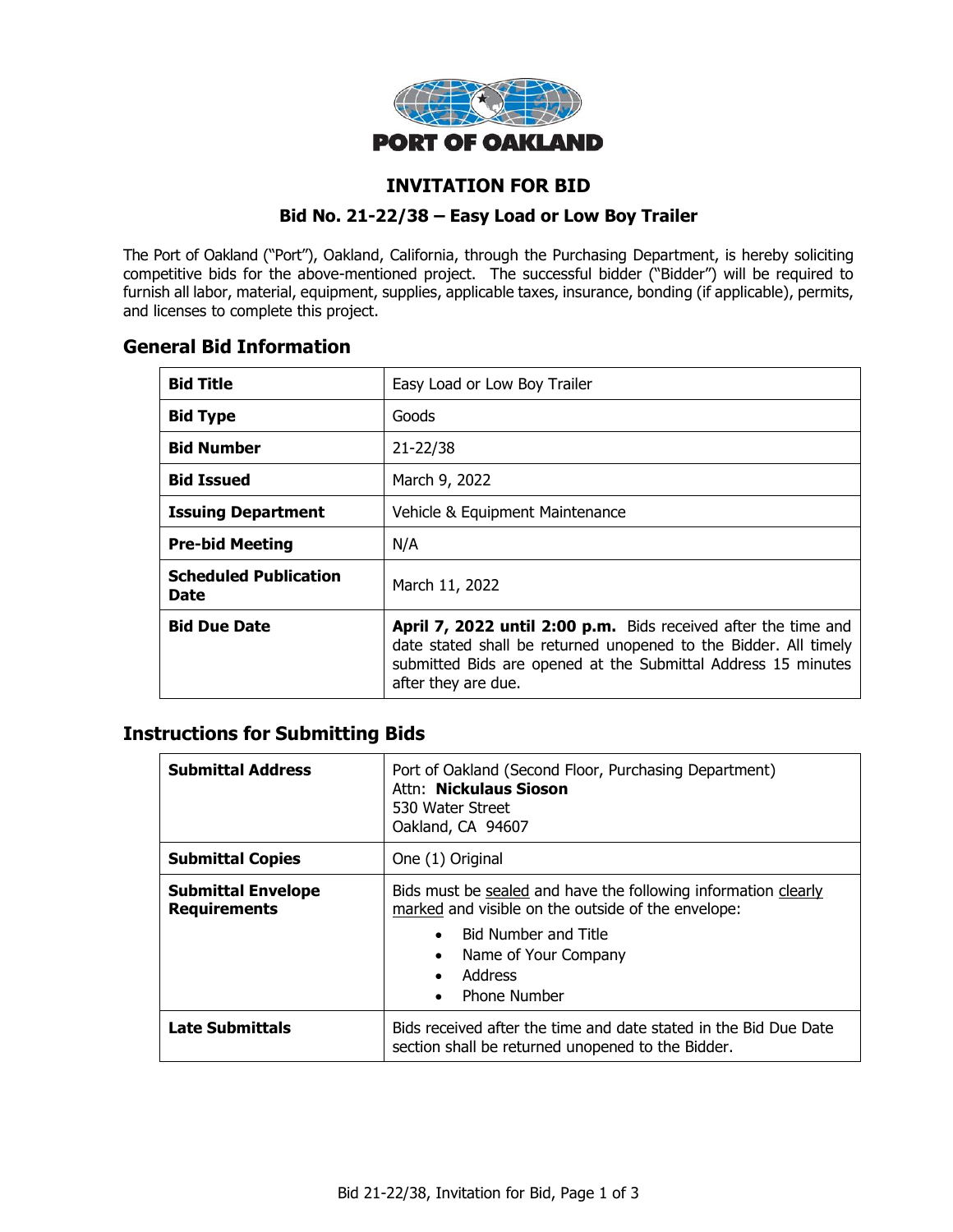

# **INVITATION FOR BID**

#### **Bid No. 21-22/38 – Easy Load or Low Boy Trailer**

The Port of Oakland ("Port"), Oakland, California, through the Purchasing Department, is hereby soliciting competitive bids for the above-mentioned project. The successful bidder ("Bidder") will be required to furnish all labor, material, equipment, supplies, applicable taxes, insurance, bonding (if applicable), permits, and licenses to complete this project.

# **General Bid Information**

| <b>Bid Title</b>                     | Easy Load or Low Boy Trailer                                                                                                                                                                                               |
|--------------------------------------|----------------------------------------------------------------------------------------------------------------------------------------------------------------------------------------------------------------------------|
| <b>Bid Type</b>                      | Goods                                                                                                                                                                                                                      |
| <b>Bid Number</b>                    | $21 - 22/38$                                                                                                                                                                                                               |
| <b>Bid Issued</b>                    | March 9, 2022                                                                                                                                                                                                              |
| <b>Issuing Department</b>            | Vehicle & Equipment Maintenance                                                                                                                                                                                            |
| <b>Pre-bid Meeting</b>               | N/A                                                                                                                                                                                                                        |
| <b>Scheduled Publication</b><br>Date | March 11, 2022                                                                                                                                                                                                             |
| <b>Bid Due Date</b>                  | April 7, 2022 until 2:00 p.m. Bids received after the time and<br>date stated shall be returned unopened to the Bidder. All timely<br>submitted Bids are opened at the Submittal Address 15 minutes<br>after they are due. |

# **Instructions for Submitting Bids**

| <b>Submittal Address</b>                         | Port of Oakland (Second Floor, Purchasing Department)<br>Attn: Nickulaus Sioson<br>530 Water Street<br>Oakland, CA 94607                                                                                                                                          |  |
|--------------------------------------------------|-------------------------------------------------------------------------------------------------------------------------------------------------------------------------------------------------------------------------------------------------------------------|--|
| <b>Submittal Copies</b>                          | One (1) Original                                                                                                                                                                                                                                                  |  |
| <b>Submittal Envelope</b><br><b>Requirements</b> | Bids must be sealed and have the following information clearly<br>marked and visible on the outside of the envelope:<br><b>Bid Number and Title</b><br>$\bullet$<br>Name of Your Company<br>$\bullet$<br>Address<br>$\bullet$<br><b>Phone Number</b><br>$\bullet$ |  |
| <b>Late Submittals</b>                           | Bids received after the time and date stated in the Bid Due Date<br>section shall be returned unopened to the Bidder.                                                                                                                                             |  |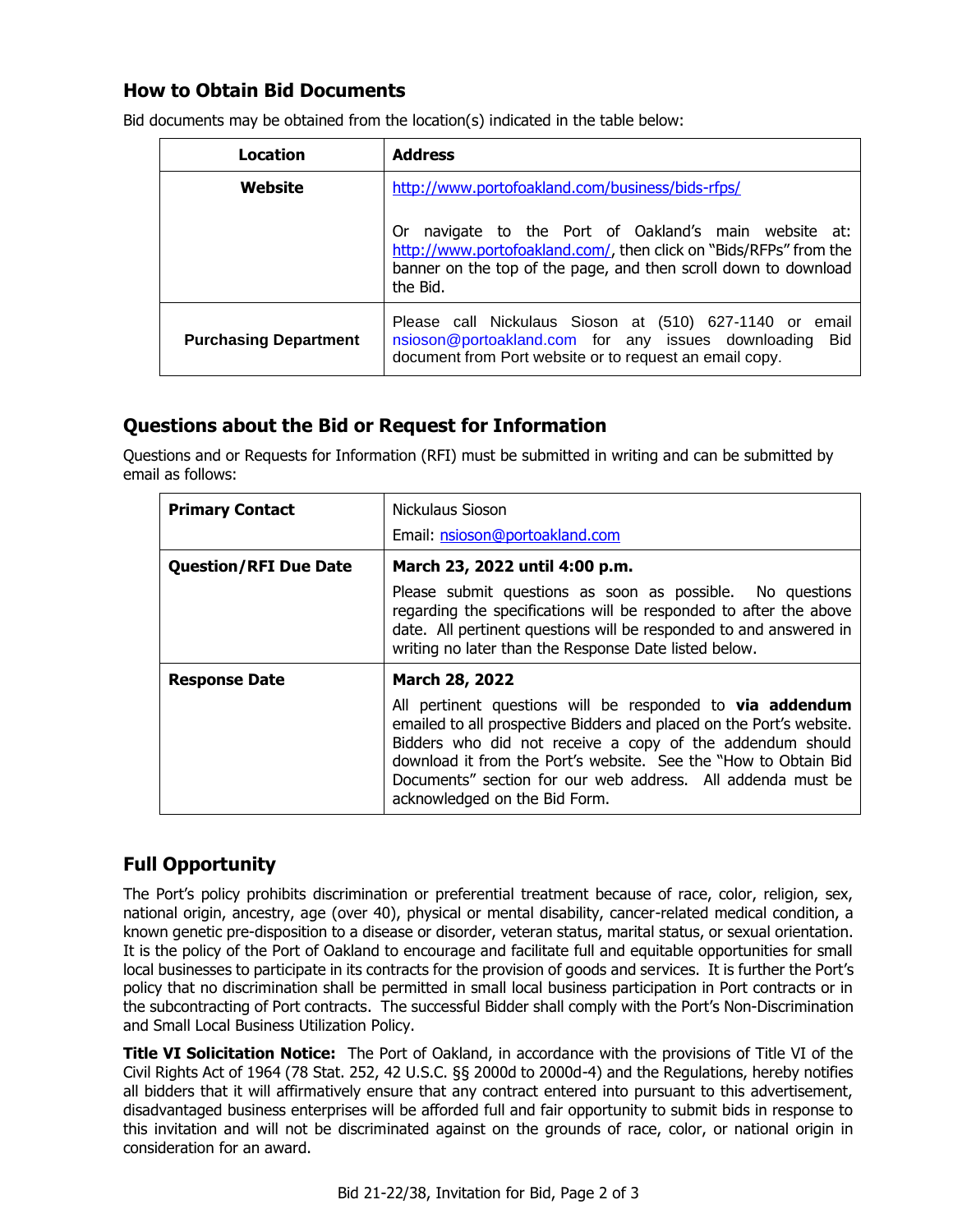# **How to Obtain Bid Documents**

| Location                     | <b>Address</b>                                                                                                                                                                                               |  |
|------------------------------|--------------------------------------------------------------------------------------------------------------------------------------------------------------------------------------------------------------|--|
| Website                      | http://www.portofoakland.com/business/bids-rfps/                                                                                                                                                             |  |
|                              | navigate to the Port of Oakland's main website at:<br>0r<br>http://www.portofoakland.com/, then click on "Bids/RFPs" from the<br>banner on the top of the page, and then scroll down to download<br>the Bid. |  |
| <b>Purchasing Department</b> | Please call Nickulaus Sioson at (510) 627-1140 or email<br>nsioson@portoakland.com for any issues downloading<br>Bid<br>document from Port website or to request an email copy.                              |  |

Bid documents may be obtained from the location(s) indicated in the table below:

# **Questions about the Bid or Request for Information**

Questions and or Requests for Information (RFI) must be submitted in writing and can be submitted by email as follows:

| <b>Primary Contact</b>       | Nickulaus Sioson                                                                                                                                                                                                                                                                                                                                                         |  |
|------------------------------|--------------------------------------------------------------------------------------------------------------------------------------------------------------------------------------------------------------------------------------------------------------------------------------------------------------------------------------------------------------------------|--|
|                              | Email: nsioson@portoakland.com                                                                                                                                                                                                                                                                                                                                           |  |
| <b>Question/RFI Due Date</b> | March 23, 2022 until 4:00 p.m.                                                                                                                                                                                                                                                                                                                                           |  |
|                              | Please submit questions as soon as possible. No questions<br>regarding the specifications will be responded to after the above<br>date. All pertinent questions will be responded to and answered in<br>writing no later than the Response Date listed below.                                                                                                            |  |
| <b>Response Date</b>         | March 28, 2022                                                                                                                                                                                                                                                                                                                                                           |  |
|                              | All pertinent questions will be responded to <b>via addendum</b><br>emailed to all prospective Bidders and placed on the Port's website.<br>Bidders who did not receive a copy of the addendum should<br>download it from the Port's website. See the "How to Obtain Bid<br>Documents" section for our web address. All addenda must be<br>acknowledged on the Bid Form. |  |

# **Full Opportunity**

The Port's policy prohibits discrimination or preferential treatment because of race, color, religion, sex, national origin, ancestry, age (over 40), physical or mental disability, cancer-related medical condition, a known genetic pre-disposition to a disease or disorder, veteran status, marital status, or sexual orientation. It is the policy of the Port of Oakland to encourage and facilitate full and equitable opportunities for small local businesses to participate in its contracts for the provision of goods and services. It is further the Port's policy that no discrimination shall be permitted in small local business participation in Port contracts or in the subcontracting of Port contracts. The successful Bidder shall comply with the Port's Non-Discrimination and Small Local Business Utilization Policy.

**Title VI Solicitation Notice:** The Port of Oakland, in accordance with the provisions of Title VI of the Civil Rights Act of 1964 (78 Stat. 252, 42 U.S.C. §§ 2000d to 2000d-4) and the Regulations, hereby notifies all bidders that it will affirmatively ensure that any contract entered into pursuant to this advertisement, disadvantaged business enterprises will be afforded full and fair opportunity to submit bids in response to this invitation and will not be discriminated against on the grounds of race, color, or national origin in consideration for an award.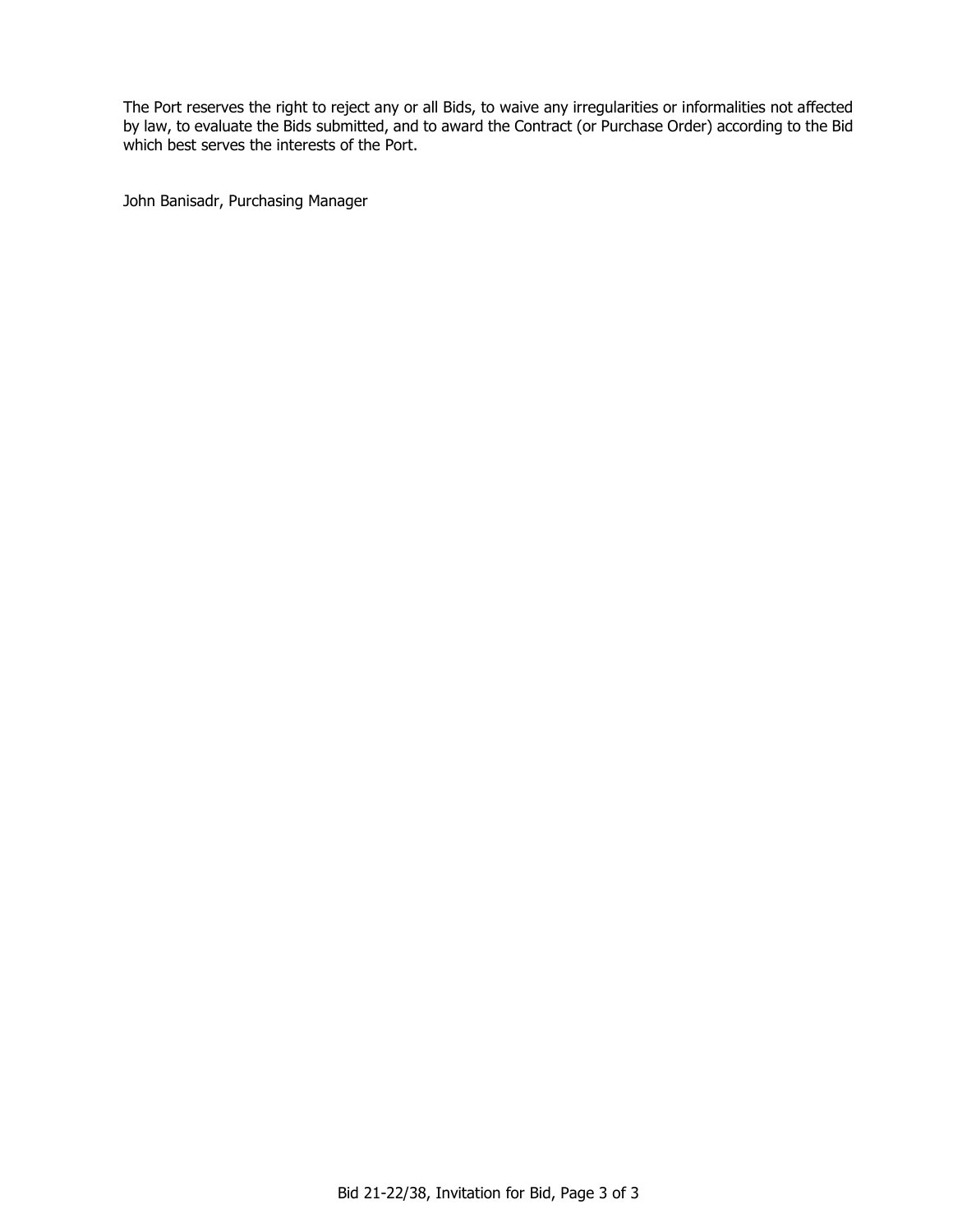The Port reserves the right to reject any or all Bids, to waive any irregularities or informalities not affected by law, to evaluate the Bids submitted, and to award the Contract (or Purchase Order) according to the Bid which best serves the interests of the Port.

John Banisadr, Purchasing Manager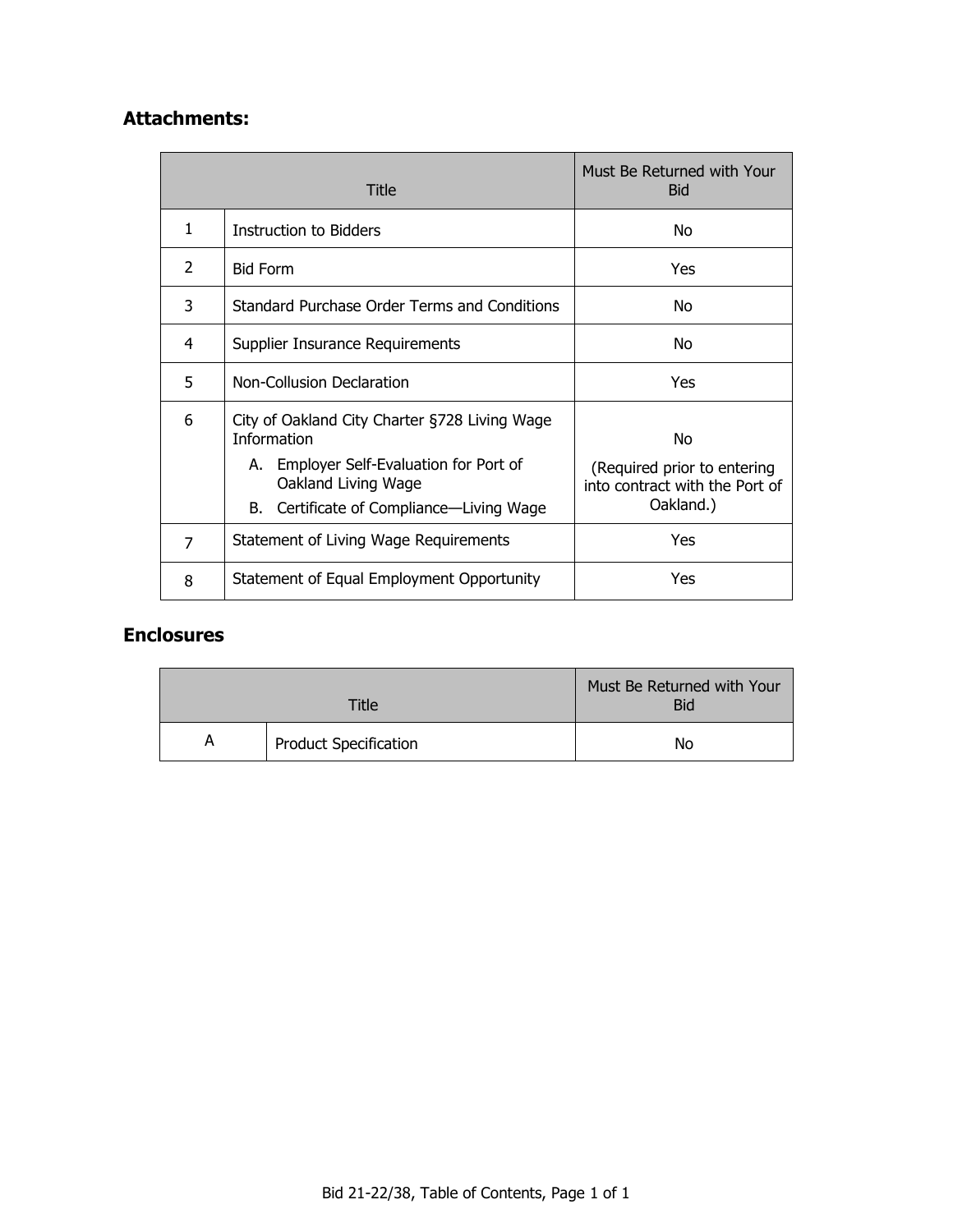# **Attachments:**

| Title          |                                                                                                                                       | Must Be Returned with Your<br><b>Bid</b>                            |
|----------------|---------------------------------------------------------------------------------------------------------------------------------------|---------------------------------------------------------------------|
| 1              | Instruction to Bidders                                                                                                                | No                                                                  |
| 2              | <b>Bid Form</b>                                                                                                                       | Yes                                                                 |
| 3              | Standard Purchase Order Terms and Conditions                                                                                          | No                                                                  |
| 4              | Supplier Insurance Requirements                                                                                                       | No                                                                  |
| 5              | Non-Collusion Declaration                                                                                                             | Yes                                                                 |
| 6              | City of Oakland City Charter §728 Living Wage<br><b>Information</b><br>A. Employer Self-Evaluation for Port of<br>Oakland Living Wage | No<br>(Required prior to entering<br>into contract with the Port of |
|                | Certificate of Compliance-Living Wage<br>B.                                                                                           | Oakland.)                                                           |
| $\overline{7}$ | Statement of Living Wage Requirements                                                                                                 | Yes                                                                 |
| 8              | Statement of Equal Employment Opportunity                                                                                             | Yes                                                                 |

# **Enclosures**

| <b>Title</b> |                              | Must Be Returned with Your<br><b>Bid</b> |
|--------------|------------------------------|------------------------------------------|
| A            | <b>Product Specification</b> | No                                       |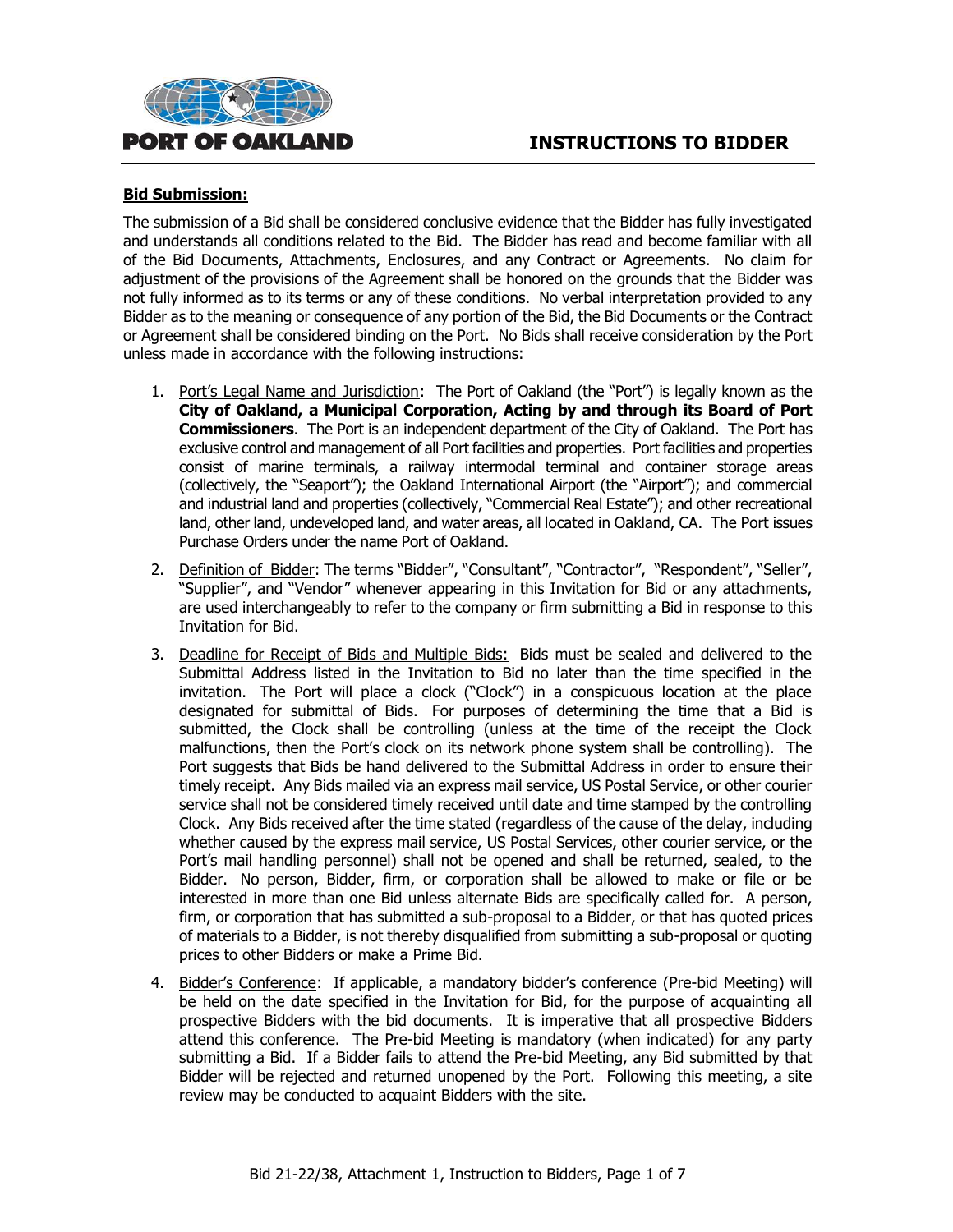



#### **Bid Submission:**

The submission of a Bid shall be considered conclusive evidence that the Bidder has fully investigated and understands all conditions related to the Bid. The Bidder has read and become familiar with all of the Bid Documents, Attachments, Enclosures, and any Contract or Agreements. No claim for adjustment of the provisions of the Agreement shall be honored on the grounds that the Bidder was not fully informed as to its terms or any of these conditions. No verbal interpretation provided to any Bidder as to the meaning or consequence of any portion of the Bid, the Bid Documents or the Contract or Agreement shall be considered binding on the Port. No Bids shall receive consideration by the Port unless made in accordance with the following instructions:

- 1. Port's Legal Name and Jurisdiction: The Port of Oakland (the "Port") is legally known as the **City of Oakland, a Municipal Corporation, Acting by and through its Board of Port Commissioners**. The Port is an independent department of the City of Oakland. The Port has exclusive control and management of all Port facilities and properties. Port facilities and properties consist of marine terminals, a railway intermodal terminal and container storage areas (collectively, the "Seaport"); the Oakland International Airport (the "Airport"); and commercial and industrial land and properties (collectively, "Commercial Real Estate"); and other recreational land, other land, undeveloped land, and water areas, all located in Oakland, CA. The Port issues Purchase Orders under the name Port of Oakland.
- 2. Definition of Bidder: The terms "Bidder", "Consultant", "Contractor", "Respondent", "Seller", "Supplier", and "Vendor" whenever appearing in this Invitation for Bid or any attachments, are used interchangeably to refer to the company or firm submitting a Bid in response to this Invitation for Bid.
- 3. Deadline for Receipt of Bids and Multiple Bids: Bids must be sealed and delivered to the Submittal Address listed in the Invitation to Bid no later than the time specified in the invitation. The Port will place a clock ("Clock") in a conspicuous location at the place designated for submittal of Bids. For purposes of determining the time that a Bid is submitted, the Clock shall be controlling (unless at the time of the receipt the Clock malfunctions, then the Port's clock on its network phone system shall be controlling). The Port suggests that Bids be hand delivered to the Submittal Address in order to ensure their timely receipt. Any Bids mailed via an express mail service, US Postal Service, or other courier service shall not be considered timely received until date and time stamped by the controlling Clock. Any Bids received after the time stated (regardless of the cause of the delay, including whether caused by the express mail service, US Postal Services, other courier service, or the Port's mail handling personnel) shall not be opened and shall be returned, sealed, to the Bidder. No person, Bidder, firm, or corporation shall be allowed to make or file or be interested in more than one Bid unless alternate Bids are specifically called for. A person, firm, or corporation that has submitted a sub-proposal to a Bidder, or that has quoted prices of materials to a Bidder, is not thereby disqualified from submitting a sub-proposal or quoting prices to other Bidders or make a Prime Bid.
- 4. Bidder's Conference: If applicable, a mandatory bidder's conference (Pre-bid Meeting) will be held on the date specified in the Invitation for Bid, for the purpose of acquainting all prospective Bidders with the bid documents. It is imperative that all prospective Bidders attend this conference. The Pre-bid Meeting is mandatory (when indicated) for any party submitting a Bid. If a Bidder fails to attend the Pre-bid Meeting, any Bid submitted by that Bidder will be rejected and returned unopened by the Port. Following this meeting, a site review may be conducted to acquaint Bidders with the site.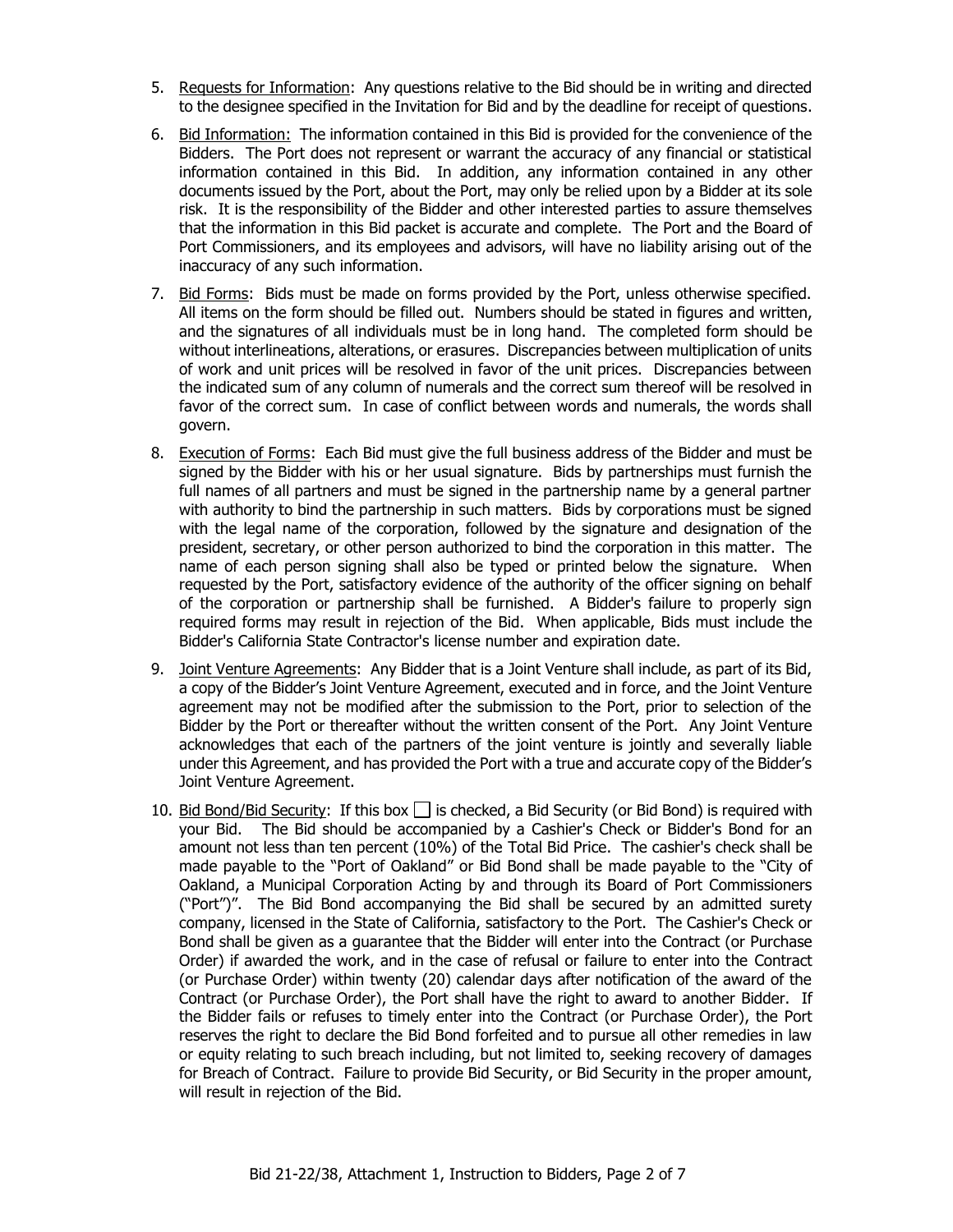- 5. Requests for Information: Any questions relative to the Bid should be in writing and directed to the designee specified in the Invitation for Bid and by the deadline for receipt of questions.
- 6. Bid Information: The information contained in this Bid is provided for the convenience of the Bidders. The Port does not represent or warrant the accuracy of any financial or statistical information contained in this Bid. In addition, any information contained in any other documents issued by the Port, about the Port, may only be relied upon by a Bidder at its sole risk. It is the responsibility of the Bidder and other interested parties to assure themselves that the information in this Bid packet is accurate and complete. The Port and the Board of Port Commissioners, and its employees and advisors, will have no liability arising out of the inaccuracy of any such information.
- 7. Bid Forms: Bids must be made on forms provided by the Port, unless otherwise specified. All items on the form should be filled out. Numbers should be stated in figures and written, and the signatures of all individuals must be in long hand. The completed form should be without interlineations, alterations, or erasures. Discrepancies between multiplication of units of work and unit prices will be resolved in favor of the unit prices. Discrepancies between the indicated sum of any column of numerals and the correct sum thereof will be resolved in favor of the correct sum. In case of conflict between words and numerals, the words shall govern.
- 8. Execution of Forms: Each Bid must give the full business address of the Bidder and must be signed by the Bidder with his or her usual signature. Bids by partnerships must furnish the full names of all partners and must be signed in the partnership name by a general partner with authority to bind the partnership in such matters. Bids by corporations must be signed with the legal name of the corporation, followed by the signature and designation of the president, secretary, or other person authorized to bind the corporation in this matter. The name of each person signing shall also be typed or printed below the signature. When requested by the Port, satisfactory evidence of the authority of the officer signing on behalf of the corporation or partnership shall be furnished. A Bidder's failure to properly sign required forms may result in rejection of the Bid. When applicable, Bids must include the Bidder's California State Contractor's license number and expiration date.
- 9. Joint Venture Agreements: Any Bidder that is a Joint Venture shall include, as part of its Bid, a copy of the Bidder's Joint Venture Agreement, executed and in force, and the Joint Venture agreement may not be modified after the submission to the Port, prior to selection of the Bidder by the Port or thereafter without the written consent of the Port. Any Joint Venture acknowledges that each of the partners of the joint venture is jointly and severally liable under this Agreement, and has provided the Port with a true and accurate copy of the Bidder's Joint Venture Agreement.
- 10. Bid Bond/Bid Security: If this box  $\Box$  is checked, a Bid Security (or Bid Bond) is required with your Bid. The Bid should be accompanied by a Cashier's Check or Bidder's Bond for an amount not less than ten percent (10%) of the Total Bid Price. The cashier's check shall be made payable to the "Port of Oakland" or Bid Bond shall be made payable to the "City of Oakland, a Municipal Corporation Acting by and through its Board of Port Commissioners ("Port")". The Bid Bond accompanying the Bid shall be secured by an admitted surety company, licensed in the State of California, satisfactory to the Port. The Cashier's Check or Bond shall be given as a guarantee that the Bidder will enter into the Contract (or Purchase Order) if awarded the work, and in the case of refusal or failure to enter into the Contract (or Purchase Order) within twenty (20) calendar days after notification of the award of the Contract (or Purchase Order), the Port shall have the right to award to another Bidder. If the Bidder fails or refuses to timely enter into the Contract (or Purchase Order), the Port reserves the right to declare the Bid Bond forfeited and to pursue all other remedies in law or equity relating to such breach including, but not limited to, seeking recovery of damages for Breach of Contract. Failure to provide Bid Security, or Bid Security in the proper amount, will result in rejection of the Bid.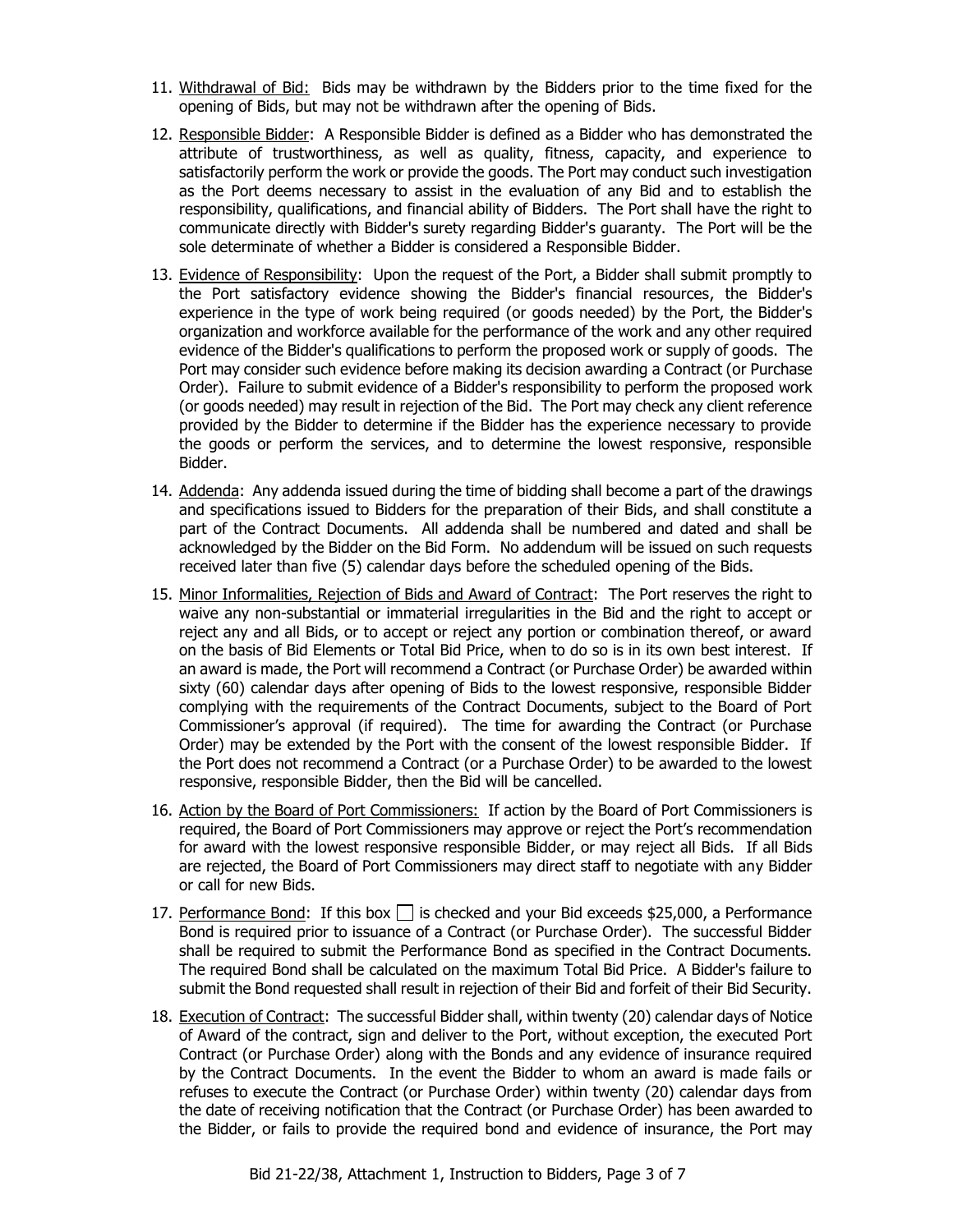- 11. Withdrawal of Bid: Bids may be withdrawn by the Bidders prior to the time fixed for the opening of Bids, but may not be withdrawn after the opening of Bids.
- 12. Responsible Bidder: A Responsible Bidder is defined as a Bidder who has demonstrated the attribute of trustworthiness, as well as quality, fitness, capacity, and experience to satisfactorily perform the work or provide the goods. The Port may conduct such investigation as the Port deems necessary to assist in the evaluation of any Bid and to establish the responsibility, qualifications, and financial ability of Bidders. The Port shall have the right to communicate directly with Bidder's surety regarding Bidder's guaranty. The Port will be the sole determinate of whether a Bidder is considered a Responsible Bidder.
- 13. Evidence of Responsibility: Upon the request of the Port, a Bidder shall submit promptly to the Port satisfactory evidence showing the Bidder's financial resources, the Bidder's experience in the type of work being required (or goods needed) by the Port, the Bidder's organization and workforce available for the performance of the work and any other required evidence of the Bidder's qualifications to perform the proposed work or supply of goods. The Port may consider such evidence before making its decision awarding a Contract (or Purchase Order). Failure to submit evidence of a Bidder's responsibility to perform the proposed work (or goods needed) may result in rejection of the Bid. The Port may check any client reference provided by the Bidder to determine if the Bidder has the experience necessary to provide the goods or perform the services, and to determine the lowest responsive, responsible Bidder.
- 14. Addenda: Any addenda issued during the time of bidding shall become a part of the drawings and specifications issued to Bidders for the preparation of their Bids, and shall constitute a part of the Contract Documents. All addenda shall be numbered and dated and shall be acknowledged by the Bidder on the Bid Form. No addendum will be issued on such requests received later than five (5) calendar days before the scheduled opening of the Bids.
- 15. Minor Informalities, Rejection of Bids and Award of Contract: The Port reserves the right to waive any non-substantial or immaterial irregularities in the Bid and the right to accept or reject any and all Bids, or to accept or reject any portion or combination thereof, or award on the basis of Bid Elements or Total Bid Price, when to do so is in its own best interest. If an award is made, the Port will recommend a Contract (or Purchase Order) be awarded within sixty (60) calendar days after opening of Bids to the lowest responsive, responsible Bidder complying with the requirements of the Contract Documents, subject to the Board of Port Commissioner's approval (if required). The time for awarding the Contract (or Purchase Order) may be extended by the Port with the consent of the lowest responsible Bidder. If the Port does not recommend a Contract (or a Purchase Order) to be awarded to the lowest responsive, responsible Bidder, then the Bid will be cancelled.
- 16. Action by the Board of Port Commissioners: If action by the Board of Port Commissioners is required, the Board of Port Commissioners may approve or reject the Port's recommendation for award with the lowest responsive responsible Bidder, or may reject all Bids. If all Bids are rejected, the Board of Port Commissioners may direct staff to negotiate with any Bidder or call for new Bids.
- 17. Performance Bond: If this box  $\Box$  is checked and your Bid exceeds \$25,000, a Performance Bond is required prior to issuance of a Contract (or Purchase Order). The successful Bidder shall be required to submit the Performance Bond as specified in the Contract Documents. The required Bond shall be calculated on the maximum Total Bid Price. A Bidder's failure to submit the Bond requested shall result in rejection of their Bid and forfeit of their Bid Security.
- 18. Execution of Contract: The successful Bidder shall, within twenty (20) calendar days of Notice of Award of the contract, sign and deliver to the Port, without exception, the executed Port Contract (or Purchase Order) along with the Bonds and any evidence of insurance required by the Contract Documents. In the event the Bidder to whom an award is made fails or refuses to execute the Contract (or Purchase Order) within twenty (20) calendar days from the date of receiving notification that the Contract (or Purchase Order) has been awarded to the Bidder, or fails to provide the required bond and evidence of insurance, the Port may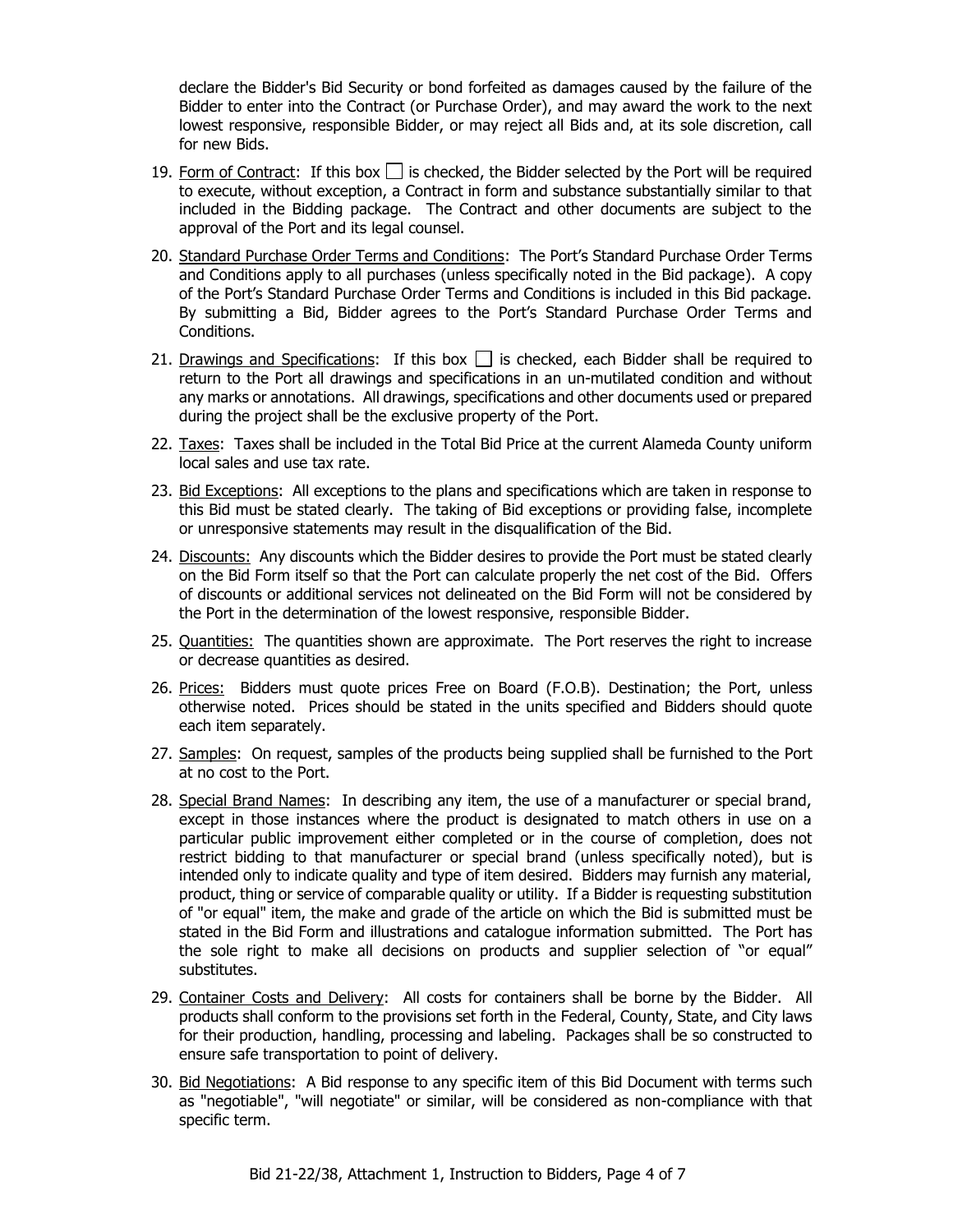declare the Bidder's Bid Security or bond forfeited as damages caused by the failure of the Bidder to enter into the Contract (or Purchase Order), and may award the work to the next lowest responsive, responsible Bidder, or may reject all Bids and, at its sole discretion, call for new Bids.

- 19. Form of Contract: If this box  $\Box$  is checked, the Bidder selected by the Port will be required to execute, without exception, a Contract in form and substance substantially similar to that included in the Bidding package. The Contract and other documents are subject to the approval of the Port and its legal counsel.
- 20. Standard Purchase Order Terms and Conditions: The Port's Standard Purchase Order Terms and Conditions apply to all purchases (unless specifically noted in the Bid package). A copy of the Port's Standard Purchase Order Terms and Conditions is included in this Bid package. By submitting a Bid, Bidder agrees to the Port's Standard Purchase Order Terms and Conditions.
- 21. Drawings and Specifications: If this box  $\Box$  is checked, each Bidder shall be required to return to the Port all drawings and specifications in an un-mutilated condition and without any marks or annotations. All drawings, specifications and other documents used or prepared during the project shall be the exclusive property of the Port.
- 22. Taxes: Taxes shall be included in the Total Bid Price at the current Alameda County uniform local sales and use tax rate.
- 23. Bid Exceptions: All exceptions to the plans and specifications which are taken in response to this Bid must be stated clearly. The taking of Bid exceptions or providing false, incomplete or unresponsive statements may result in the disqualification of the Bid.
- 24. Discounts: Any discounts which the Bidder desires to provide the Port must be stated clearly on the Bid Form itself so that the Port can calculate properly the net cost of the Bid. Offers of discounts or additional services not delineated on the Bid Form will not be considered by the Port in the determination of the lowest responsive, responsible Bidder.
- 25. Quantities: The quantities shown are approximate. The Port reserves the right to increase or decrease quantities as desired.
- 26. Prices: Bidders must quote prices Free on Board (F.O.B). Destination; the Port, unless otherwise noted. Prices should be stated in the units specified and Bidders should quote each item separately.
- 27. Samples: On request, samples of the products being supplied shall be furnished to the Port at no cost to the Port.
- 28. Special Brand Names: In describing any item, the use of a manufacturer or special brand, except in those instances where the product is designated to match others in use on a particular public improvement either completed or in the course of completion, does not restrict bidding to that manufacturer or special brand (unless specifically noted), but is intended only to indicate quality and type of item desired. Bidders may furnish any material, product, thing or service of comparable quality or utility. If a Bidder is requesting substitution of "or equal" item, the make and grade of the article on which the Bid is submitted must be stated in the Bid Form and illustrations and catalogue information submitted. The Port has the sole right to make all decisions on products and supplier selection of "or equal" substitutes.
- 29. Container Costs and Delivery: All costs for containers shall be borne by the Bidder. All products shall conform to the provisions set forth in the Federal, County, State, and City laws for their production, handling, processing and labeling. Packages shall be so constructed to ensure safe transportation to point of delivery.
- 30. Bid Negotiations: A Bid response to any specific item of this Bid Document with terms such as "negotiable", "will negotiate" or similar, will be considered as non-compliance with that specific term.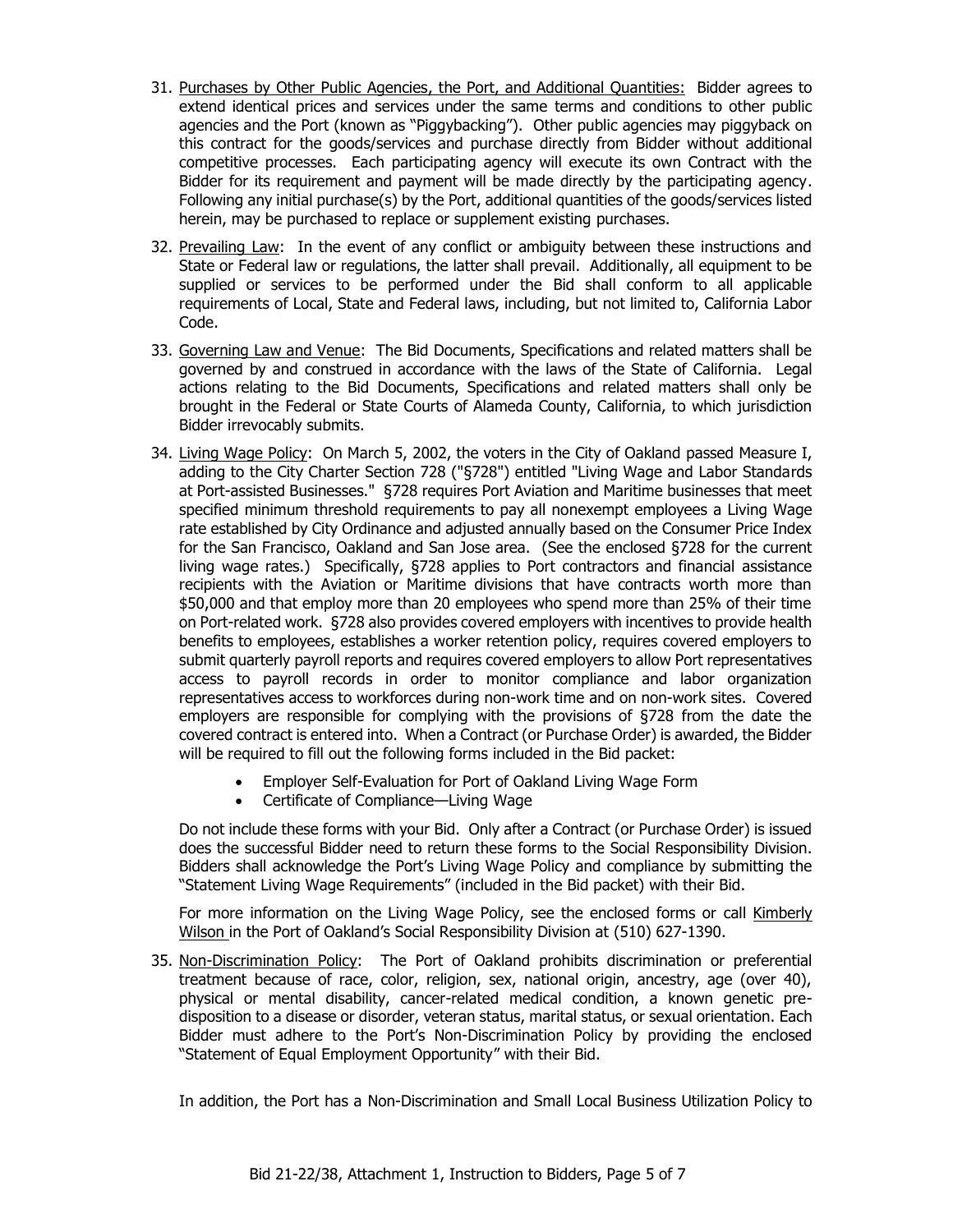- 31. Purchases by Other Public Agencies, the Port, and Additional Quantities: Bidder agrees to extend identical prices and services under the same terms and conditions to other public agencies and the Port (known as "Piggybacking"). Other public agencies may piggyback on this contract for the goods/services and purchase directly from Bidder without additional competitive processes. Each participating agency will execute its own Contract with the Bidder for its requirement and payment will be made directly by the participating agency. Following any initial purchase(s) by the Port, additional quantities of the goods/services listed herein, may be purchased to replace or supplement existing purchases.
- 32. Prevailing Law: In the event of any conflict or ambiguity between these instructions and State or Federal law or regulations, the latter shall prevail. Additionally, all equipment to be supplied or services to be performed under the Bid shall conform to all applicable requirements of Local, State and Federal laws, including, but not limited to, California Labor Code.
- 33. Governing Law and Venue: The Bid Documents, Specifications and related matters shall be governed by and construed in accordance with the laws of the State of California. Legal actions relating to the Bid Documents, Specifications and related matters shall only be brought in the Federal or State Courts of Alameda County, California, to which jurisdiction Bidder irrevocably submits.
- 34. Living Wage Policy: On March 5, 2002, the voters in the City of Oakland passed Measure I, adding to the City Charter Section 728 ("§728") entitled "Living Wage and Labor Standards at Port-assisted Businesses." §728 requires Port Aviation and Maritime businesses that meet specified minimum threshold requirements to pay all nonexempt employees a Living Wage rate established by City Ordinance and adjusted annually based on the Consumer Price Index for the San Francisco, Oakland and San Jose area. (See the enclosed §728 for the current living wage rates.) Specifically, §728 applies to Port contractors and financial assistance recipients with the Aviation or Maritime divisions that have contracts worth more than \$50,000 and that employ more than 20 employees who spend more than 25% of their time on Port-related work. §728 also provides covered employers with incentives to provide health benefits to employees, establishes a worker retention policy, requires covered employers to submit quarterly payroll reports and requires covered employers to allow Port representatives access to payroll records in order to monitor compliance and labor organization representatives access to workforces during non-work time and on non-work sites. Covered employers are responsible for complying with the provisions of §728 from the date the covered contract is entered into. When a Contract (or Purchase Order) is awarded, the Bidder will be required to fill out the following forms included in the Bid packet:
	- Employer Self-Evaluation for Port of Oakland Living Wage Form
	- Certificate of Compliance—Living Wage

Do not include these forms with your Bid. Only after a Contract (or Purchase Order) is issued does the successful Bidder need to return these forms to the Social Responsibility Division. Bidders shall acknowledge the Port's Living Wage Policy and compliance by submitting the "Statement Living Wage Requirements" (included in the Bid packet) with their Bid.

For more information on the Living Wage Policy, see the enclosed forms or call Kimberly Wilson in the Port of Oakland's Social Responsibility Division at (510) 627-1390.

35. Non-Discrimination Policy: The Port of Oakland prohibits discrimination or preferential treatment because of race, color, religion, sex, national origin, ancestry, age (over 40), physical or mental disability, cancer-related medical condition, a known genetic predisposition to a disease or disorder, veteran status, marital status, or sexual orientation. Each Bidder must adhere to the Port's Non-Discrimination Policy by providing the enclosed "Statement of Equal Employment Opportunity" with their Bid.

In addition, the Port has a Non-Discrimination and Small Local Business Utilization Policy to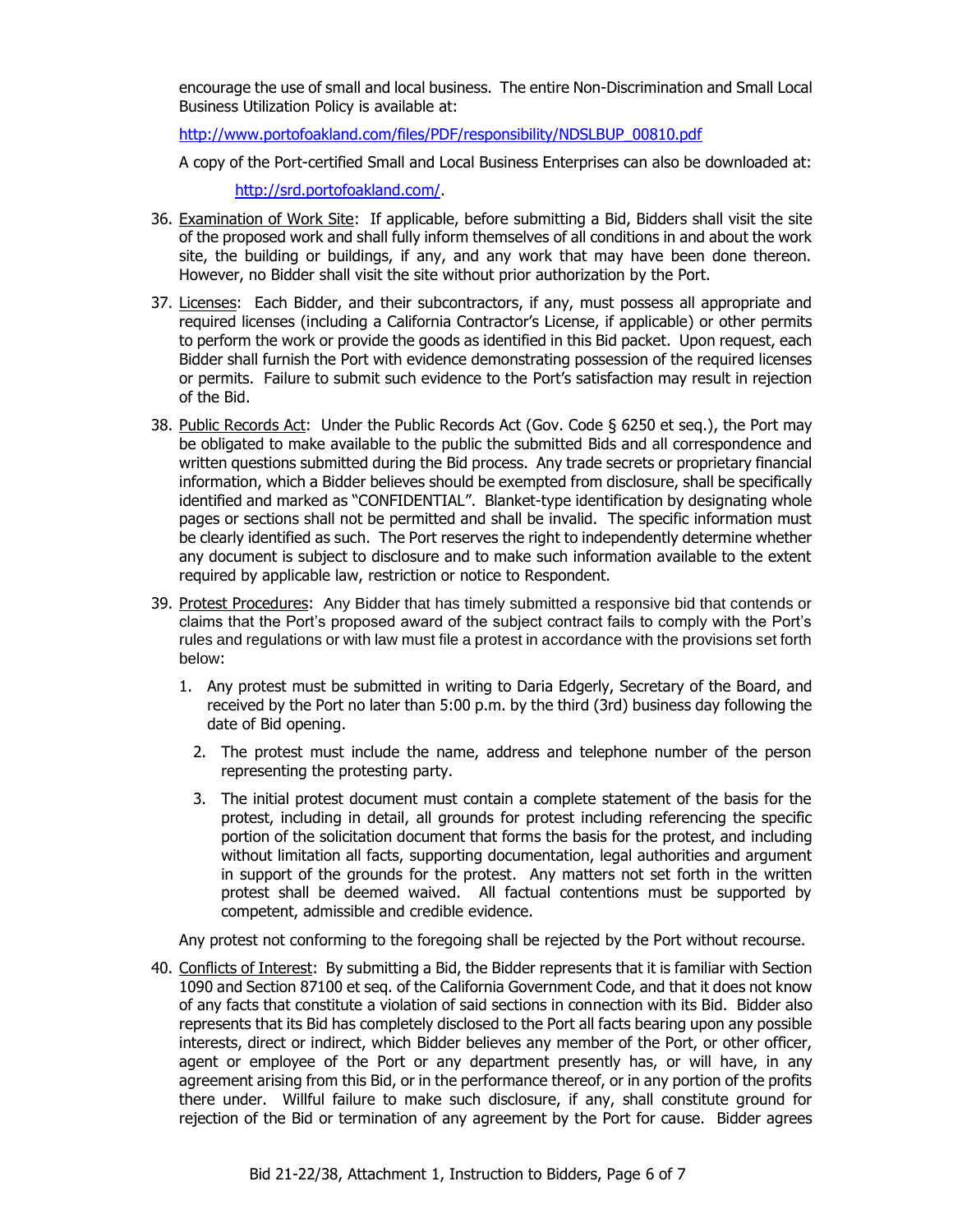encourage the use of small and local business. The entire Non-Discrimination and Small Local Business Utilization Policy is available at:

[http://www.portofoakland.com/files/PDF/responsibility/NDSLBUP\\_00810.pdf](http://www.portofoakland.com/files/PDF/responsibility/NDSLBUP_00810.pdf)

A copy of the Port-certified Small and Local Business Enterprises can also be downloaded at:

[http://srd.portofoakland.com/.](http://srd.portofoakland.com/)

- 36. Examination of Work Site: If applicable, before submitting a Bid, Bidders shall visit the site of the proposed work and shall fully inform themselves of all conditions in and about the work site, the building or buildings, if any, and any work that may have been done thereon. However, no Bidder shall visit the site without prior authorization by the Port.
- 37. Licenses: Each Bidder, and their subcontractors, if any, must possess all appropriate and required licenses (including a California Contractor's License, if applicable) or other permits to perform the work or provide the goods as identified in this Bid packet. Upon request, each Bidder shall furnish the Port with evidence demonstrating possession of the required licenses or permits. Failure to submit such evidence to the Port's satisfaction may result in rejection of the Bid.
- 38. Public Records Act: Under the Public Records Act (Gov. Code § 6250 et seq.), the Port may be obligated to make available to the public the submitted Bids and all correspondence and written questions submitted during the Bid process. Any trade secrets or proprietary financial information, which a Bidder believes should be exempted from disclosure, shall be specifically identified and marked as "CONFIDENTIAL". Blanket-type identification by designating whole pages or sections shall not be permitted and shall be invalid. The specific information must be clearly identified as such. The Port reserves the right to independently determine whether any document is subject to disclosure and to make such information available to the extent required by applicable law, restriction or notice to Respondent.
- 39. Protest Procedures:Any Bidder that has timely submitted a responsive bid that contends or claims that the Port's proposed award of the subject contract fails to comply with the Port's rules and regulations or with law must file a protest in accordance with the provisions set forth below:
	- 1. Any protest must be submitted in writing to Daria Edgerly, Secretary of the Board, and received by the Port no later than 5:00 p.m. by the third (3rd) business day following the date of Bid opening.
		- 2. The protest must include the name, address and telephone number of the person representing the protesting party.
		- 3. The initial protest document must contain a complete statement of the basis for the protest, including in detail, all grounds for protest including referencing the specific portion of the solicitation document that forms the basis for the protest, and including without limitation all facts, supporting documentation, legal authorities and argument in support of the grounds for the protest. Any matters not set forth in the written protest shall be deemed waived. All factual contentions must be supported by competent, admissible and credible evidence.

Any protest not conforming to the foregoing shall be rejected by the Port without recourse.

40. Conflicts of Interest: By submitting a Bid, the Bidder represents that it is familiar with Section 1090 and Section 87100 et seq. of the California Government Code, and that it does not know of any facts that constitute a violation of said sections in connection with its Bid. Bidder also represents that its Bid has completely disclosed to the Port all facts bearing upon any possible interests, direct or indirect, which Bidder believes any member of the Port, or other officer, agent or employee of the Port or any department presently has, or will have, in any agreement arising from this Bid, or in the performance thereof, or in any portion of the profits there under. Willful failure to make such disclosure, if any, shall constitute ground for rejection of the Bid or termination of any agreement by the Port for cause. Bidder agrees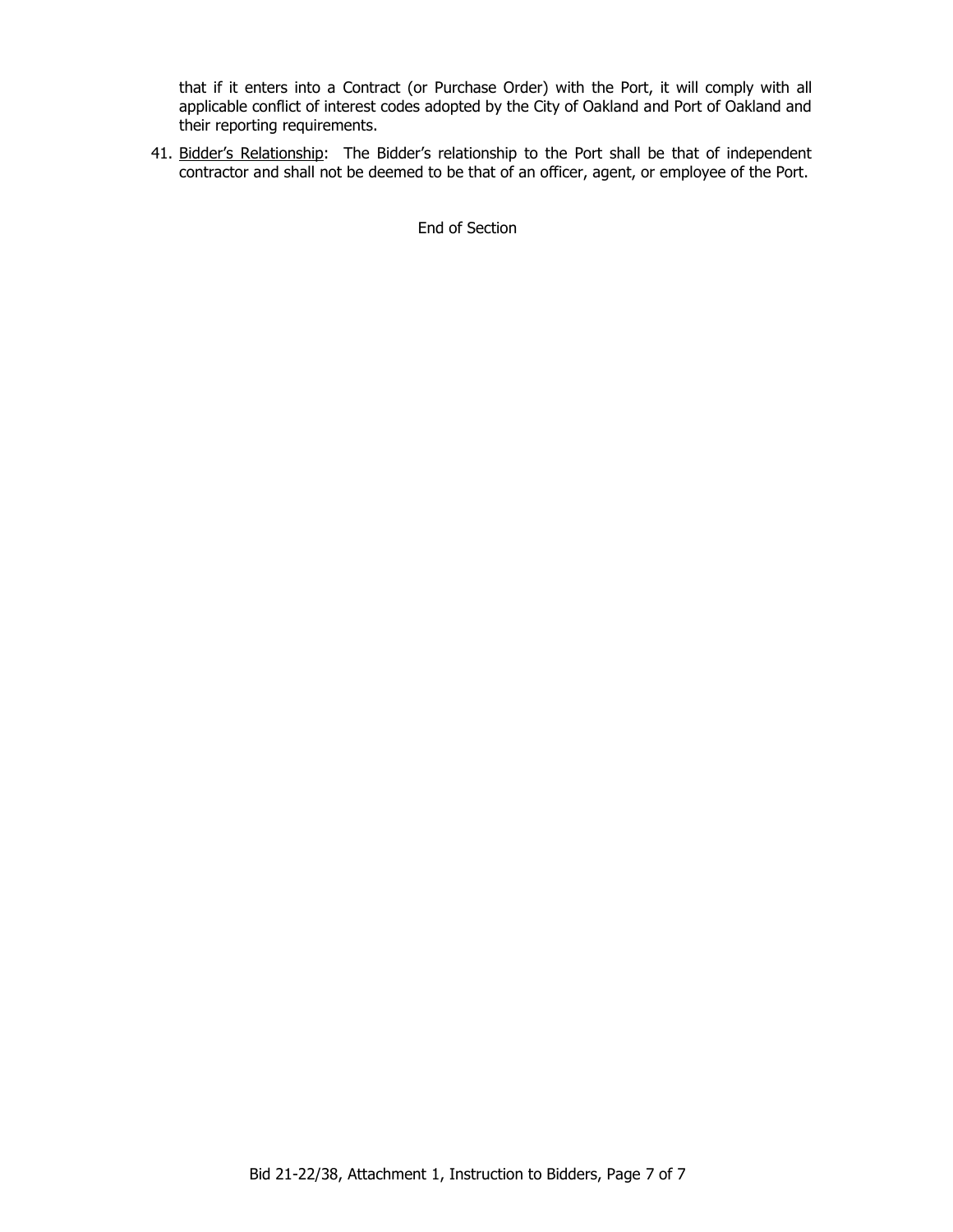that if it enters into a Contract (or Purchase Order) with the Port, it will comply with all applicable conflict of interest codes adopted by the City of Oakland and Port of Oakland and their reporting requirements.

41. Bidder's Relationship: The Bidder's relationship to the Port shall be that of independent contractor and shall not be deemed to be that of an officer, agent, or employee of the Port.

End of Section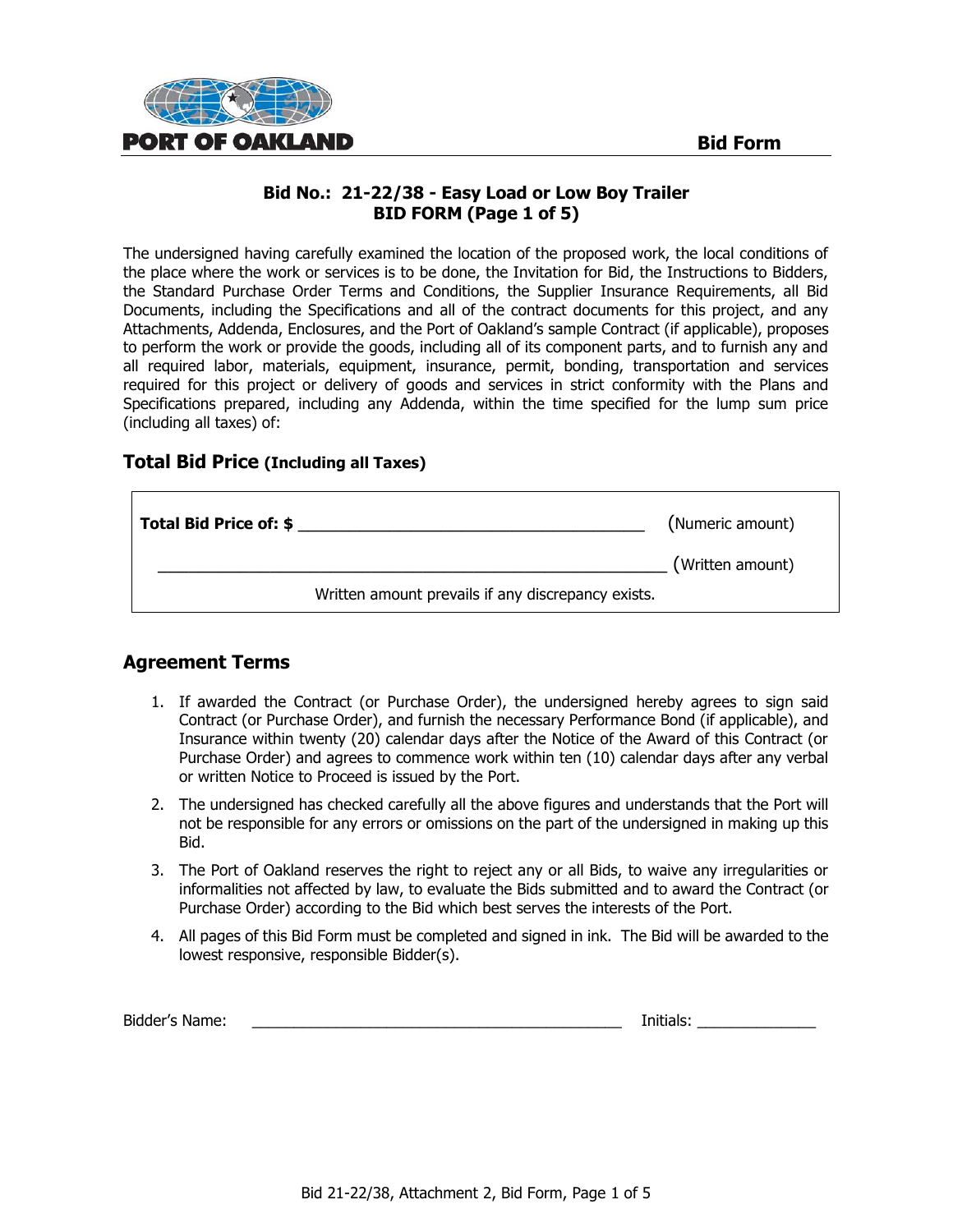

# **Bid No.: 21-22/38 - Easy Load or Low Boy Trailer BID FORM (Page 1 of 5)**

The undersigned having carefully examined the location of the proposed work, the local conditions of the place where the work or services is to be done, the Invitation for Bid, the Instructions to Bidders, the Standard Purchase Order Terms and Conditions, the Supplier Insurance Requirements, all Bid Documents, including the Specifications and all of the contract documents for this project, and any Attachments, Addenda, Enclosures, and the Port of Oakland's sample Contract (if applicable), proposes to perform the work or provide the goods, including all of its component parts, and to furnish any and all required labor, materials, equipment, insurance, permit, bonding, transportation and services required for this project or delivery of goods and services in strict conformity with the Plans and Specifications prepared, including any Addenda, within the time specified for the lump sum price (including all taxes) of:

# **Total Bid Price (Including all Taxes)**

| Total Bid Price of: \$ |                                                    | (Numeric amount) |
|------------------------|----------------------------------------------------|------------------|
|                        |                                                    | (Written amount) |
|                        | Written amount prevails if any discrepancy exists. |                  |

# **Agreement Terms**

- 1. If awarded the Contract (or Purchase Order), the undersigned hereby agrees to sign said Contract (or Purchase Order), and furnish the necessary Performance Bond (if applicable), and Insurance within twenty (20) calendar days after the Notice of the Award of this Contract (or Purchase Order) and agrees to commence work within ten (10) calendar days after any verbal or written Notice to Proceed is issued by the Port.
- 2. The undersigned has checked carefully all the above figures and understands that the Port will not be responsible for any errors or omissions on the part of the undersigned in making up this Bid.
- 3. The Port of Oakland reserves the right to reject any or all Bids, to waive any irregularities or informalities not affected by law, to evaluate the Bids submitted and to award the Contract (or Purchase Order) according to the Bid which best serves the interests of the Port.
- 4. All pages of this Bid Form must be completed and signed in ink. The Bid will be awarded to the lowest responsive, responsible Bidder(s).

| Bidder's Name: |  | nitials |
|----------------|--|---------|
|----------------|--|---------|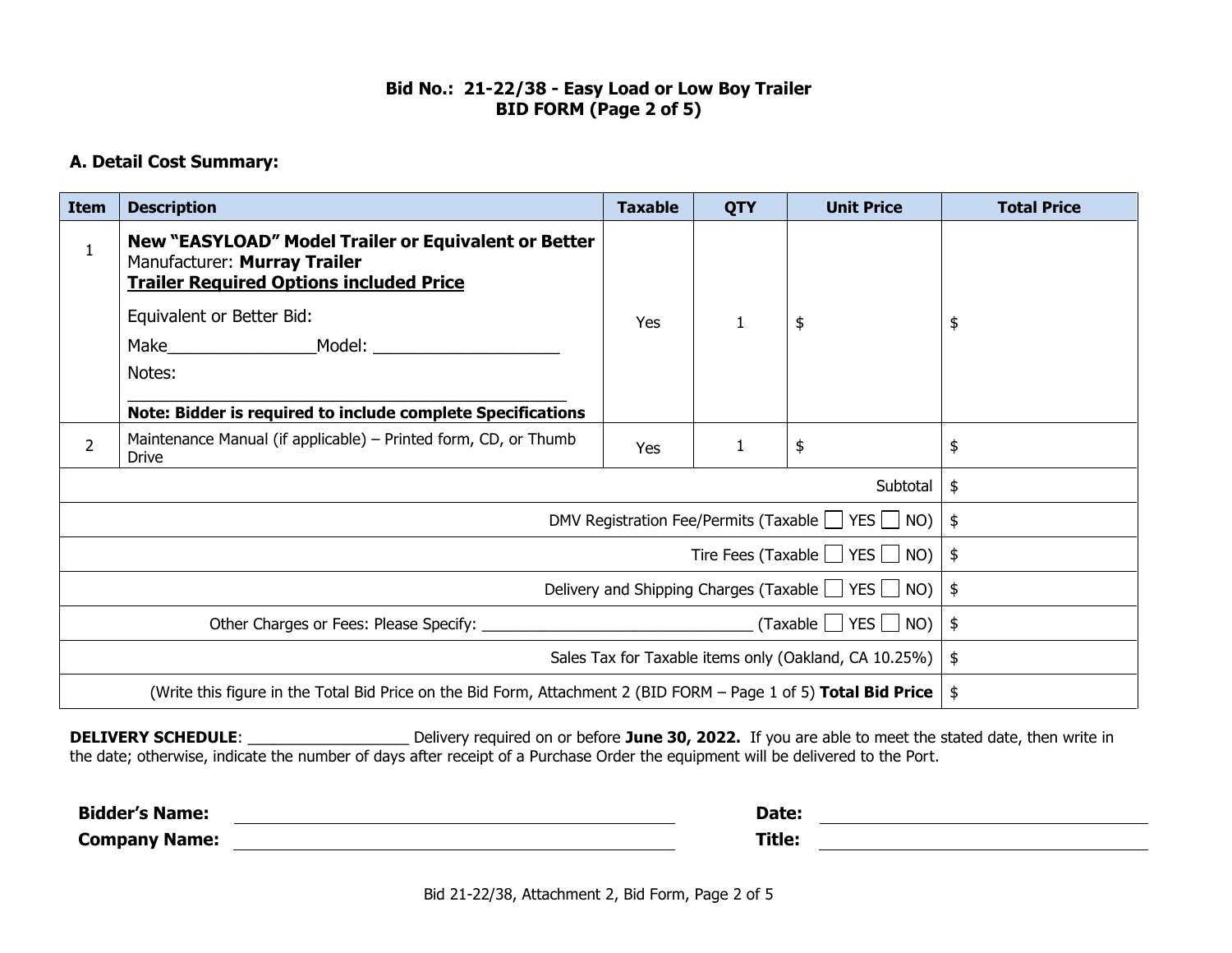# **Bid No.: 21-22/38 - Easy Load or Low Boy Trailer BID FORM (Page 2 of 5)**

# **A. Detail Cost Summary:**

| <b>Item</b>                                                                                                      | <b>Description</b>                                                                                                                                                                                                                                                 | <b>Taxable</b> | <b>QTY</b> | <b>Unit Price</b> | <b>Total Price</b> |
|------------------------------------------------------------------------------------------------------------------|--------------------------------------------------------------------------------------------------------------------------------------------------------------------------------------------------------------------------------------------------------------------|----------------|------------|-------------------|--------------------|
| 1                                                                                                                | New "EASYLOAD" Model Trailer or Equivalent or Better<br>Manufacturer: Murray Trailer<br><b>Trailer Required Options included Price</b><br>Equivalent or Better Bid:<br>Make Model: Model:<br>Notes:<br>Note: Bidder is required to include complete Specifications | Yes            |            | \$                | \$                 |
| $\overline{2}$                                                                                                   | Maintenance Manual (if applicable) – Printed form, CD, or Thumb<br><b>Drive</b>                                                                                                                                                                                    | Yes            |            | \$                | \$                 |
|                                                                                                                  | Subtotal                                                                                                                                                                                                                                                           |                |            | \$                |                    |
|                                                                                                                  | DMV Registration Fee/Permits (Taxable   YES   NO)                                                                                                                                                                                                                  |                |            | \$                |                    |
| Tire Fees (Taxable $\Box$ YES $\Box$ NO)                                                                         |                                                                                                                                                                                                                                                                    |                | \$         |                   |                    |
| Delivery and Shipping Charges (Taxable   YES   NO)                                                               |                                                                                                                                                                                                                                                                    |                | \$         |                   |                    |
| $(Taxable \tvert \tvert YES \tvert \tvert N0)$                                                                   |                                                                                                                                                                                                                                                                    |                | \$         |                   |                    |
| Sales Tax for Taxable items only (Oakland, CA 10.25%)                                                            |                                                                                                                                                                                                                                                                    |                | \$         |                   |                    |
| (Write this figure in the Total Bid Price on the Bid Form, Attachment 2 (BID FORM – Page 1 of 5) Total Bid Price |                                                                                                                                                                                                                                                                    | \$             |            |                   |                    |

DELIVERY SCHEDULE: \_\_\_\_\_\_\_\_\_\_\_\_\_\_\_\_\_\_\_\_\_\_\_\_\_\_Delivery required on or before June 30, 2022. If you are able to meet the stated date, then write in the date; otherwise, indicate the number of days after receipt of a Purchase Order the equipment will be delivered to the Port.

| <b>Bidder's Name:</b> | Date:  |  |
|-----------------------|--------|--|
| <b>Company Name:</b>  | Title: |  |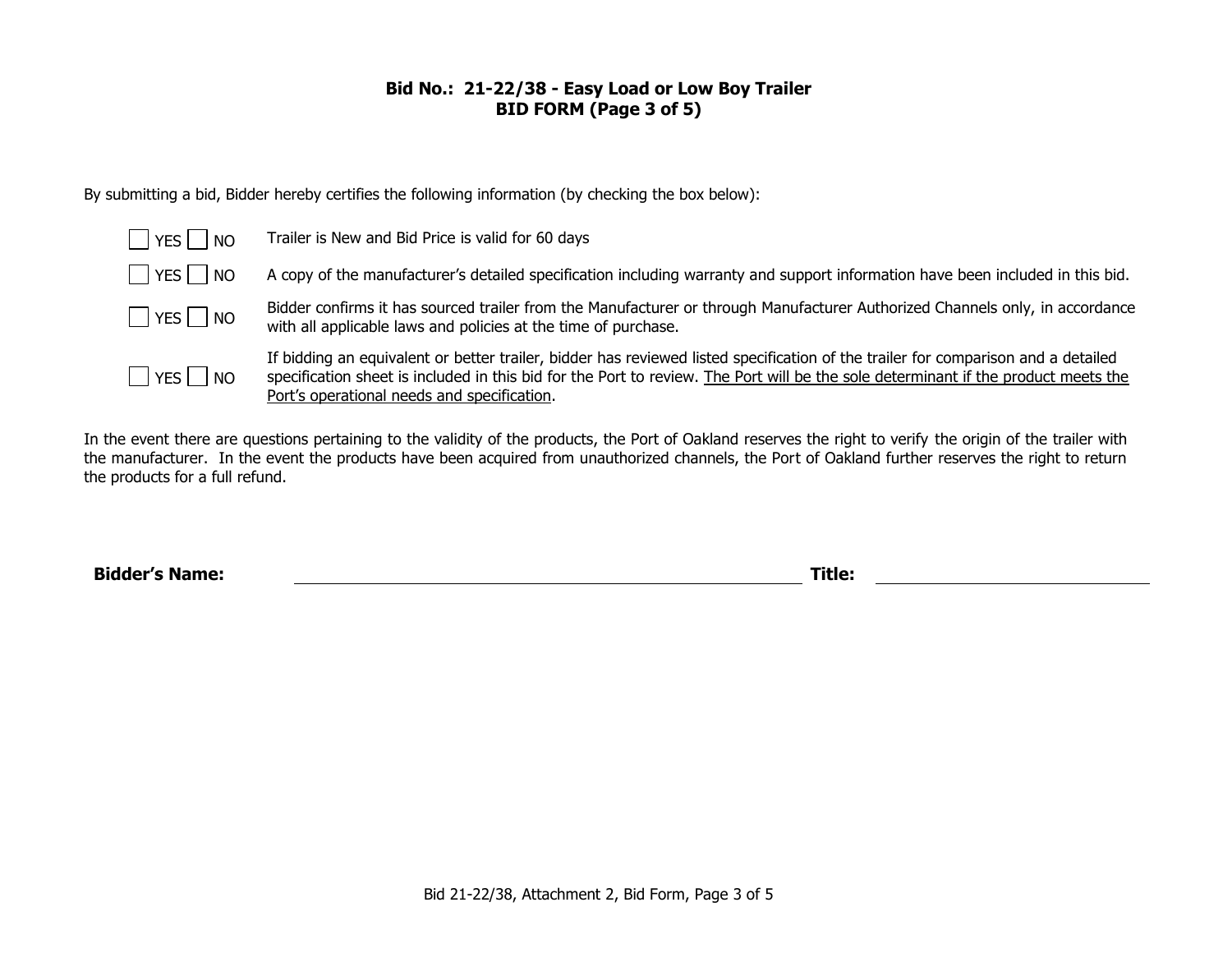# **Bid No.: 21-22/38 - Easy Load or Low Boy Trailer BID FORM (Page 3 of 5)**

By submitting a bid, Bidder hereby certifies the following information (by checking the box below):

| l a<br> YES   NO       | Trailer is New and Bid Price is valid for 60 days                                                                                                                                                                                                                                                                      |
|------------------------|------------------------------------------------------------------------------------------------------------------------------------------------------------------------------------------------------------------------------------------------------------------------------------------------------------------------|
| $ $ $ $ YES $ $ $ $ NO | A copy of the manufacturer's detailed specification including warranty and support information have been included in this bid.                                                                                                                                                                                         |
| $\Box$ YES $\Box$ NO   | Bidder confirms it has sourced trailer from the Manufacturer or through Manufacturer Authorized Channels only, in accordance<br>with all applicable laws and policies at the time of purchase.                                                                                                                         |
| YES     NO             | If bidding an equivalent or better trailer, bidder has reviewed listed specification of the trailer for comparison and a detailed<br>specification sheet is included in this bid for the Port to review. The Port will be the sole determinant if the product meets the<br>Port's operational needs and specification. |

In the event there are questions pertaining to the validity of the products, the Port of Oakland reserves the right to verify the origin of the trailer with the manufacturer. In the event the products have been acquired from unauthorized channels, the Port of Oakland further reserves the right to return the products for a full refund.

**Bidder's Name: Title:**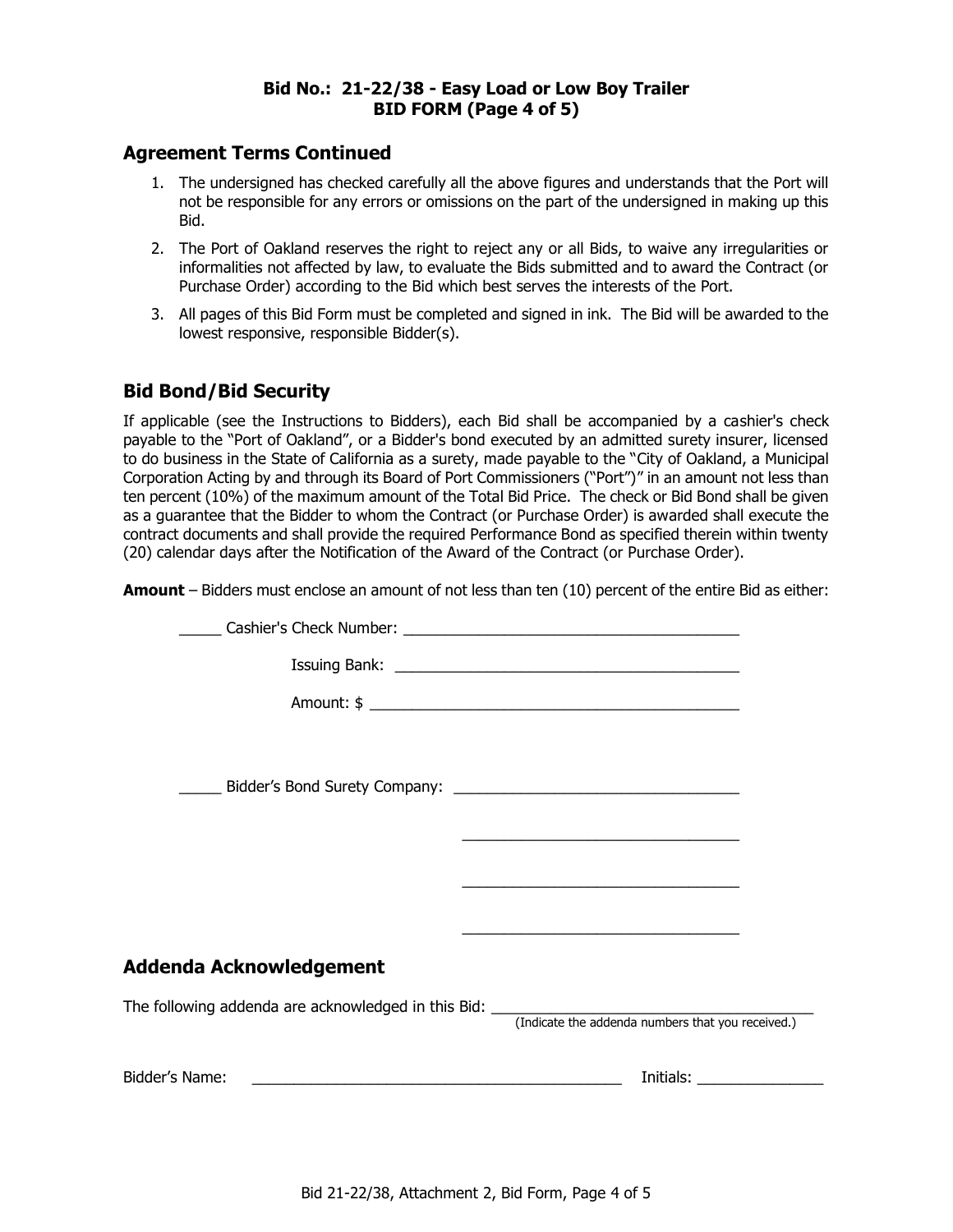#### **Bid No.: 21-22/38 - Easy Load or Low Boy Trailer BID FORM (Page 4 of 5)**

# **Agreement Terms Continued**

- 1. The undersigned has checked carefully all the above figures and understands that the Port will not be responsible for any errors or omissions on the part of the undersigned in making up this Bid.
- 2. The Port of Oakland reserves the right to reject any or all Bids, to waive any irregularities or informalities not affected by law, to evaluate the Bids submitted and to award the Contract (or Purchase Order) according to the Bid which best serves the interests of the Port.
- 3. All pages of this Bid Form must be completed and signed in ink. The Bid will be awarded to the lowest responsive, responsible Bidder(s).

# **Bid Bond/Bid Security**

If applicable (see the Instructions to Bidders), each Bid shall be accompanied by a cashier's check payable to the "Port of Oakland", or a Bidder's bond executed by an admitted surety insurer, licensed to do business in the State of California as a surety, made payable to the "City of Oakland, a Municipal Corporation Acting by and through its Board of Port Commissioners ("Port")" in an amount not less than ten percent (10%) of the maximum amount of the Total Bid Price. The check or Bid Bond shall be given as a guarantee that the Bidder to whom the Contract (or Purchase Order) is awarded shall execute the contract documents and shall provide the required Performance Bond as specified therein within twenty (20) calendar days after the Notification of the Award of the Contract (or Purchase Order).

**Amount** – Bidders must enclose an amount of not less than ten (10) percent of the entire Bid as either:

|                         | <u> 1989 - Johann Barbara, marka a shekara tsa 1989 - An tsa 1989 - An tsa 1989 - An tsa 1989 - An tsa 1989 - An</u> |
|-------------------------|----------------------------------------------------------------------------------------------------------------------|
|                         | <u> 2000 - Jan James James James James James James James James James James James James James James James James J</u> |
| Addenda Acknowledgement |                                                                                                                      |
|                         |                                                                                                                      |
|                         |                                                                                                                      |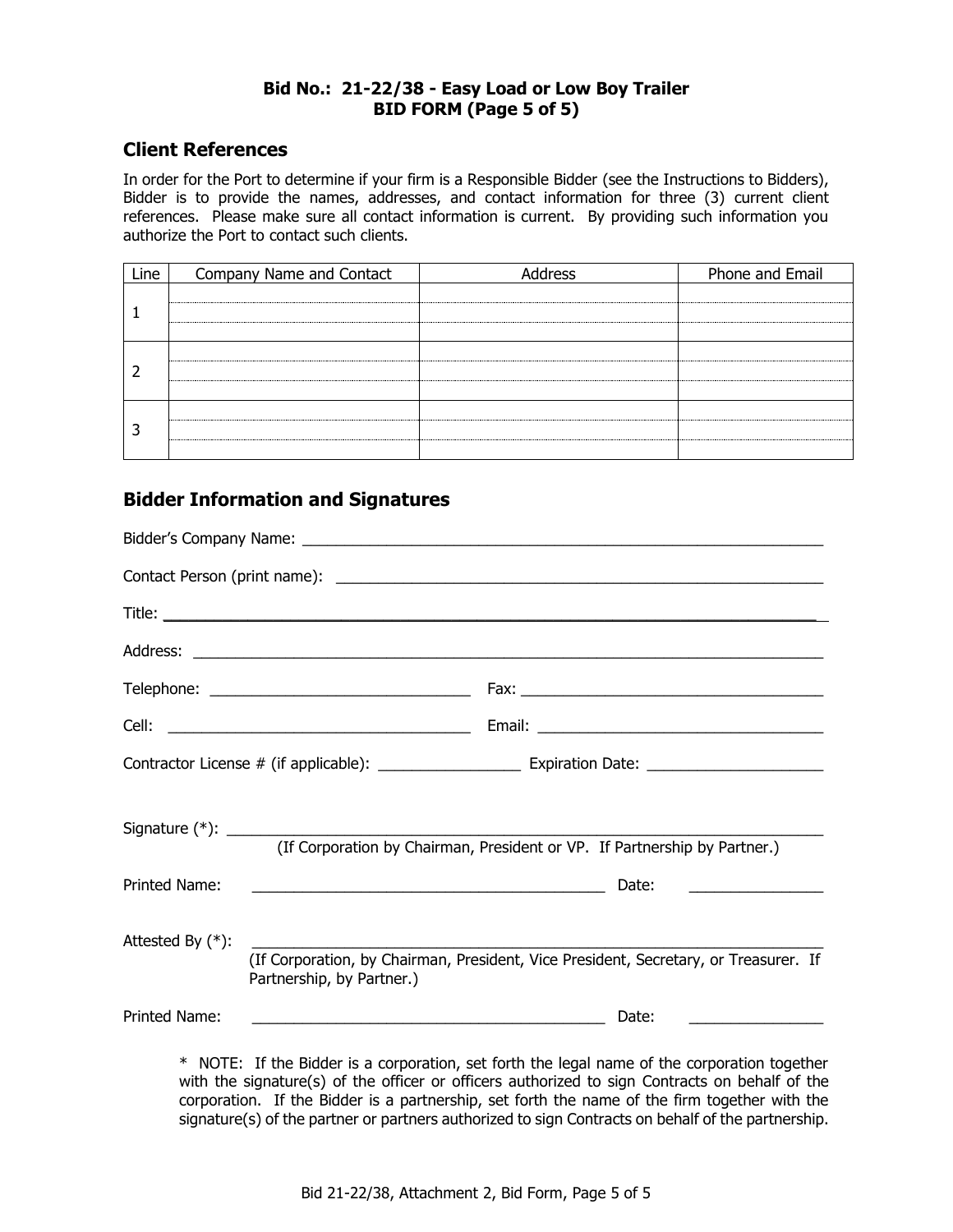#### **Bid No.: 21-22/38 - Easy Load or Low Boy Trailer BID FORM (Page 5 of 5)**

# **Client References**

In order for the Port to determine if your firm is a Responsible Bidder (see the Instructions to Bidders), Bidder is to provide the names, addresses, and contact information for three (3) current client references. Please make sure all contact information is current. By providing such information you authorize the Port to contact such clients.

| Line | Company Name and Contact | Address | Phone and Email |
|------|--------------------------|---------|-----------------|
|      |                          |         |                 |
|      |                          |         |                 |
|      |                          |         |                 |

# **Bidder Information and Signatures**

|                     | (If Corporation by Chairman, President or VP. If Partnership by Partner.)                                                      |
|---------------------|--------------------------------------------------------------------------------------------------------------------------------|
| Printed Name:       | Date:<br><u> 1989 - Johann Barbara, martin amerikan basar dan bahasa dan bahasa dalam basa dalam basa dalam basa dalam bas</u> |
| Attested By $(*)$ : | (If Corporation, by Chairman, President, Vice President, Secretary, or Treasurer. If<br>Partnership, by Partner.)              |
| Printed Name:       | <u> 1989 - Johann Barn, fransk politik (d. 1989)</u><br>Date:                                                                  |
|                     | * NOTE: If the Bidder is a corporation, set forth the legal name of the corporation together                                   |

with the signature(s) of the officer or officers authorized to sign Contracts on behalf of the corporation. If the Bidder is a partnership, set forth the name of the firm together with the signature(s) of the partner or partners authorized to sign Contracts on behalf of the partnership.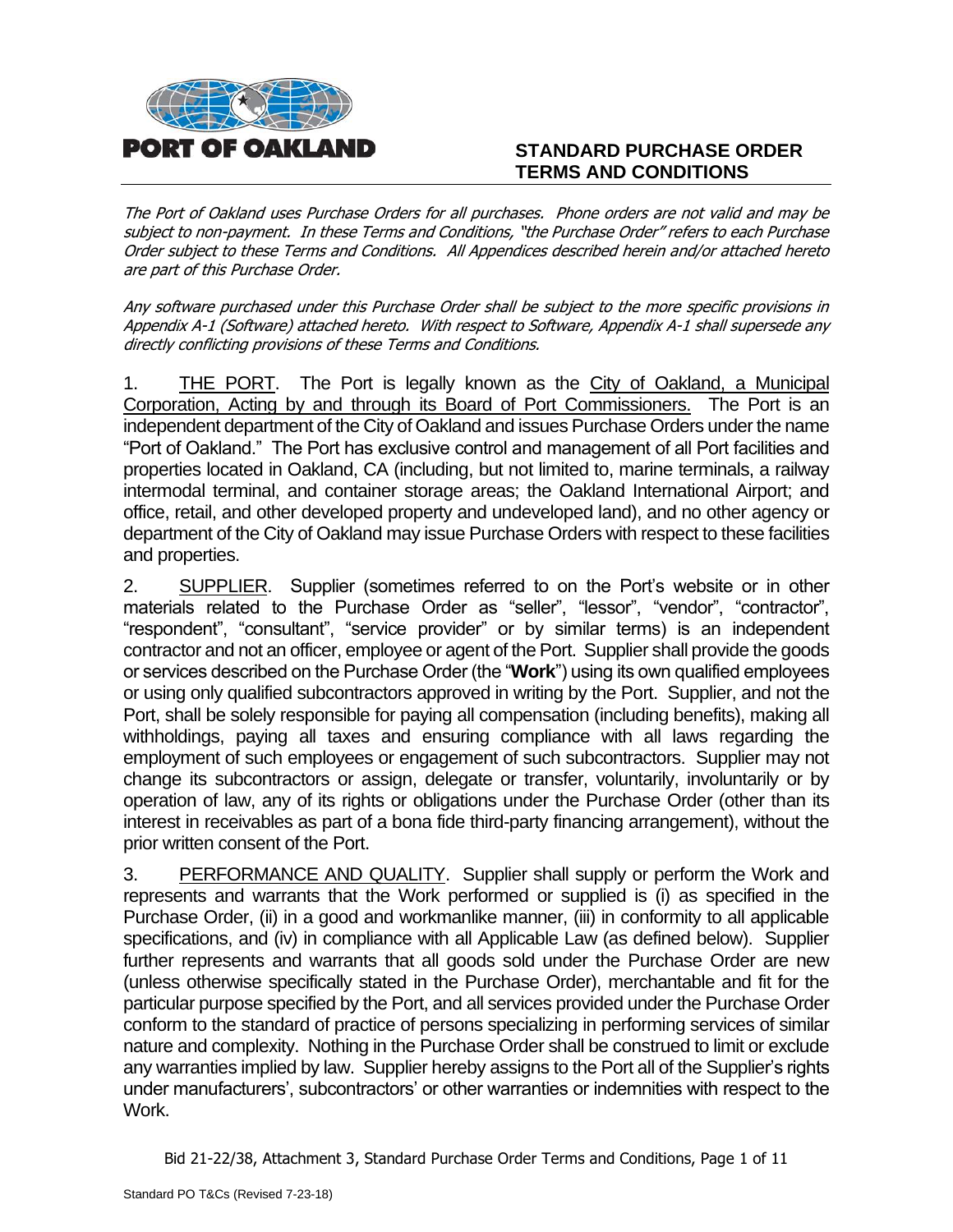

# **STANDARD PURCHASE ORDER TERMS AND CONDITIONS**

The Port of Oakland uses Purchase Orders for all purchases. Phone orders are not valid and may be subject to non-payment. In these Terms and Conditions, "the Purchase Order" refers to each Purchase Order subject to these Terms and Conditions. All Appendices described herein and/or attached hereto are part of this Purchase Order.

Any software purchased under this Purchase Order shall be subject to the more specific provisions in Appendix A-1 (Software) attached hereto. With respect to Software, Appendix A-1 shall supersede any directly conflicting provisions of these Terms and Conditions.

1. THE PORT. The Port is legally known as the City of Oakland, a Municipal Corporation, Acting by and through its Board of Port Commissioners. The Port is an independent department of the City of Oakland and issues Purchase Orders under the name "Port of Oakland." The Port has exclusive control and management of all Port facilities and properties located in Oakland, CA (including, but not limited to, marine terminals, a railway intermodal terminal, and container storage areas; the Oakland International Airport; and office, retail, and other developed property and undeveloped land), and no other agency or department of the City of Oakland may issue Purchase Orders with respect to these facilities and properties.

2. SUPPLIER. Supplier (sometimes referred to on the Port's website or in other materials related to the Purchase Order as "seller", "lessor", "vendor", "contractor", "respondent", "consultant", "service provider" or by similar terms) is an independent contractor and not an officer, employee or agent of the Port. Supplier shall provide the goods or services described on the Purchase Order (the "**Work**") using its own qualified employees or using only qualified subcontractors approved in writing by the Port. Supplier, and not the Port, shall be solely responsible for paying all compensation (including benefits), making all withholdings, paying all taxes and ensuring compliance with all laws regarding the employment of such employees or engagement of such subcontractors. Supplier may not change its subcontractors or assign, delegate or transfer, voluntarily, involuntarily or by operation of law, any of its rights or obligations under the Purchase Order (other than its interest in receivables as part of a bona fide third-party financing arrangement), without the prior written consent of the Port.

3. PERFORMANCE AND QUALITY. Supplier shall supply or perform the Work and represents and warrants that the Work performed or supplied is (i) as specified in the Purchase Order, (ii) in a good and workmanlike manner, (iii) in conformity to all applicable specifications, and (iv) in compliance with all Applicable Law (as defined below). Supplier further represents and warrants that all goods sold under the Purchase Order are new (unless otherwise specifically stated in the Purchase Order), merchantable and fit for the particular purpose specified by the Port, and all services provided under the Purchase Order conform to the standard of practice of persons specializing in performing services of similar nature and complexity. Nothing in the Purchase Order shall be construed to limit or exclude any warranties implied by law. Supplier hereby assigns to the Port all of the Supplier's rights under manufacturers', subcontractors' or other warranties or indemnities with respect to the Work.

Bid 21-22/38, Attachment 3, Standard Purchase Order Terms and Conditions, Page 1 of 11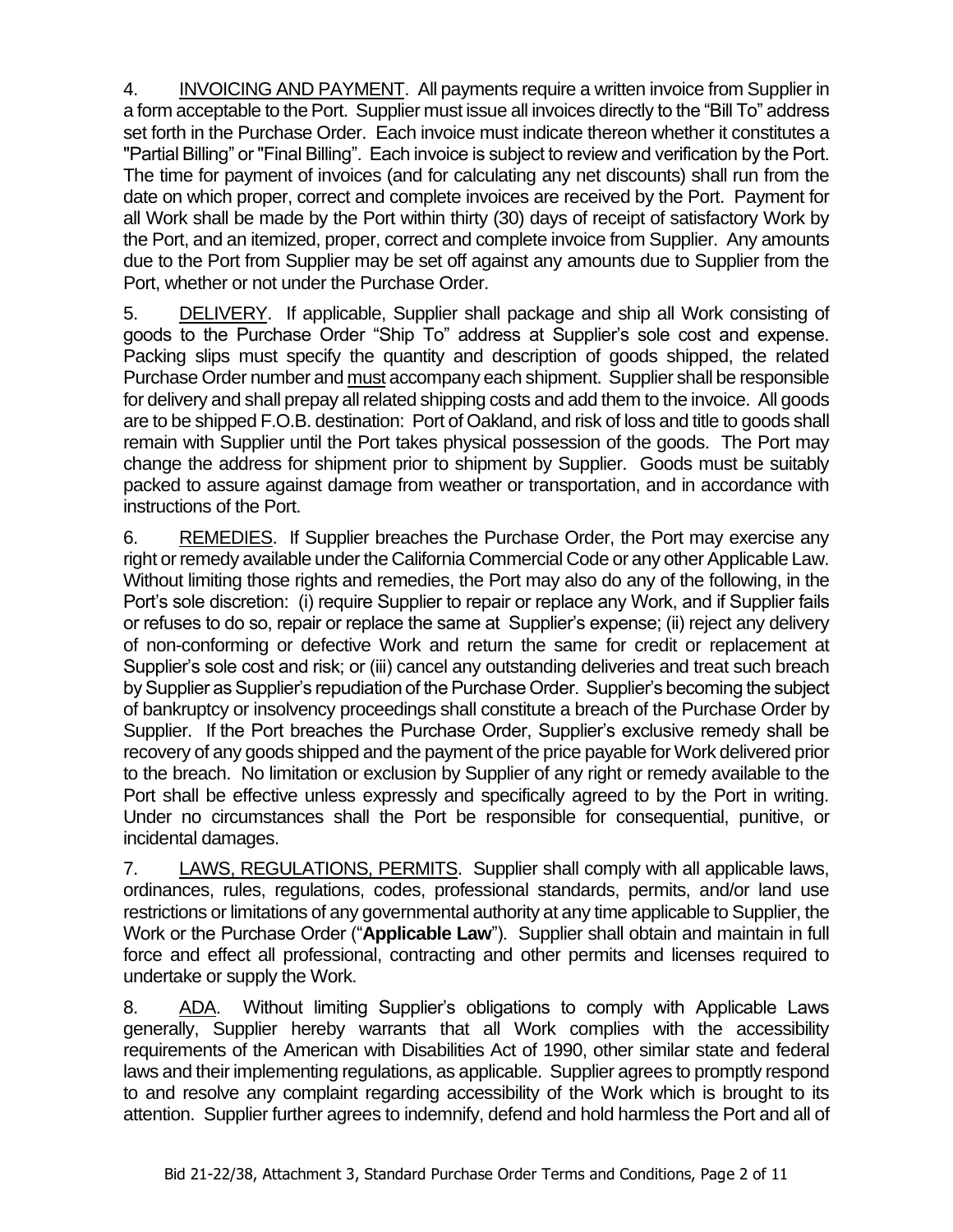4. INVOICING AND PAYMENT. All payments require a written invoice from Supplier in a form acceptable to the Port. Supplier must issue all invoices directly to the "Bill To" address set forth in the Purchase Order. Each invoice must indicate thereon whether it constitutes a "Partial Billing" or "Final Billing". Each invoice is subject to review and verification by the Port. The time for payment of invoices (and for calculating any net discounts) shall run from the date on which proper, correct and complete invoices are received by the Port. Payment for all Work shall be made by the Port within thirty (30) days of receipt of satisfactory Work by the Port, and an itemized, proper, correct and complete invoice from Supplier. Any amounts due to the Port from Supplier may be set off against any amounts due to Supplier from the Port, whether or not under the Purchase Order.

5. DELIVERY. If applicable, Supplier shall package and ship all Work consisting of goods to the Purchase Order "Ship To" address at Supplier's sole cost and expense. Packing slips must specify the quantity and description of goods shipped, the related Purchase Order number and must accompany each shipment. Supplier shall be responsible for delivery and shall prepay all related shipping costs and add them to the invoice. All goods are to be shipped F.O.B. destination: Port of Oakland, and risk of loss and title to goods shall remain with Supplier until the Port takes physical possession of the goods. The Port may change the address for shipment prior to shipment by Supplier. Goods must be suitably packed to assure against damage from weather or transportation, and in accordance with instructions of the Port.

6. REMEDIES. If Supplier breaches the Purchase Order, the Port may exercise any right or remedy available under the California Commercial Code or any other Applicable Law. Without limiting those rights and remedies, the Port may also do any of the following, in the Port's sole discretion: (i) require Supplier to repair or replace any Work, and if Supplier fails or refuses to do so, repair or replace the same at Supplier's expense; (ii) reject any delivery of non-conforming or defective Work and return the same for credit or replacement at Supplier's sole cost and risk; or (iii) cancel any outstanding deliveries and treat such breach by Supplier as Supplier's repudiation of the Purchase Order. Supplier's becoming the subject of bankruptcy or insolvency proceedings shall constitute a breach of the Purchase Order by Supplier. If the Port breaches the Purchase Order, Supplier's exclusive remedy shall be recovery of any goods shipped and the payment of the price payable for Work delivered prior to the breach. No limitation or exclusion by Supplier of any right or remedy available to the Port shall be effective unless expressly and specifically agreed to by the Port in writing. Under no circumstances shall the Port be responsible for consequential, punitive, or incidental damages.

7. LAWS, REGULATIONS, PERMITS. Supplier shall comply with all applicable laws, ordinances, rules, regulations, codes, professional standards, permits, and/or land use restrictions or limitations of any governmental authority at any time applicable to Supplier, the Work or the Purchase Order ("**Applicable Law**"). Supplier shall obtain and maintain in full force and effect all professional, contracting and other permits and licenses required to undertake or supply the Work.

8. ADA. Without limiting Supplier's obligations to comply with Applicable Laws generally, Supplier hereby warrants that all Work complies with the accessibility requirements of the American with Disabilities Act of 1990, other similar state and federal laws and their implementing regulations, as applicable. Supplier agrees to promptly respond to and resolve any complaint regarding accessibility of the Work which is brought to its attention. Supplier further agrees to indemnify, defend and hold harmless the Port and all of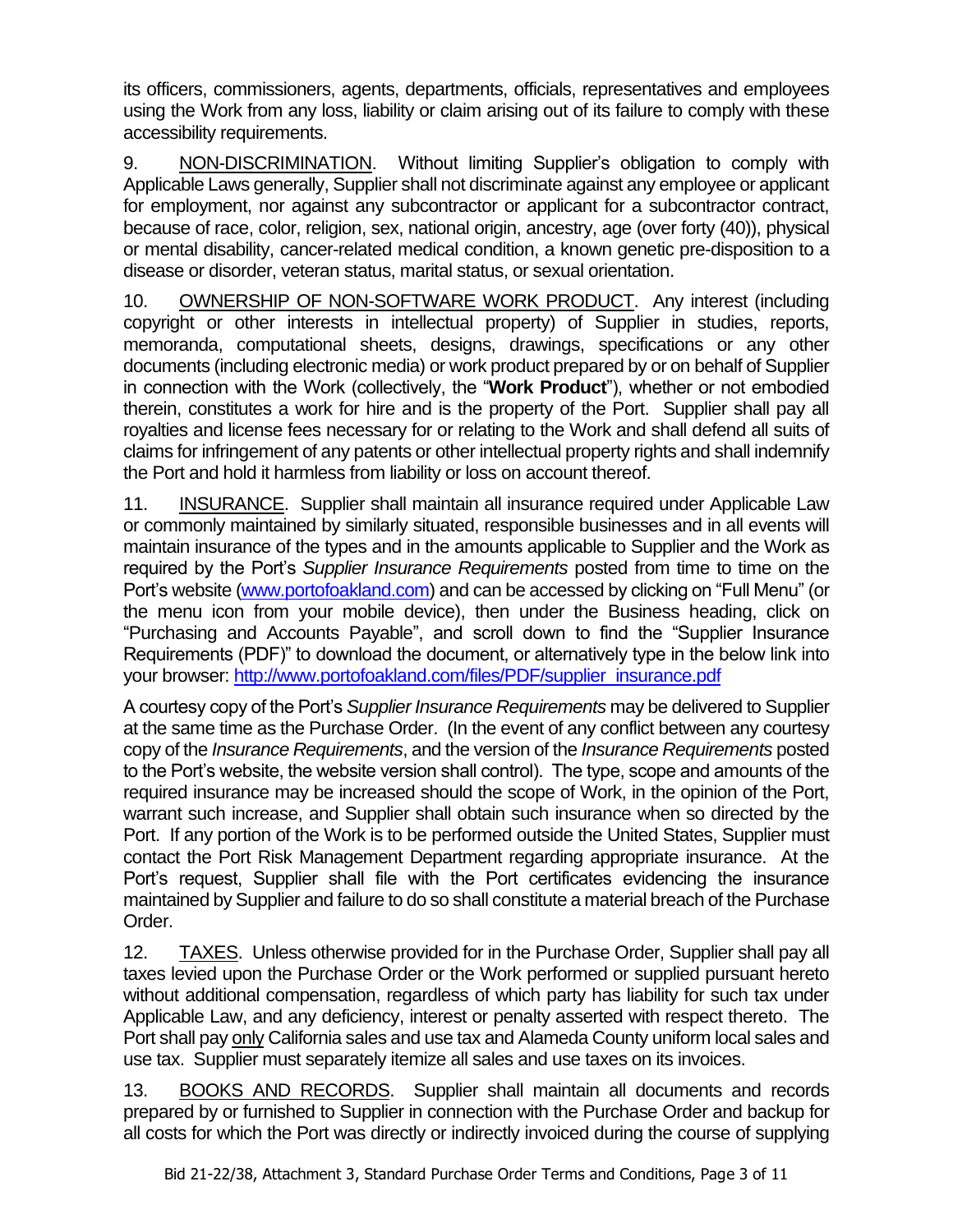its officers, commissioners, agents, departments, officials, representatives and employees using the Work from any loss, liability or claim arising out of its failure to comply with these accessibility requirements.

9. NON-DISCRIMINATION. Without limiting Supplier's obligation to comply with Applicable Laws generally, Supplier shall not discriminate against any employee or applicant for employment, nor against any subcontractor or applicant for a subcontractor contract, because of race, color, religion, sex, national origin, ancestry, age (over forty (40)), physical or mental disability, cancer-related medical condition, a known genetic pre-disposition to a disease or disorder, veteran status, marital status, or sexual orientation.

10. OWNERSHIP OF NON-SOFTWARE WORK PRODUCT. Any interest (including copyright or other interests in intellectual property) of Supplier in studies, reports, memoranda, computational sheets, designs, drawings, specifications or any other documents (including electronic media) or work product prepared by or on behalf of Supplier in connection with the Work (collectively, the "**Work Product**"), whether or not embodied therein, constitutes a work for hire and is the property of the Port. Supplier shall pay all royalties and license fees necessary for or relating to the Work and shall defend all suits of claims for infringement of any patents or other intellectual property rights and shall indemnify the Port and hold it harmless from liability or loss on account thereof.

11. INSURANCE. Supplier shall maintain all insurance required under Applicable Law or commonly maintained by similarly situated, responsible businesses and in all events will maintain insurance of the types and in the amounts applicable to Supplier and the Work as required by the Port's *Supplier Insurance Requirements* posted from time to time on the Port's website [\(www.portofoakland.com\)](http://www.portofoakland.com/) and can be accessed by clicking on "Full Menu" (or the menu icon from your mobile device), then under the Business heading, click on "Purchasing and Accounts Payable", and scroll down to find the "Supplier Insurance Requirements (PDF)" to download the document, or alternatively type in the below link into your browser: [http://www.portofoakland.com/files/PDF/supplier\\_insurance.pdf](http://www.portofoakland.com/files/PDF/supplier_insurance.pdf)

A courtesy copy of the Port's *Supplier Insurance Requirements* may be delivered to Supplier at the same time as the Purchase Order. (In the event of any conflict between any courtesy copy of the *Insurance Requirements*, and the version of the *Insurance Requirements* posted to the Port's website, the website version shall control). The type, scope and amounts of the required insurance may be increased should the scope of Work, in the opinion of the Port, warrant such increase, and Supplier shall obtain such insurance when so directed by the Port. If any portion of the Work is to be performed outside the United States, Supplier must contact the Port Risk Management Department regarding appropriate insurance. At the Port's request, Supplier shall file with the Port certificates evidencing the insurance maintained by Supplier and failure to do so shall constitute a material breach of the Purchase Order.

12. TAXES. Unless otherwise provided for in the Purchase Order, Supplier shall pay all taxes levied upon the Purchase Order or the Work performed or supplied pursuant hereto without additional compensation, regardless of which party has liability for such tax under Applicable Law, and any deficiency, interest or penalty asserted with respect thereto. The Port shall pay only California sales and use tax and Alameda County uniform local sales and use tax. Supplier must separately itemize all sales and use taxes on its invoices.

13. BOOKS AND RECORDS. Supplier shall maintain all documents and records prepared by or furnished to Supplier in connection with the Purchase Order and backup for all costs for which the Port was directly or indirectly invoiced during the course of supplying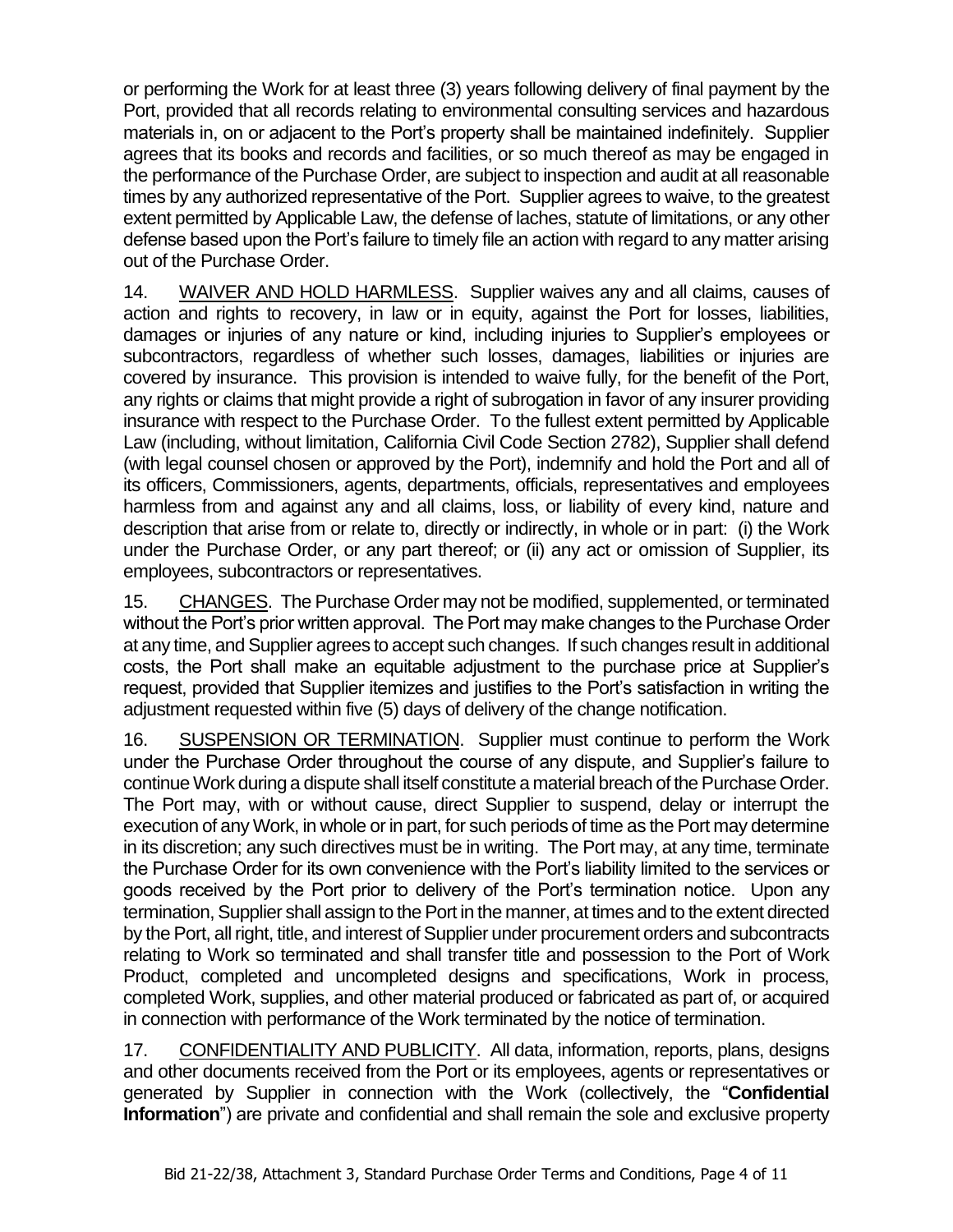or performing the Work for at least three (3) years following delivery of final payment by the Port, provided that all records relating to environmental consulting services and hazardous materials in, on or adjacent to the Port's property shall be maintained indefinitely. Supplier agrees that its books and records and facilities, or so much thereof as may be engaged in the performance of the Purchase Order, are subject to inspection and audit at all reasonable times by any authorized representative of the Port. Supplier agrees to waive, to the greatest extent permitted by Applicable Law, the defense of laches, statute of limitations, or any other defense based upon the Port's failure to timely file an action with regard to any matter arising out of the Purchase Order.

14. WAIVER AND HOLD HARMLESS. Supplier waives any and all claims, causes of action and rights to recovery, in law or in equity, against the Port for losses, liabilities, damages or injuries of any nature or kind, including injuries to Supplier's employees or subcontractors, regardless of whether such losses, damages, liabilities or injuries are covered by insurance. This provision is intended to waive fully, for the benefit of the Port, any rights or claims that might provide a right of subrogation in favor of any insurer providing insurance with respect to the Purchase Order. To the fullest extent permitted by Applicable Law (including, without limitation, California Civil Code Section 2782), Supplier shall defend (with legal counsel chosen or approved by the Port), indemnify and hold the Port and all of its officers, Commissioners, agents, departments, officials, representatives and employees harmless from and against any and all claims, loss, or liability of every kind, nature and description that arise from or relate to, directly or indirectly, in whole or in part: (i) the Work under the Purchase Order, or any part thereof; or (ii) any act or omission of Supplier, its employees, subcontractors or representatives.

15. CHANGES. The Purchase Order may not be modified, supplemented, or terminated without the Port's prior written approval. The Port may make changes to the Purchase Order at any time, and Supplier agrees to accept such changes. If such changes result in additional costs, the Port shall make an equitable adjustment to the purchase price at Supplier's request, provided that Supplier itemizes and justifies to the Port's satisfaction in writing the adjustment requested within five (5) days of delivery of the change notification.

16. SUSPENSION OR TERMINATION. Supplier must continue to perform the Work under the Purchase Order throughout the course of any dispute, and Supplier's failure to continue Work during a dispute shall itself constitute a material breach of the Purchase Order. The Port may, with or without cause, direct Supplier to suspend, delay or interrupt the execution of any Work, in whole or in part, for such periods of time as the Port may determine in its discretion; any such directives must be in writing. The Port may, at any time, terminate the Purchase Order for its own convenience with the Port's liability limited to the services or goods received by the Port prior to delivery of the Port's termination notice. Upon any termination, Supplier shall assign to the Port in the manner, at times and to the extent directed by the Port, all right, title, and interest of Supplier under procurement orders and subcontracts relating to Work so terminated and shall transfer title and possession to the Port of Work Product, completed and uncompleted designs and specifications, Work in process, completed Work, supplies, and other material produced or fabricated as part of, or acquired in connection with performance of the Work terminated by the notice of termination.

17. CONFIDENTIALITY AND PUBLICITY. All data, information, reports, plans, designs and other documents received from the Port or its employees, agents or representatives or generated by Supplier in connection with the Work (collectively, the "**Confidential Information**") are private and confidential and shall remain the sole and exclusive property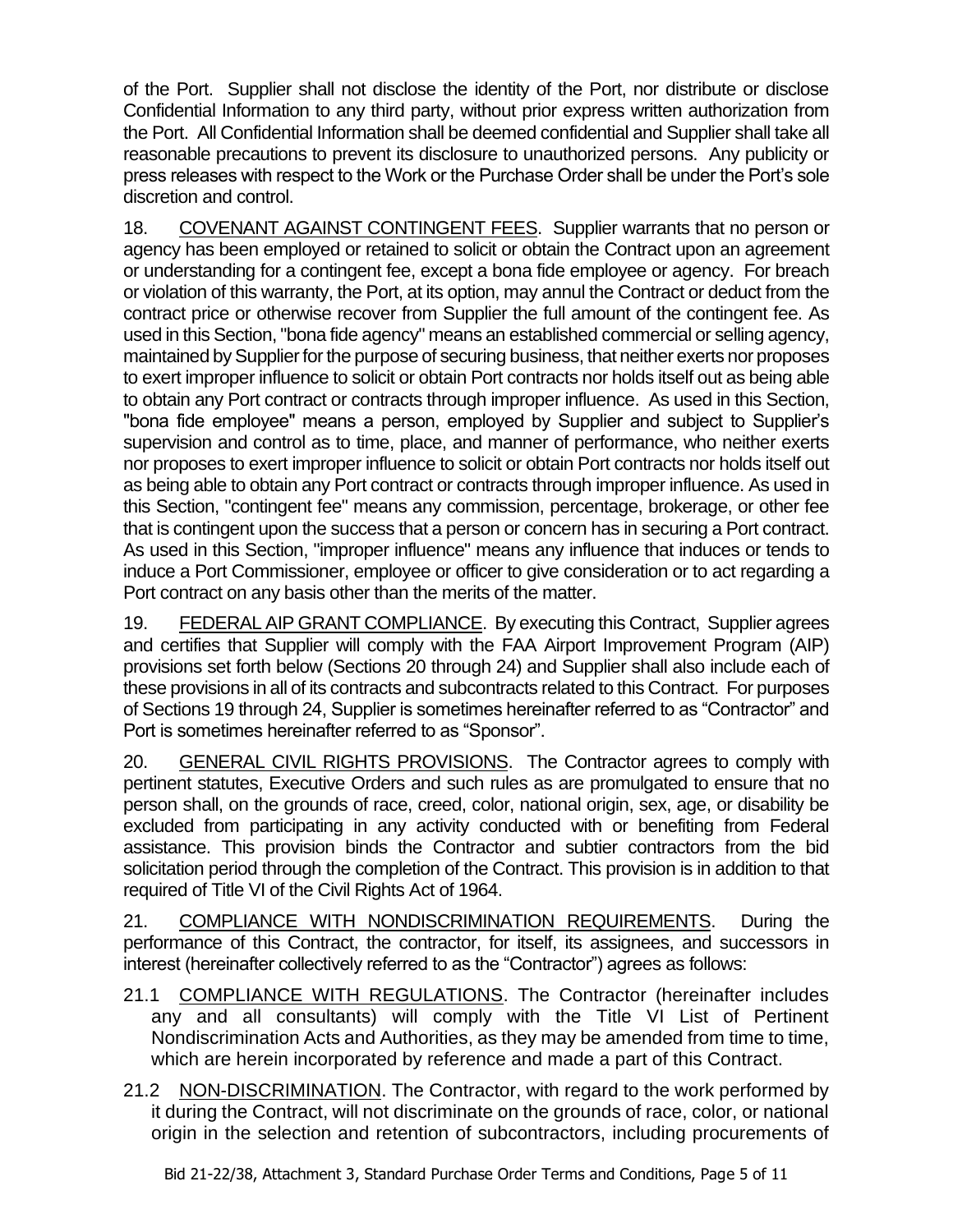of the Port. Supplier shall not disclose the identity of the Port, nor distribute or disclose Confidential Information to any third party, without prior express written authorization from the Port. All Confidential Information shall be deemed confidential and Supplier shall take all reasonable precautions to prevent its disclosure to unauthorized persons. Any publicity or press releases with respect to the Work or the Purchase Order shall be under the Port's sole discretion and control.

18. COVENANT AGAINST CONTINGENT FEES. Supplier warrants that no person or agency has been employed or retained to solicit or obtain the Contract upon an agreement or understanding for a contingent fee, except a bona fide employee or agency. For breach or violation of this warranty, the Port, at its option, may annul the Contract or deduct from the contract price or otherwise recover from Supplier the full amount of the contingent fee. As used in this Section, "bona fide agency" means an established commercial or selling agency, maintained by Supplier for the purpose of securing business, that neither exerts nor proposes to exert improper influence to solicit or obtain Port contracts nor holds itself out as being able to obtain any Port contract or contracts through improper influence. As used in this Section, "bona fide employee" means a person, employed by Supplier and subject to Supplier's supervision and control as to time, place, and manner of performance, who neither exerts nor proposes to exert improper influence to solicit or obtain Port contracts nor holds itself out as being able to obtain any Port contract or contracts through improper influence. As used in this Section, "contingent fee" means any commission, percentage, brokerage, or other fee that is contingent upon the success that a person or concern has in securing a Port contract. As used in this Section, "improper influence" means any influence that induces or tends to induce a Port Commissioner, employee or officer to give consideration or to act regarding a Port contract on any basis other than the merits of the matter.

19. FEDERAL AIP GRANT COMPLIANCE. By executing this Contract, Supplier agrees and certifies that Supplier will comply with the FAA Airport Improvement Program (AIP) provisions set forth below (Sections 20 through 24) and Supplier shall also include each of these provisions in all of its contracts and subcontracts related to this Contract. For purposes of Sections 19 through 24, Supplier is sometimes hereinafter referred to as "Contractor" and Port is sometimes hereinafter referred to as "Sponsor".

20. GENERAL CIVIL RIGHTS PROVISIONS.The Contractor agrees to comply with pertinent statutes, Executive Orders and such rules as are promulgated to ensure that no person shall, on the grounds of race, creed, color, national origin, sex, age, or disability be excluded from participating in any activity conducted with or benefiting from Federal assistance. This provision binds the Contractor and subtier contractors from the bid solicitation period through the completion of the Contract. This provision is in addition to that required of Title VI of the Civil Rights Act of 1964.

21. COMPLIANCE WITH NONDISCRIMINATION REQUIREMENTS. During the performance of this Contract, the contractor, for itself, its assignees, and successors in interest (hereinafter collectively referred to as the "Contractor") agrees as follows:

- 21.1 COMPLIANCE WITH REGULATIONS. The Contractor (hereinafter includes any and all consultants) will comply with the Title VI List of Pertinent Nondiscrimination Acts and Authorities, as they may be amended from time to time, which are herein incorporated by reference and made a part of this Contract.
- 21.2 NON-DISCRIMINATION. The Contractor, with regard to the work performed by it during the Contract, will not discriminate on the grounds of race, color, or national origin in the selection and retention of subcontractors, including procurements of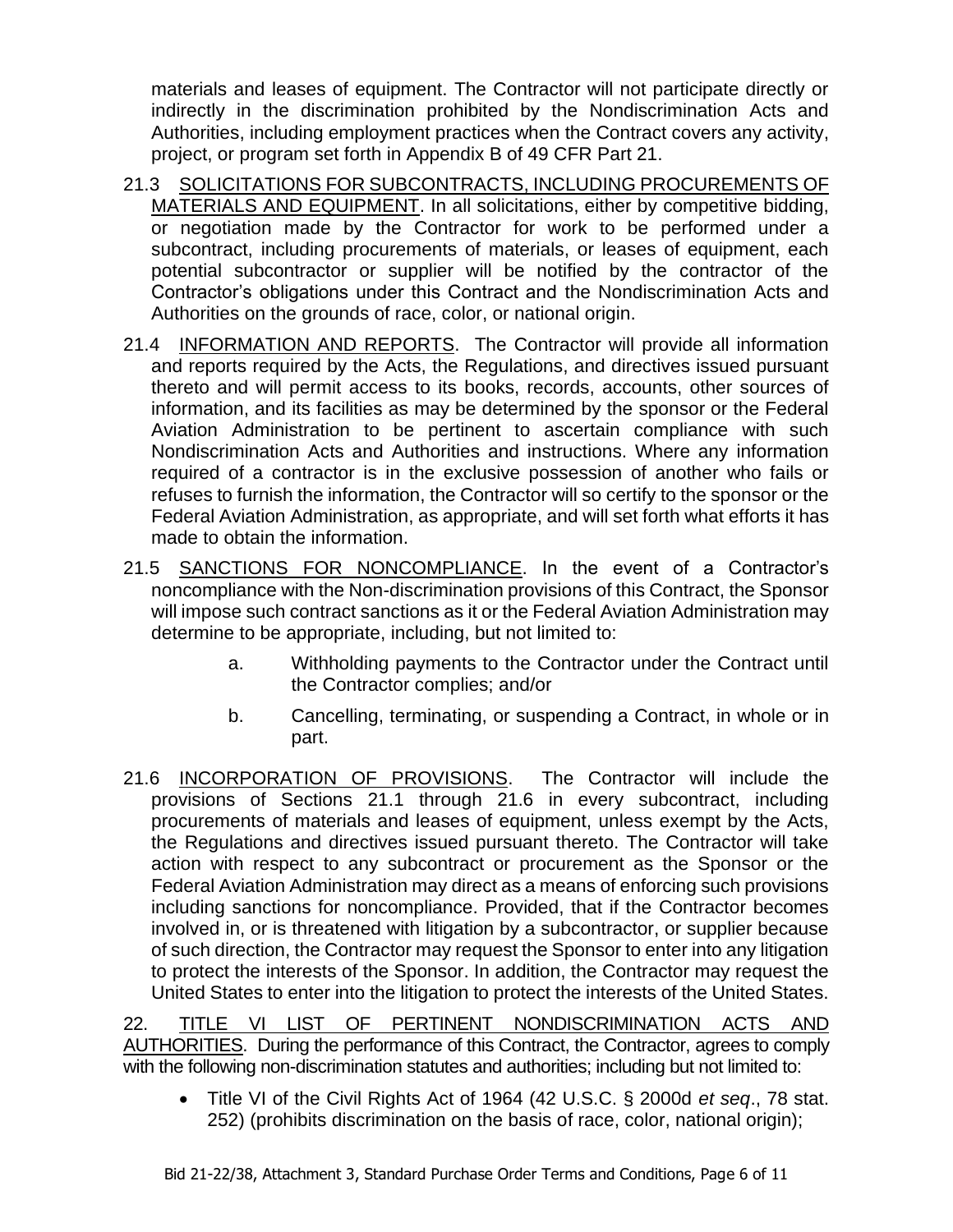materials and leases of equipment. The Contractor will not participate directly or indirectly in the discrimination prohibited by the Nondiscrimination Acts and Authorities, including employment practices when the Contract covers any activity, project, or program set forth in Appendix B of 49 CFR Part 21.

- 21.3 SOLICITATIONS FOR SUBCONTRACTS, INCLUDING PROCUREMENTS OF MATERIALS AND EQUIPMENT. In all solicitations, either by competitive bidding, or negotiation made by the Contractor for work to be performed under a subcontract, including procurements of materials, or leases of equipment, each potential subcontractor or supplier will be notified by the contractor of the Contractor's obligations under this Contract and the Nondiscrimination Acts and Authorities on the grounds of race, color, or national origin.
- 21.4 INFORMATION AND REPORTS. The Contractor will provide all information and reports required by the Acts, the Regulations, and directives issued pursuant thereto and will permit access to its books, records, accounts, other sources of information, and its facilities as may be determined by the sponsor or the Federal Aviation Administration to be pertinent to ascertain compliance with such Nondiscrimination Acts and Authorities and instructions. Where any information required of a contractor is in the exclusive possession of another who fails or refuses to furnish the information, the Contractor will so certify to the sponsor or the Federal Aviation Administration, as appropriate, and will set forth what efforts it has made to obtain the information.
- 21.5 SANCTIONS FOR NONCOMPLIANCE. In the event of a Contractor's noncompliance with the Non-discrimination provisions of this Contract, the Sponsor will impose such contract sanctions as it or the Federal Aviation Administration may determine to be appropriate, including, but not limited to:
	- a. Withholding payments to the Contractor under the Contract until the Contractor complies; and/or
	- b. Cancelling, terminating, or suspending a Contract, in whole or in part.
- 21.6 INCORPORATION OF PROVISIONS.The Contractor will include the provisions of Sections 21.1 through 21.6 in every subcontract, including procurements of materials and leases of equipment, unless exempt by the Acts, the Regulations and directives issued pursuant thereto. The Contractor will take action with respect to any subcontract or procurement as the Sponsor or the Federal Aviation Administration may direct as a means of enforcing such provisions including sanctions for noncompliance. Provided, that if the Contractor becomes involved in, or is threatened with litigation by a subcontractor, or supplier because of such direction, the Contractor may request the Sponsor to enter into any litigation to protect the interests of the Sponsor. In addition, the Contractor may request the United States to enter into the litigation to protect the interests of the United States.

22. TITLE VI LIST OF PERTINENT NONDISCRIMINATION ACTS AND AUTHORITIES. During the performance of this Contract, the Contractor, agrees to comply with the following non-discrimination statutes and authorities; including but not limited to:

• Title VI of the Civil Rights Act of 1964 (42 U.S.C. § 2000d *et seq*., 78 stat. 252) (prohibits discrimination on the basis of race, color, national origin);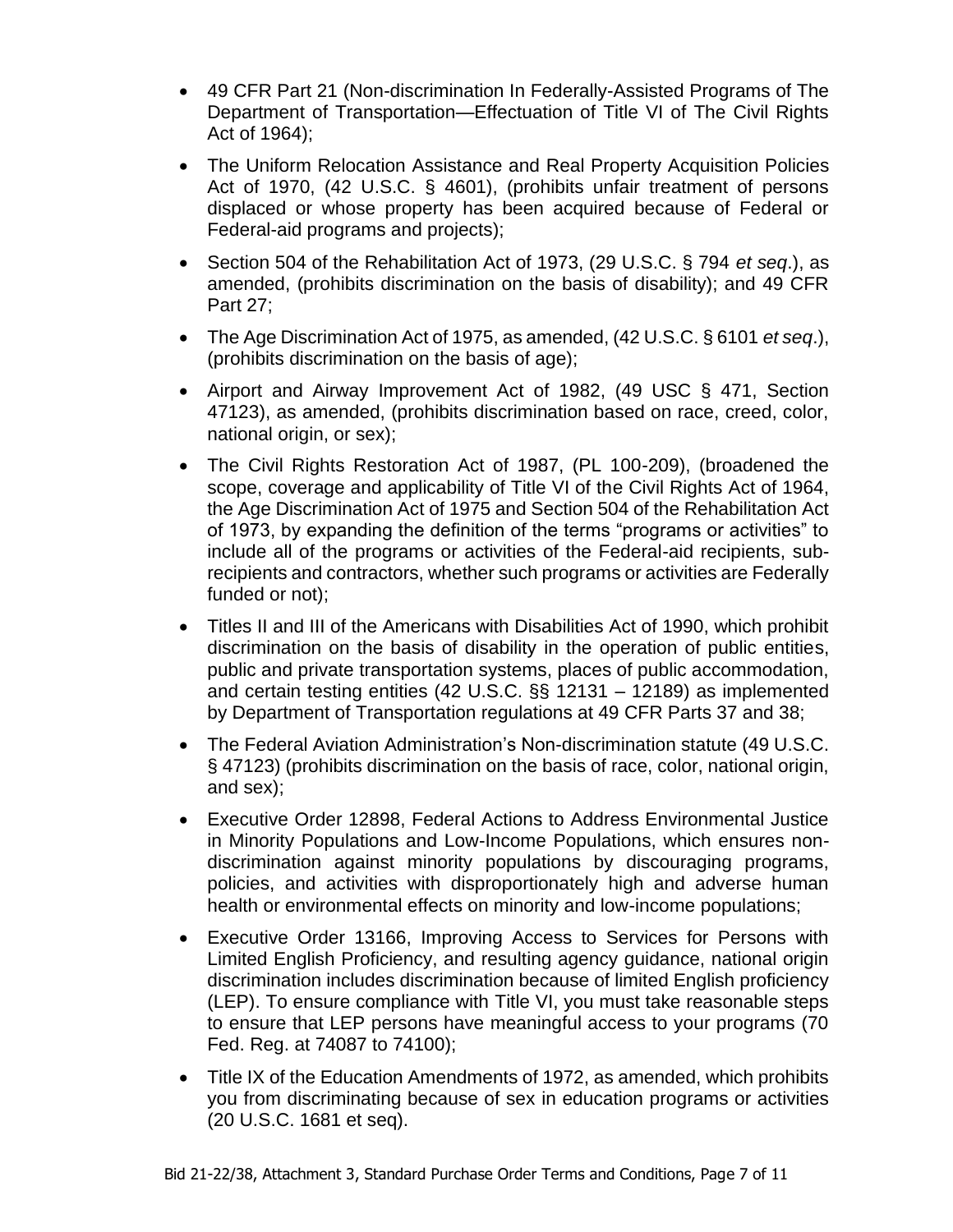- 49 CFR Part 21 (Non-discrimination In Federally-Assisted Programs of The Department of Transportation—Effectuation of Title VI of The Civil Rights Act of 1964);
- The Uniform Relocation Assistance and Real Property Acquisition Policies Act of 1970, (42 U.S.C. § 4601), (prohibits unfair treatment of persons displaced or whose property has been acquired because of Federal or Federal-aid programs and projects);
- Section 504 of the Rehabilitation Act of 1973, (29 U.S.C. § 794 *et seq*.), as amended, (prohibits discrimination on the basis of disability); and 49 CFR Part 27;
- The Age Discrimination Act of 1975, as amended, (42 U.S.C. § 6101 *et seq*.), (prohibits discrimination on the basis of age);
- Airport and Airway Improvement Act of 1982, (49 USC § 471, Section 47123), as amended, (prohibits discrimination based on race, creed, color, national origin, or sex);
- The Civil Rights Restoration Act of 1987, (PL 100-209), (broadened the scope, coverage and applicability of Title VI of the Civil Rights Act of 1964, the Age Discrimination Act of 1975 and Section 504 of the Rehabilitation Act of 1973, by expanding the definition of the terms "programs or activities" to include all of the programs or activities of the Federal-aid recipients, subrecipients and contractors, whether such programs or activities are Federally funded or not);
- Titles II and III of the Americans with Disabilities Act of 1990, which prohibit discrimination on the basis of disability in the operation of public entities, public and private transportation systems, places of public accommodation, and certain testing entities (42 U.S.C. §§ 12131 – 12189) as implemented by Department of Transportation regulations at 49 CFR Parts 37 and 38;
- The Federal Aviation Administration's Non-discrimination statute (49 U.S.C. § 47123) (prohibits discrimination on the basis of race, color, national origin, and sex);
- Executive Order 12898, Federal Actions to Address Environmental Justice in Minority Populations and Low-Income Populations, which ensures nondiscrimination against minority populations by discouraging programs, policies, and activities with disproportionately high and adverse human health or environmental effects on minority and low-income populations;
- Executive Order 13166, Improving Access to Services for Persons with Limited English Proficiency, and resulting agency guidance, national origin discrimination includes discrimination because of limited English proficiency (LEP). To ensure compliance with Title VI, you must take reasonable steps to ensure that LEP persons have meaningful access to your programs (70 Fed. Reg. at 74087 to 74100);
- Title IX of the Education Amendments of 1972, as amended, which prohibits you from discriminating because of sex in education programs or activities (20 U.S.C. 1681 et seq).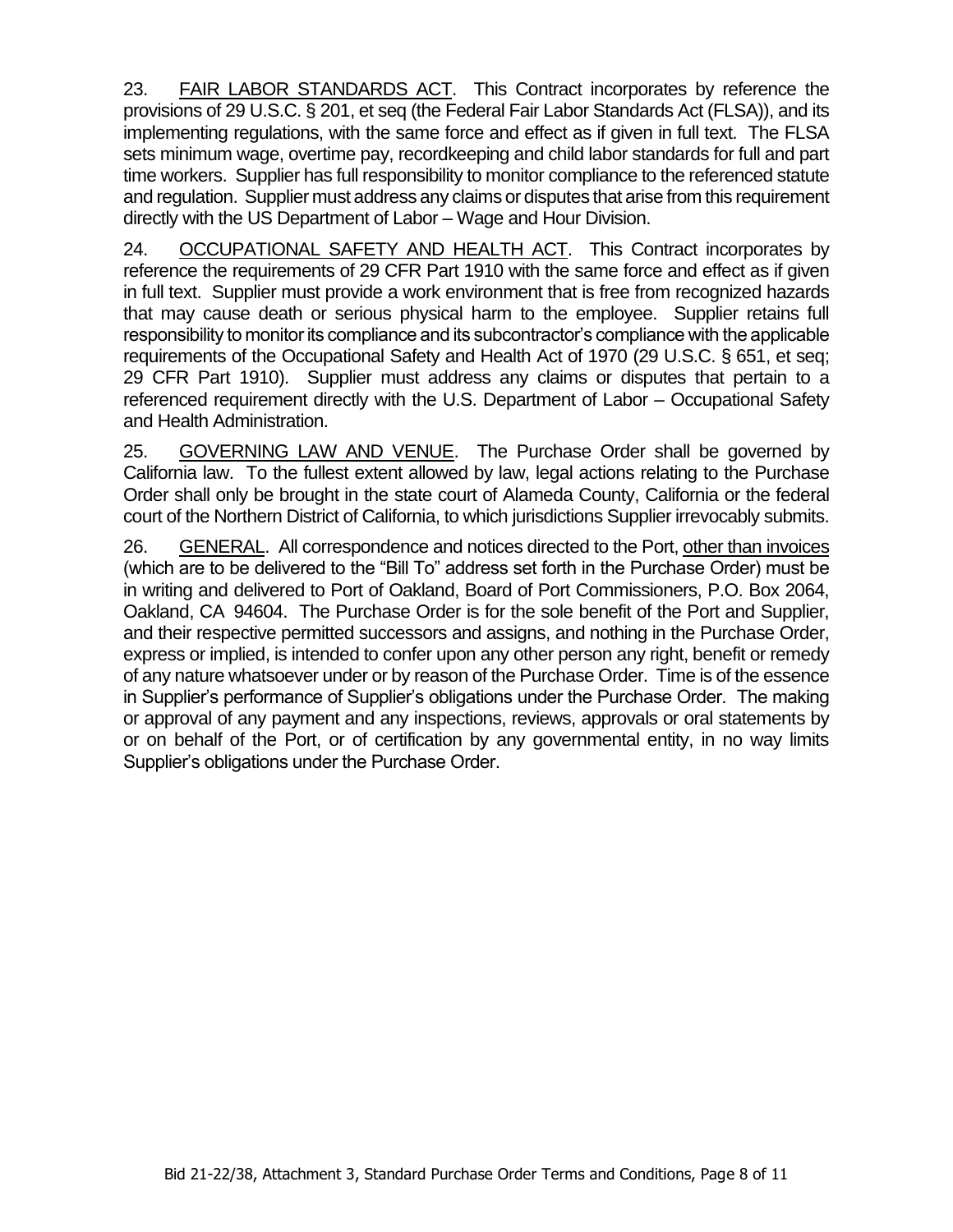23. FAIR LABOR STANDARDS ACT. This Contract incorporates by reference the provisions of 29 U.S.C. § 201, et seq (the Federal Fair Labor Standards Act (FLSA)), and its implementing regulations, with the same force and effect as if given in full text. The FLSA sets minimum wage, overtime pay, recordkeeping and child labor standards for full and part time workers. Supplier has full responsibility to monitor compliance to the referenced statute and regulation. Supplier must address any claims or disputes that arise from this requirement directly with the US Department of Labor – Wage and Hour Division.

24. OCCUPATIONAL SAFETY AND HEALTH ACT.This Contract incorporates by reference the requirements of 29 CFR Part 1910 with the same force and effect as if given in full text. Supplier must provide a work environment that is free from recognized hazards that may cause death or serious physical harm to the employee. Supplier retains full responsibility to monitor its compliance and its subcontractor's compliance with the applicable requirements of the Occupational Safety and Health Act of 1970 (29 U.S.C. § 651, et seq; 29 CFR Part 1910). Supplier must address any claims or disputes that pertain to a referenced requirement directly with the U.S. Department of Labor – Occupational Safety and Health Administration.

25. GOVERNING LAW AND VENUE. The Purchase Order shall be governed by California law. To the fullest extent allowed by law, legal actions relating to the Purchase Order shall only be brought in the state court of Alameda County, California or the federal court of the Northern District of California, to which jurisdictions Supplier irrevocably submits.

26. GENERAL. All correspondence and notices directed to the Port, other than invoices (which are to be delivered to the "Bill To" address set forth in the Purchase Order) must be in writing and delivered to Port of Oakland, Board of Port Commissioners, P.O. Box 2064, Oakland, CA 94604. The Purchase Order is for the sole benefit of the Port and Supplier, and their respective permitted successors and assigns, and nothing in the Purchase Order, express or implied, is intended to confer upon any other person any right, benefit or remedy of any nature whatsoever under or by reason of the Purchase Order. Time is of the essence in Supplier's performance of Supplier's obligations under the Purchase Order. The making or approval of any payment and any inspections, reviews, approvals or oral statements by or on behalf of the Port, or of certification by any governmental entity, in no way limits Supplier's obligations under the Purchase Order.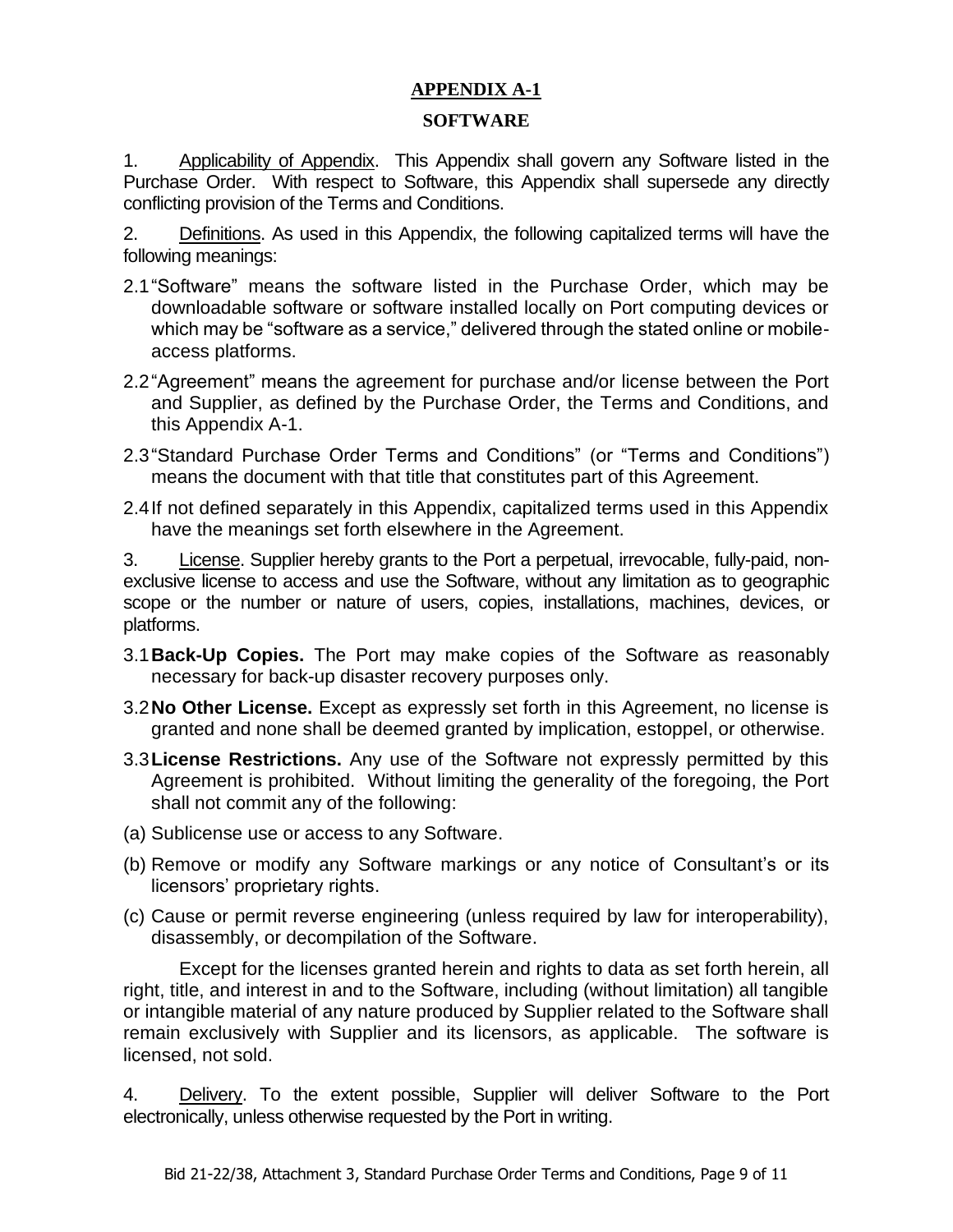# **APPENDIX A-1**

## **SOFTWARE**

1. Applicability of Appendix. This Appendix shall govern any Software listed in the Purchase Order. With respect to Software, this Appendix shall supersede any directly conflicting provision of the Terms and Conditions.

2. Definitions. As used in this Appendix, the following capitalized terms will have the following meanings:

- 2.1"Software" means the software listed in the Purchase Order, which may be downloadable software or software installed locally on Port computing devices or which may be "software as a service," delivered through the stated online or mobileaccess platforms.
- 2.2"Agreement" means the agreement for purchase and/or license between the Port and Supplier, as defined by the Purchase Order, the Terms and Conditions, and this Appendix A-1.
- 2.3"Standard Purchase Order Terms and Conditions" (or "Terms and Conditions") means the document with that title that constitutes part of this Agreement.
- 2.4If not defined separately in this Appendix, capitalized terms used in this Appendix have the meanings set forth elsewhere in the Agreement.

3. License. Supplier hereby grants to the Port a perpetual, irrevocable, fully-paid, nonexclusive license to access and use the Software, without any limitation as to geographic scope or the number or nature of users, copies, installations, machines, devices, or platforms.

- 3.1**Back-Up Copies.** The Port may make copies of the Software as reasonably necessary for back-up disaster recovery purposes only.
- 3.2**No Other License.** Except as expressly set forth in this Agreement, no license is granted and none shall be deemed granted by implication, estoppel, or otherwise.
- 3.3**License Restrictions.** Any use of the Software not expressly permitted by this Agreement is prohibited. Without limiting the generality of the foregoing, the Port shall not commit any of the following:
- (a) Sublicense use or access to any Software.
- (b) Remove or modify any Software markings or any notice of Consultant's or its licensors' proprietary rights.
- (c) Cause or permit reverse engineering (unless required by law for interoperability), disassembly, or decompilation of the Software.

Except for the licenses granted herein and rights to data as set forth herein, all right, title, and interest in and to the Software, including (without limitation) all tangible or intangible material of any nature produced by Supplier related to the Software shall remain exclusively with Supplier and its licensors, as applicable. The software is licensed, not sold.

4. Delivery. To the extent possible, Supplier will deliver Software to the Port electronically, unless otherwise requested by the Port in writing.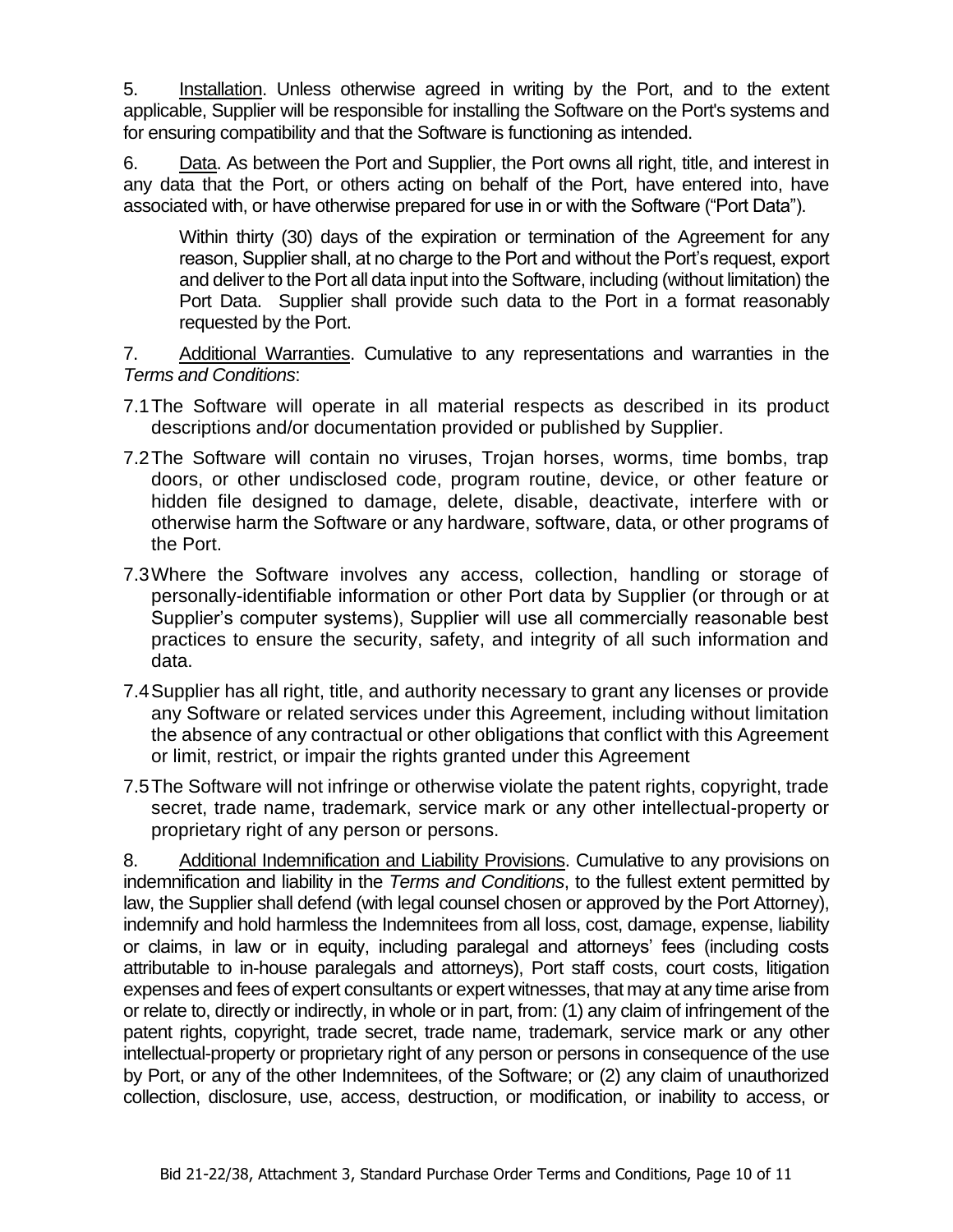5. Installation. Unless otherwise agreed in writing by the Port, and to the extent applicable, Supplier will be responsible for installing the Software on the Port's systems and for ensuring compatibility and that the Software is functioning as intended.

6. Data. As between the Port and Supplier, the Port owns all right, title, and interest in any data that the Port, or others acting on behalf of the Port, have entered into, have associated with, or have otherwise prepared for use in or with the Software ("Port Data").

Within thirty (30) days of the expiration or termination of the Agreement for any reason, Supplier shall, at no charge to the Port and without the Port's request, export and deliver to the Port all data input into the Software, including (without limitation) the Port Data. Supplier shall provide such data to the Port in a format reasonably requested by the Port.

7. Additional Warranties. Cumulative to any representations and warranties in the *Terms and Conditions*:

- 7.1The Software will operate in all material respects as described in its product descriptions and/or documentation provided or published by Supplier.
- 7.2The Software will contain no viruses, Trojan horses, worms, time bombs, trap doors, or other undisclosed code, program routine, device, or other feature or hidden file designed to damage, delete, disable, deactivate, interfere with or otherwise harm the Software or any hardware, software, data, or other programs of the Port.
- 7.3Where the Software involves any access, collection, handling or storage of personally-identifiable information or other Port data by Supplier (or through or at Supplier's computer systems), Supplier will use all commercially reasonable best practices to ensure the security, safety, and integrity of all such information and data.
- 7.4Supplier has all right, title, and authority necessary to grant any licenses or provide any Software or related services under this Agreement, including without limitation the absence of any contractual or other obligations that conflict with this Agreement or limit, restrict, or impair the rights granted under this Agreement
- 7.5The Software will not infringe or otherwise violate the patent rights, copyright, trade secret, trade name, trademark, service mark or any other intellectual-property or proprietary right of any person or persons.

8. Additional Indemnification and Liability Provisions. Cumulative to any provisions on indemnification and liability in the *Terms and Conditions*, to the fullest extent permitted by law, the Supplier shall defend (with legal counsel chosen or approved by the Port Attorney), indemnify and hold harmless the Indemnitees from all loss, cost, damage, expense, liability or claims, in law or in equity, including paralegal and attorneys' fees (including costs attributable to in-house paralegals and attorneys), Port staff costs, court costs, litigation expenses and fees of expert consultants or expert witnesses, that may at any time arise from or relate to, directly or indirectly, in whole or in part, from: (1) any claim of infringement of the patent rights, copyright, trade secret, trade name, trademark, service mark or any other intellectual-property or proprietary right of any person or persons in consequence of the use by Port, or any of the other Indemnitees, of the Software; or (2) any claim of unauthorized collection, disclosure, use, access, destruction, or modification, or inability to access, or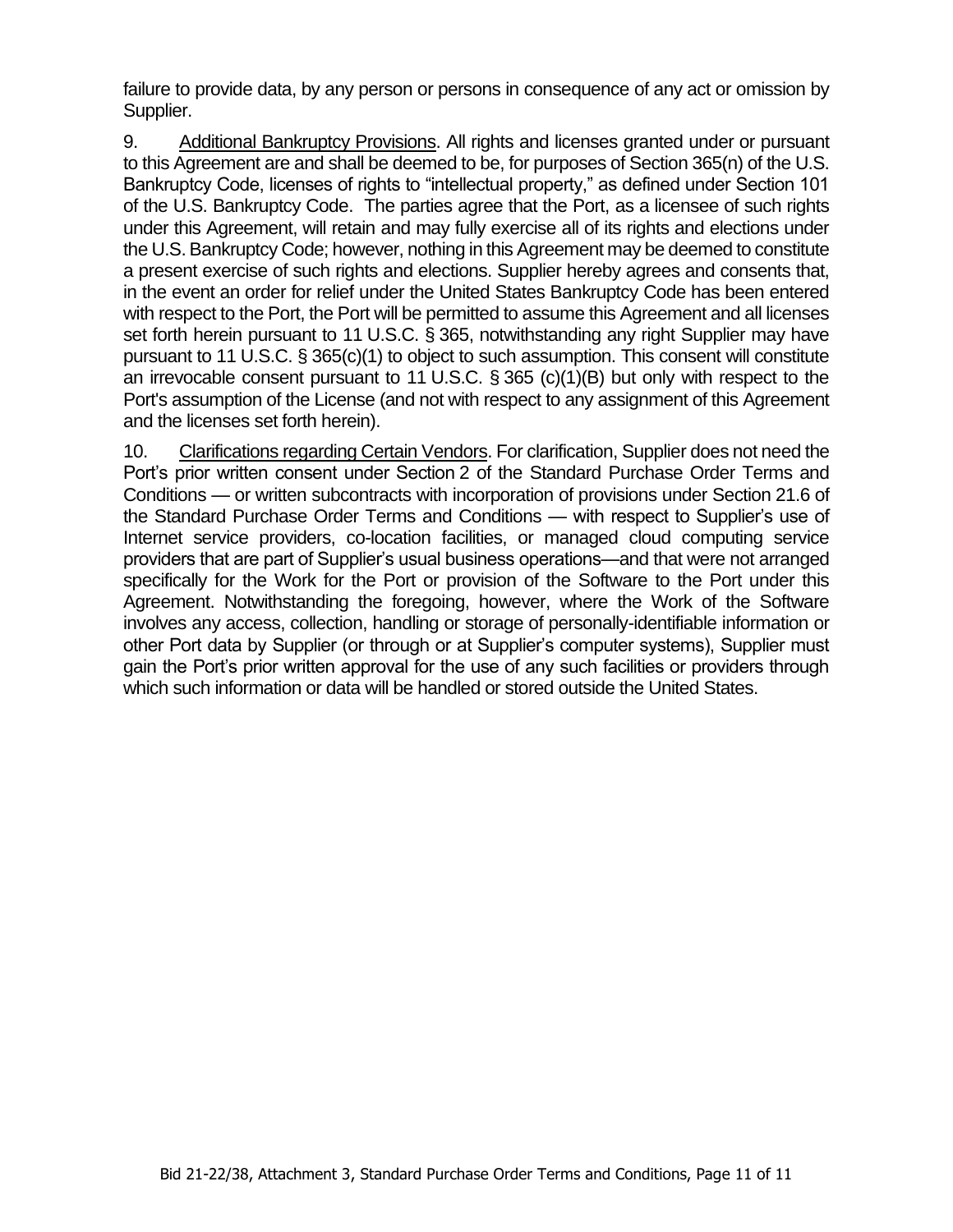failure to provide data, by any person or persons in consequence of any act or omission by Supplier.

9. Additional Bankruptcy Provisions. All rights and licenses granted under or pursuant to this Agreement are and shall be deemed to be, for purposes of Section 365(n) of the U.S. Bankruptcy Code, licenses of rights to "intellectual property," as defined under Section 101 of the U.S. Bankruptcy Code. The parties agree that the Port, as a licensee of such rights under this Agreement, will retain and may fully exercise all of its rights and elections under the U.S. Bankruptcy Code; however, nothing in this Agreement may be deemed to constitute a present exercise of such rights and elections. Supplier hereby agrees and consents that, in the event an order for relief under the United States Bankruptcy Code has been entered with respect to the Port, the Port will be permitted to assume this Agreement and all licenses set forth herein pursuant to 11 U.S.C. § 365, notwithstanding any right Supplier may have pursuant to 11 U.S.C. § 365(c)(1) to object to such assumption. This consent will constitute an irrevocable consent pursuant to 11 U.S.C. § 365 (c)(1)(B) but only with respect to the Port's assumption of the License (and not with respect to any assignment of this Agreement and the licenses set forth herein).

10. Clarifications regarding Certain Vendors. For clarification, Supplier does not need the Port's prior written consent under Section 2 of the Standard Purchase Order Terms and Conditions — or written subcontracts with incorporation of provisions under Section 21.6 of the Standard Purchase Order Terms and Conditions — with respect to Supplier's use of Internet service providers, co-location facilities, or managed cloud computing service providers that are part of Supplier's usual business operations—and that were not arranged specifically for the Work for the Port or provision of the Software to the Port under this Agreement. Notwithstanding the foregoing, however, where the Work of the Software involves any access, collection, handling or storage of personally-identifiable information or other Port data by Supplier (or through or at Supplier's computer systems), Supplier must gain the Port's prior written approval for the use of any such facilities or providers through which such information or data will be handled or stored outside the United States.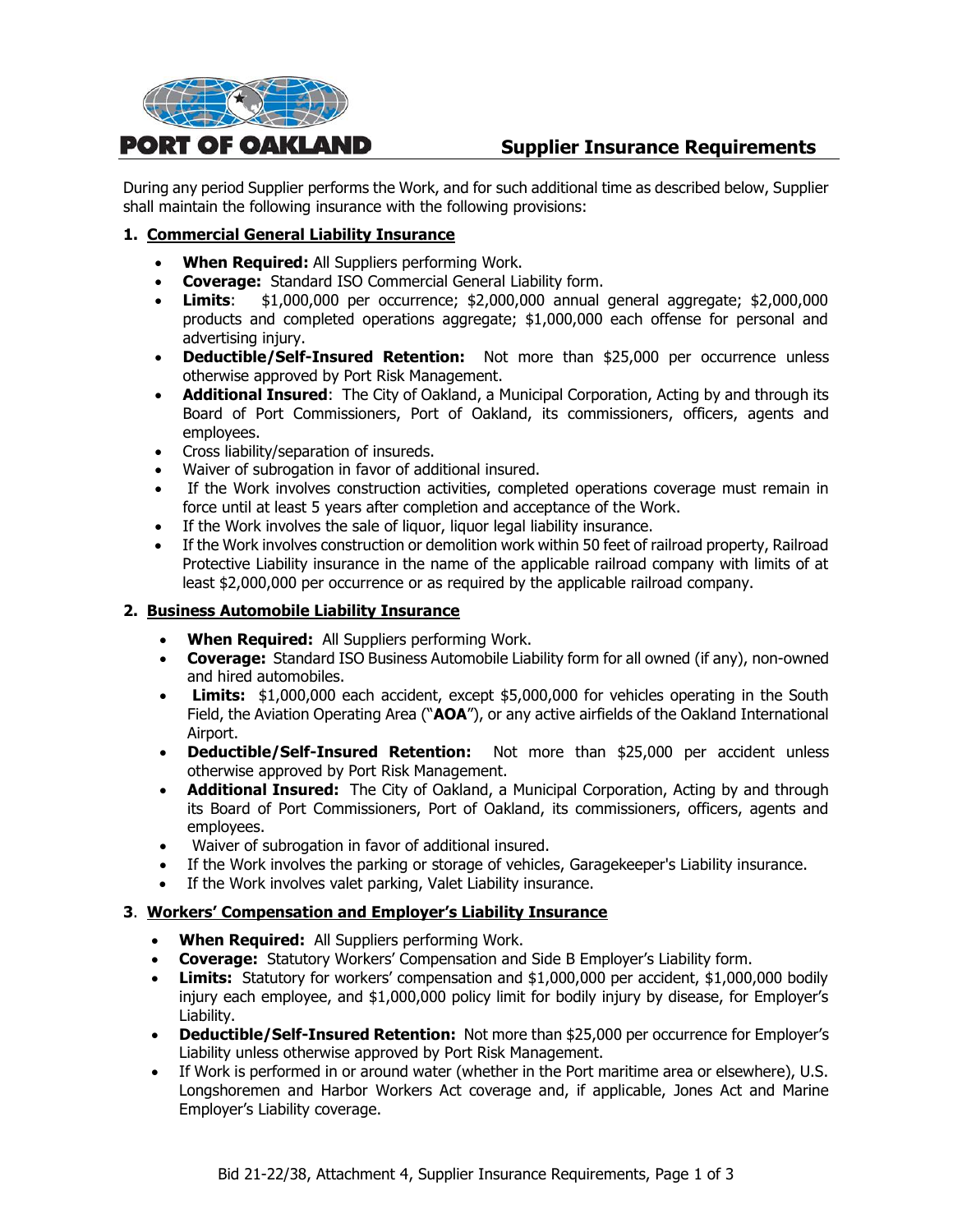

# **Supplier Insurance Requirements**

During any period Supplier performs the Work, and for such additional time as described below, Supplier shall maintain the following insurance with the following provisions:

#### **1. Commercial General Liability Insurance**

- **When Required:** All Suppliers performing Work.
- **Coverage:** Standard ISO Commercial General Liability form.
- **Limits**: \$1,000,000 per occurrence; \$2,000,000 annual general aggregate; \$2,000,000 products and completed operations aggregate; \$1,000,000 each offense for personal and advertising injury.
- **Deductible/Self-Insured Retention:** Not more than \$25,000 per occurrence unless otherwise approved by Port Risk Management.
- **Additional Insured**: The City of Oakland, a Municipal Corporation, Acting by and through its Board of Port Commissioners, Port of Oakland, its commissioners, officers, agents and employees.
- Cross liability/separation of insureds.
- Waiver of subrogation in favor of additional insured.
- If the Work involves construction activities, completed operations coverage must remain in force until at least 5 years after completion and acceptance of the Work.
- If the Work involves the sale of liquor, liquor legal liability insurance.
- If the Work involves construction or demolition work within 50 feet of railroad property, Railroad Protective Liability insurance in the name of the applicable railroad company with limits of at least \$2,000,000 per occurrence or as required by the applicable railroad company.

#### **2. Business Automobile Liability Insurance**

- **When Required:** All Suppliers performing Work.
- **Coverage:** Standard ISO Business Automobile Liability form for all owned (if any), non-owned and hired automobiles.
- **Limits:** \$1,000,000 each accident, except \$5,000,000 for vehicles operating in the South Field, the Aviation Operating Area ("**AOA**"), or any active airfields of the Oakland International Airport.
- **Deductible/Self-Insured Retention:** Not more than \$25,000 per accident unless otherwise approved by Port Risk Management.
- **Additional Insured:** The City of Oakland, a Municipal Corporation, Acting by and through its Board of Port Commissioners, Port of Oakland, its commissioners, officers, agents and employees.
- Waiver of subrogation in favor of additional insured.
- If the Work involves the parking or storage of vehicles, Garagekeeper's Liability insurance.
- If the Work involves valet parking, Valet Liability insurance.

#### **3**. **Workers' Compensation and Employer's Liability Insurance**

- **When Required:** All Suppliers performing Work.
- **Coverage:** Statutory Workers' Compensation and Side B Employer's Liability form.
- **Limits:** Statutory for workers' compensation and \$1,000,000 per accident, \$1,000,000 bodily injury each employee, and \$1,000,000 policy limit for bodily injury by disease, for Employer's Liability.
- **Deductible/Self-Insured Retention:** Not more than \$25,000 per occurrence for Employer's Liability unless otherwise approved by Port Risk Management.
- If Work is performed in or around water (whether in the Port maritime area or elsewhere), U.S. Longshoremen and Harbor Workers Act coverage and, if applicable, Jones Act and Marine Employer's Liability coverage.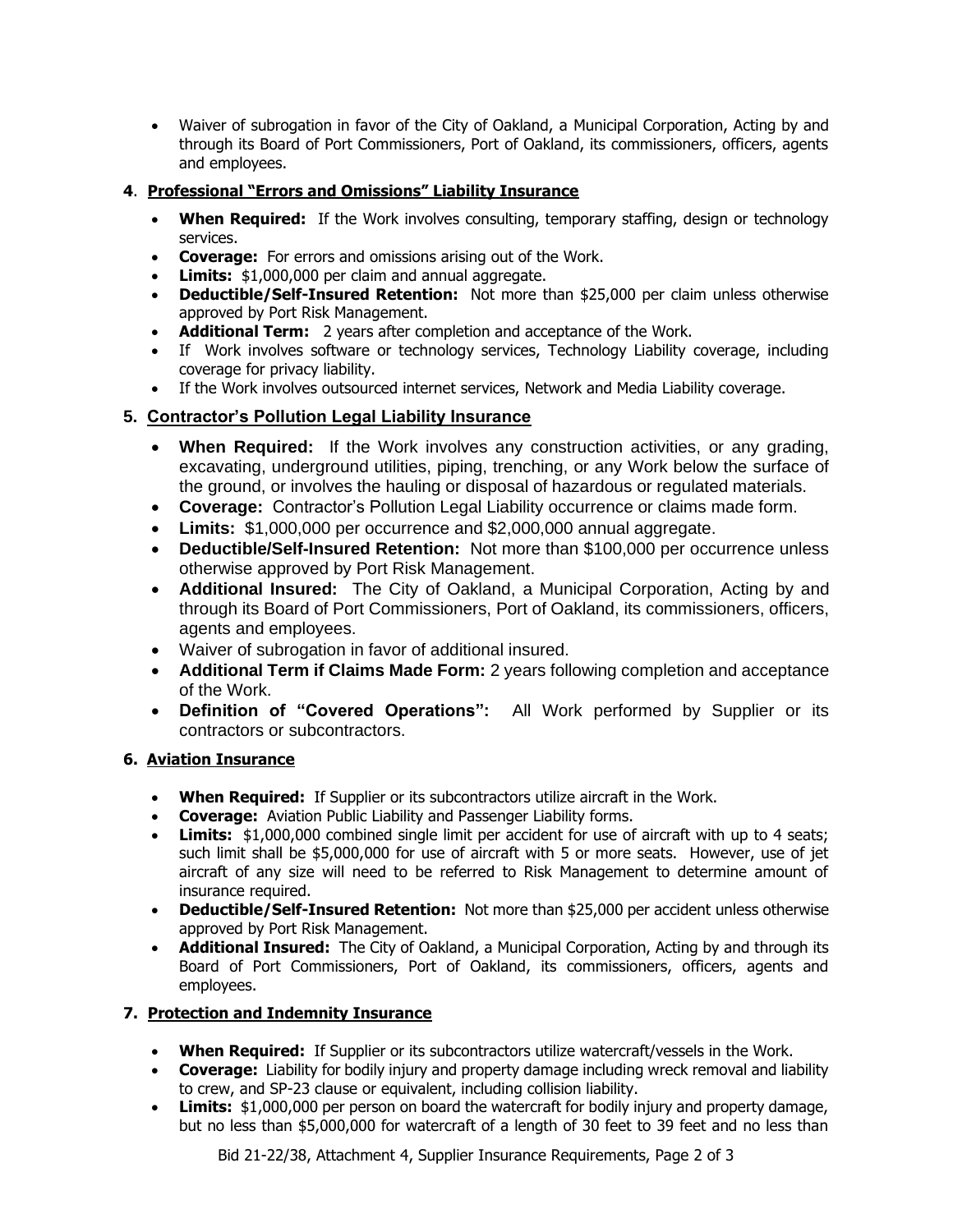• Waiver of subrogation in favor of the City of Oakland, a Municipal Corporation, Acting by and through its Board of Port Commissioners, Port of Oakland, its commissioners, officers, agents and employees.

## **4**. **Professional "Errors and Omissions" Liability Insurance**

- **When Required:** If the Work involves consulting, temporary staffing, design or technology services.
- **Coverage:** For errors and omissions arising out of the Work.
- **Limits:** \$1,000,000 per claim and annual aggregate.
- **Deductible/Self-Insured Retention:** Not more than \$25,000 per claim unless otherwise approved by Port Risk Management.
- **Additional Term:** 2 years after completion and acceptance of the Work.
- If Work involves software or technology services, Technology Liability coverage, including coverage for privacy liability.
- If the Work involves outsourced internet services, Network and Media Liability coverage.

# **5. Contractor's Pollution Legal Liability Insurance**

- **When Required:** If the Work involves any construction activities, or any grading, excavating, underground utilities, piping, trenching, or any Work below the surface of the ground, or involves the hauling or disposal of hazardous or regulated materials.
- **Coverage:** Contractor's Pollution Legal Liability occurrence or claims made form.
- **Limits:** \$1,000,000 per occurrence and \$2,000,000 annual aggregate.
- **Deductible/Self-Insured Retention:** Not more than \$100,000 per occurrence unless otherwise approved by Port Risk Management.
- **Additional Insured:** The City of Oakland, a Municipal Corporation, Acting by and through its Board of Port Commissioners, Port of Oakland, its commissioners, officers, agents and employees.
- Waiver of subrogation in favor of additional insured.
- **Additional Term if Claims Made Form:** 2 years following completion and acceptance of the Work.
- **Definition of "Covered Operations":** All Work performed by Supplier or its contractors or subcontractors.

#### **6. Aviation Insurance**

- **When Required:** If Supplier or its subcontractors utilize aircraft in the Work.
- **Coverage:** Aviation Public Liability and Passenger Liability forms.
- **Limits:** \$1,000,000 combined single limit per accident for use of aircraft with up to 4 seats: such limit shall be \$5,000,000 for use of aircraft with 5 or more seats. However, use of jet aircraft of any size will need to be referred to Risk Management to determine amount of insurance required.
- **Deductible/Self-Insured Retention:** Not more than \$25,000 per accident unless otherwise approved by Port Risk Management.
- **Additional Insured:** The City of Oakland, a Municipal Corporation, Acting by and through its Board of Port Commissioners, Port of Oakland, its commissioners, officers, agents and employees.

#### **7. Protection and Indemnity Insurance**

- **When Required:** If Supplier or its subcontractors utilize watercraft/vessels in the Work.
- **Coverage:** Liability for bodily injury and property damage including wreck removal and liability to crew, and SP-23 clause or equivalent, including collision liability.
- **Limits:** \$1,000,000 per person on board the watercraft for bodily injury and property damage, but no less than \$5,000,000 for watercraft of a length of 30 feet to 39 feet and no less than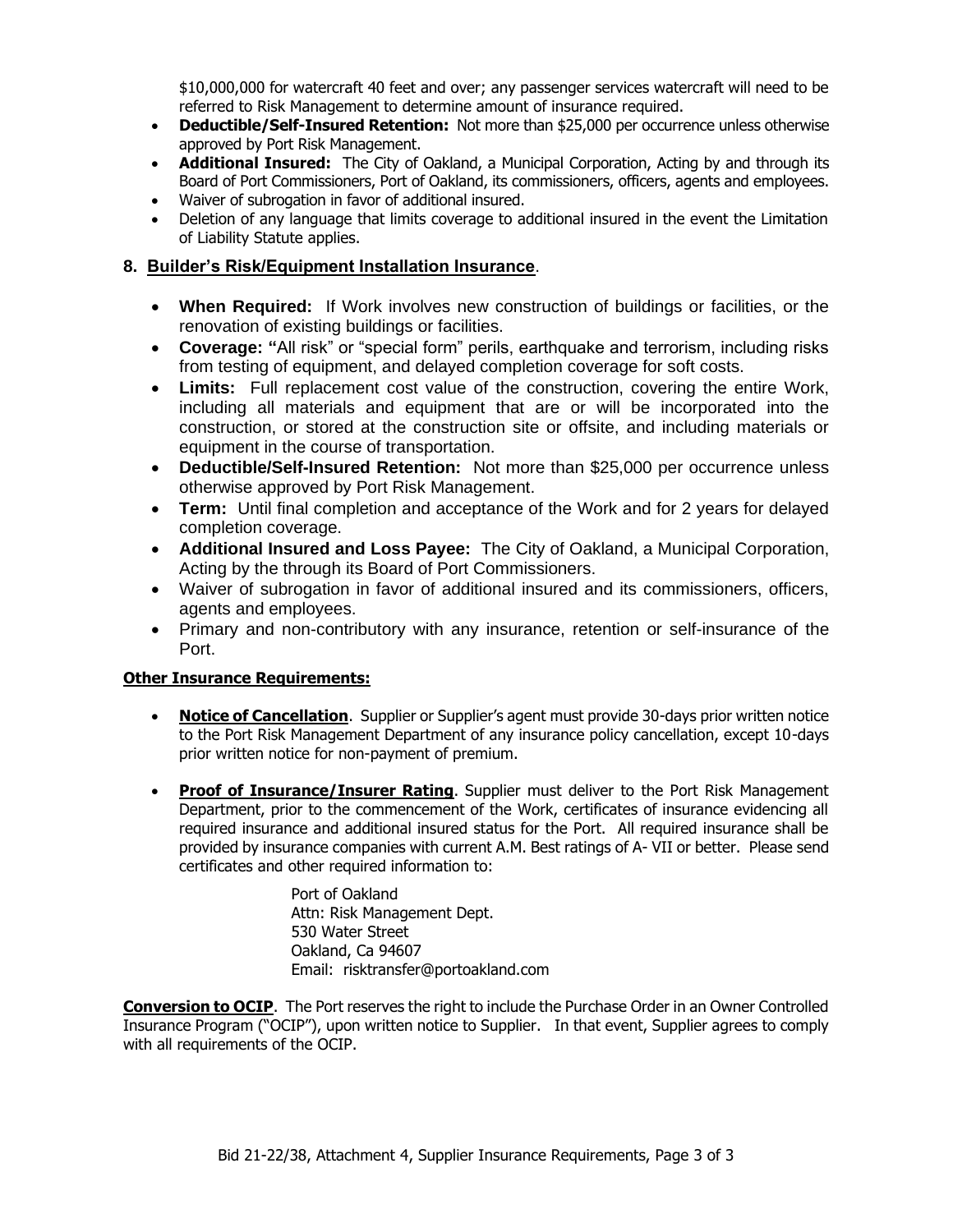\$10,000,000 for watercraft 40 feet and over; any passenger services watercraft will need to be referred to Risk Management to determine amount of insurance required.

- **Deductible/Self-Insured Retention:** Not more than \$25,000 per occurrence unless otherwise approved by Port Risk Management.
- **Additional Insured:** The City of Oakland, a Municipal Corporation, Acting by and through its Board of Port Commissioners, Port of Oakland, its commissioners, officers, agents and employees.
- Waiver of subrogation in favor of additional insured.
- Deletion of any language that limits coverage to additional insured in the event the Limitation of Liability Statute applies.

## **8. Builder's Risk/Equipment Installation Insurance**.

- **When Required:** If Work involves new construction of buildings or facilities, or the renovation of existing buildings or facilities.
- **Coverage: "**All risk" or "special form" perils, earthquake and terrorism, including risks from testing of equipment, and delayed completion coverage for soft costs.
- **Limits:** Full replacement cost value of the construction, covering the entire Work, including all materials and equipment that are or will be incorporated into the construction, or stored at the construction site or offsite, and including materials or equipment in the course of transportation.
- **Deductible/Self-Insured Retention:** Not more than \$25,000 per occurrence unless otherwise approved by Port Risk Management.
- **Term:** Until final completion and acceptance of the Work and for 2 years for delayed completion coverage.
- **Additional Insured and Loss Payee:** The City of Oakland, a Municipal Corporation, Acting by the through its Board of Port Commissioners.
- Waiver of subrogation in favor of additional insured and its commissioners, officers, agents and employees.
- Primary and non-contributory with any insurance, retention or self-insurance of the Port.

#### **Other Insurance Requirements:**

- **Notice of Cancellation**. Supplier or Supplier's agent must provide 30-days prior written notice to the Port Risk Management Department of any insurance policy cancellation, except 10-days prior written notice for non-payment of premium.
- **Proof of Insurance/Insurer Rating**. Supplier must deliver to the Port Risk Management Department, prior to the commencement of the Work, certificates of insurance evidencing all required insurance and additional insured status for the Port. All required insurance shall be provided by insurance companies with current A.M. Best ratings of A- VII or better. Please send certificates and other required information to:

Port of Oakland Attn: Risk Management Dept. 530 Water Street Oakland, Ca 94607 Email: risktransfer@portoakland.com

**Conversion to OCIP**. The Port reserves the right to include the Purchase Order in an Owner Controlled Insurance Program ("OCIP"), upon written notice to Supplier. In that event, Supplier agrees to comply with all requirements of the OCIP.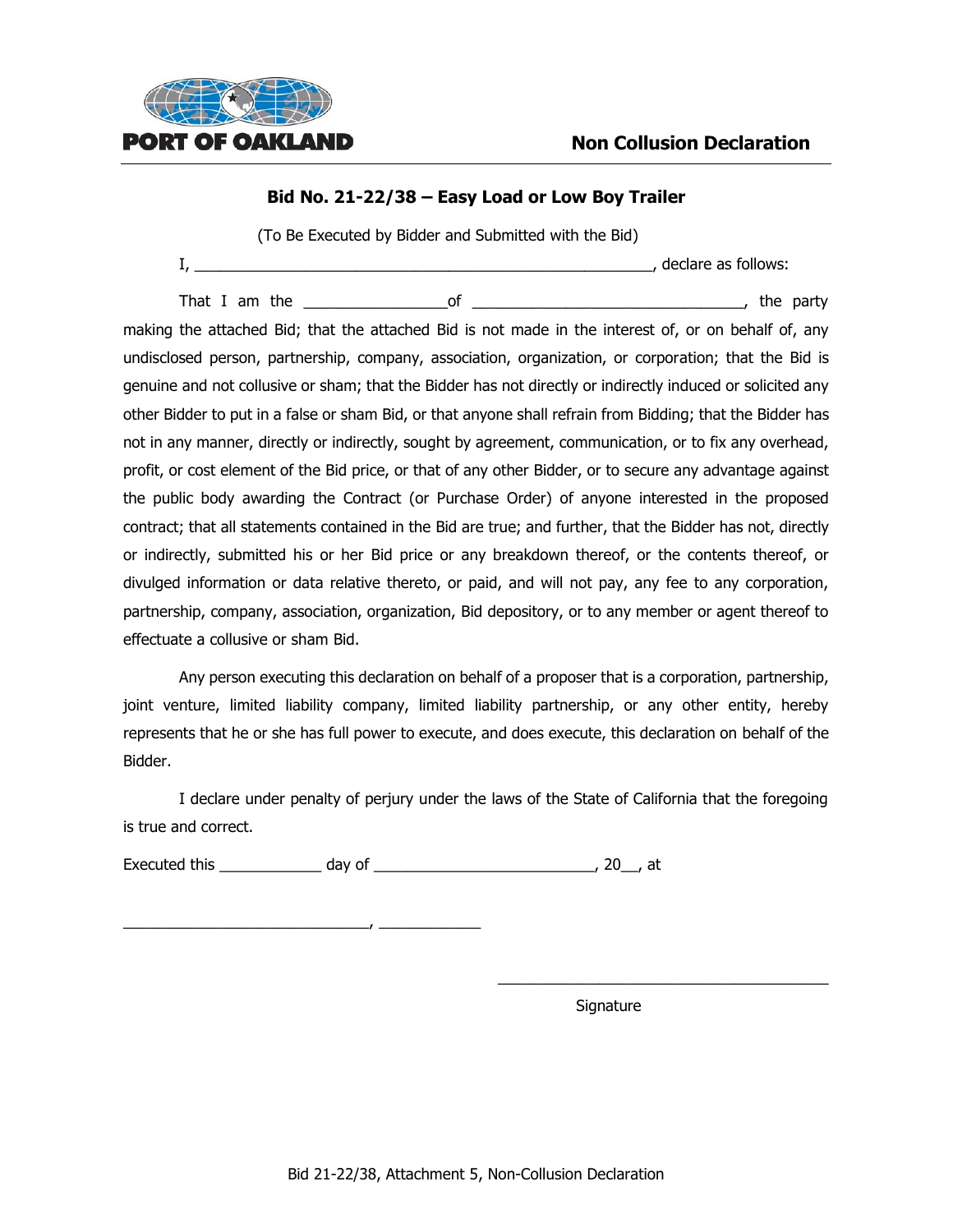

#### **Bid No. 21-22/38 – Easy Load or Low Boy Trailer**

(To Be Executed by Bidder and Submitted with the Bid)

|  | declare as follows: |
|--|---------------------|
|  |                     |

That I am the the set of the set of the set of the set of the party of the party making the attached Bid; that the attached Bid is not made in the interest of, or on behalf of, any undisclosed person, partnership, company, association, organization, or corporation; that the Bid is genuine and not collusive or sham; that the Bidder has not directly or indirectly induced or solicited any other Bidder to put in a false or sham Bid, or that anyone shall refrain from Bidding; that the Bidder has not in any manner, directly or indirectly, sought by agreement, communication, or to fix any overhead, profit, or cost element of the Bid price, or that of any other Bidder, or to secure any advantage against the public body awarding the Contract (or Purchase Order) of anyone interested in the proposed contract; that all statements contained in the Bid are true; and further, that the Bidder has not, directly or indirectly, submitted his or her Bid price or any breakdown thereof, or the contents thereof, or divulged information or data relative thereto, or paid, and will not pay, any fee to any corporation, partnership, company, association, organization, Bid depository, or to any member or agent thereof to effectuate a collusive or sham Bid.

Any person executing this declaration on behalf of a proposer that is a corporation, partnership, joint venture, limited liability company, limited liability partnership, or any other entity, hereby represents that he or she has full power to execute, and does execute, this declaration on behalf of the Bidder.

I declare under penalty of perjury under the laws of the State of California that the foregoing is true and correct.

Executed this \_\_\_\_\_\_\_\_\_\_\_\_ day of \_\_\_\_\_\_\_\_\_\_\_\_\_\_\_\_\_\_\_\_\_\_\_\_\_\_, 20\_\_, at

\_\_\_\_\_\_\_\_\_\_\_\_\_\_\_\_\_\_\_\_\_\_\_\_\_\_\_\_\_, \_\_\_\_\_\_\_\_\_\_\_\_

Signature

\_\_\_\_\_\_\_\_\_\_\_\_\_\_\_\_\_\_\_\_\_\_\_\_\_\_\_\_\_\_\_\_\_\_\_\_\_\_\_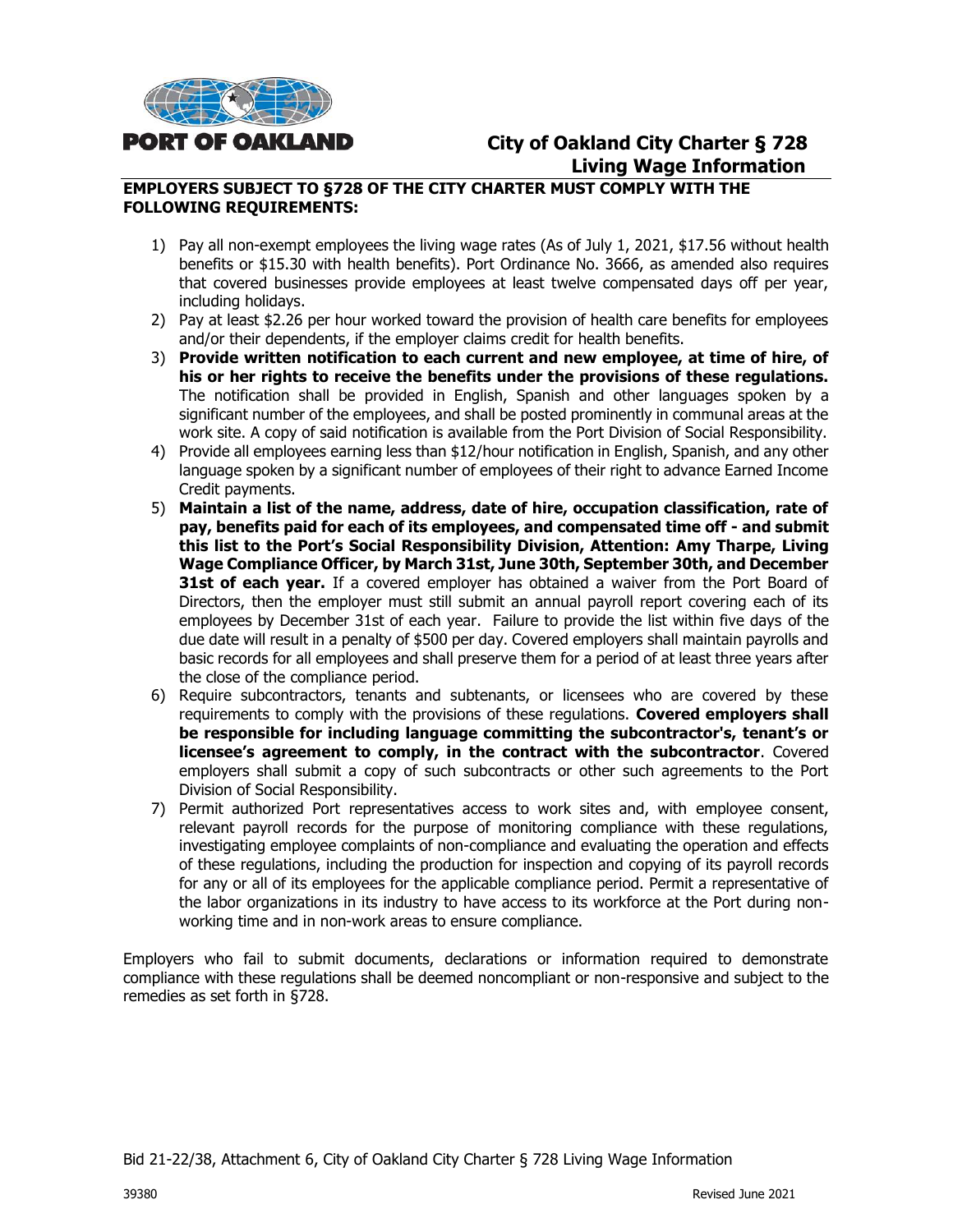

# **City of Oakland City Charter § 728 Living Wage Information**

#### **EMPLOYERS SUBJECT TO §728 OF THE CITY CHARTER MUST COMPLY WITH THE FOLLOWING REQUIREMENTS:**

- 1) Pay all non-exempt employees the living wage rates (As of July 1, 2021, \$17.56 without health benefits or \$15.30 with health benefits). Port Ordinance No. 3666, as amended also requires that covered businesses provide employees at least twelve compensated days off per year, including holidays.
- 2) Pay at least \$2.26 per hour worked toward the provision of health care benefits for employees and/or their dependents, if the employer claims credit for health benefits.
- 3) **Provide written notification to each current and new employee, at time of hire, of his or her rights to receive the benefits under the provisions of these regulations.** The notification shall be provided in English, Spanish and other languages spoken by a significant number of the employees, and shall be posted prominently in communal areas at the work site. A copy of said notification is available from the Port Division of Social Responsibility.
- 4) Provide all employees earning less than \$12/hour notification in English, Spanish, and any other language spoken by a significant number of employees of their right to advance Earned Income Credit payments.
- 5) **Maintain a list of the name, address, date of hire, occupation classification, rate of pay, benefits paid for each of its employees, and compensated time off - and submit this list to the Port's Social Responsibility Division, Attention: Amy Tharpe, Living Wage Compliance Officer, by March 31st, June 30th, September 30th, and December 31st of each year.** If a covered employer has obtained a waiver from the Port Board of Directors, then the employer must still submit an annual payroll report covering each of its employees by December 31st of each year. Failure to provide the list within five days of the due date will result in a penalty of \$500 per day. Covered employers shall maintain payrolls and basic records for all employees and shall preserve them for a period of at least three years after the close of the compliance period.
- 6) Require subcontractors, tenants and subtenants, or licensees who are covered by these requirements to comply with the provisions of these regulations. **Covered employers shall be responsible for including language committing the subcontractor's, tenant's or licensee's agreement to comply, in the contract with the subcontractor**. Covered employers shall submit a copy of such subcontracts or other such agreements to the Port Division of Social Responsibility.
- 7) Permit authorized Port representatives access to work sites and, with employee consent, relevant payroll records for the purpose of monitoring compliance with these regulations, investigating employee complaints of non-compliance and evaluating the operation and effects of these regulations, including the production for inspection and copying of its payroll records for any or all of its employees for the applicable compliance period. Permit a representative of the labor organizations in its industry to have access to its workforce at the Port during nonworking time and in non-work areas to ensure compliance.

Employers who fail to submit documents, declarations or information required to demonstrate compliance with these regulations shall be deemed noncompliant or non-responsive and subject to the remedies as set forth in §728.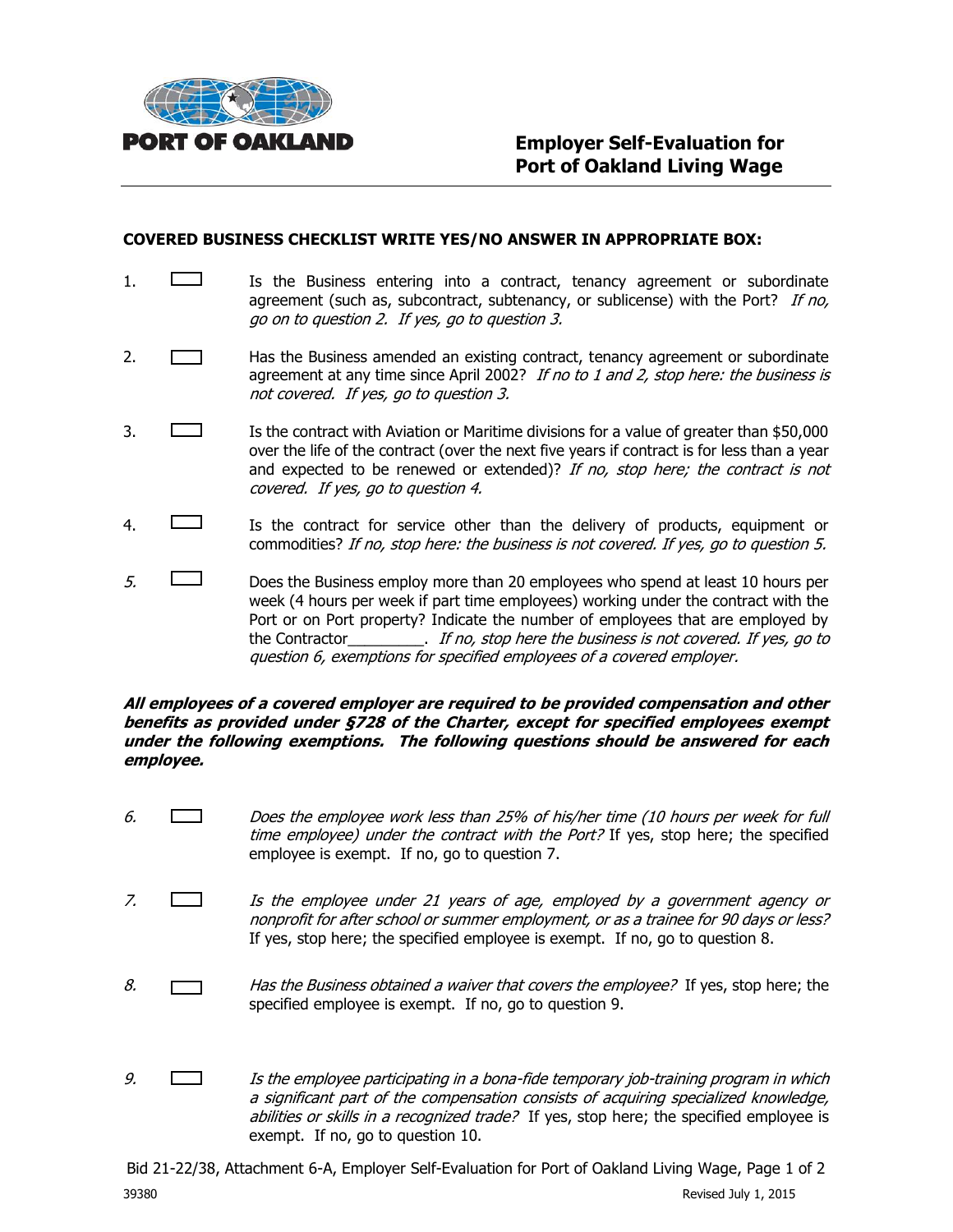

#### **COVERED BUSINESS CHECKLIST WRITE YES/NO ANSWER IN APPROPRIATE BOX:**

- 1.  $\Box$  Is the Business entering into a contract, tenancy agreement or subordinate agreement (such as, subcontract, subtenancy, or sublicense) with the Port? If no, go on to question 2. If yes, go to question 3.
- 2. **Has the Business amended an existing contract, tenancy agreement or subordinate** agreement at any time since April 2002? If no to 1 and 2, stop here: the business is not covered. If yes, go to question 3.
- 3. Is the contract with Aviation or Maritime divisions for a value of greater than \$50,000 over the life of the contract (over the next five years if contract is for less than a year and expected to be renewed or extended)? If no, stop here; the contract is not covered. If yes, go to question 4.
- 4. Is the contract for service other than the delivery of products, equipment or commodities? If no, stop here: the business is not covered. If yes, go to question 5.
- $5.$  Does the Business employ more than 20 employees who spend at least 10 hours per week (4 hours per week if part time employees) working under the contract with the Port or on Port property? Indicate the number of employees that are employed by the Contractor\_\_\_\_\_\_\_\_\_. If no, stop here the business is not covered. If yes, go to question 6, exemptions for specified employees of a covered employer.

#### **All employees of a covered employer are required to be provided compensation and other benefits as provided under §728 of the Charter, except for specified employees exempt under the following exemptions. The following questions should be answered for each employee.**

- 6. Does the employee work less than 25% of his/her time (10 hours per week for full time employee) under the contract with the Port? If yes, stop here; the specified employee is exempt. If no, go to question 7.
- 7. Is the employee under 21 years of age, employed by a government agency or nonprofit for after school or summer employment, or as a trainee for 90 days or less? If yes, stop here; the specified employee is exempt. If no, go to question 8.
- 8.  $\Box$  Has the Business obtained a waiver that covers the employee? If yes, stop here; the specified employee is exempt. If no, go to question 9.
- 9.  $\Box$  Is the employee participating in a bona-fide temporary job-training program in which a significant part of the compensation consists of acquiring specialized knowledge, abilities or skills in a recognized trade? If yes, stop here; the specified employee is exempt. If no, go to question 10.

Bid 21-22/38, Attachment 6-A, Employer Self-Evaluation for Port of Oakland Living Wage, Page 1 of 2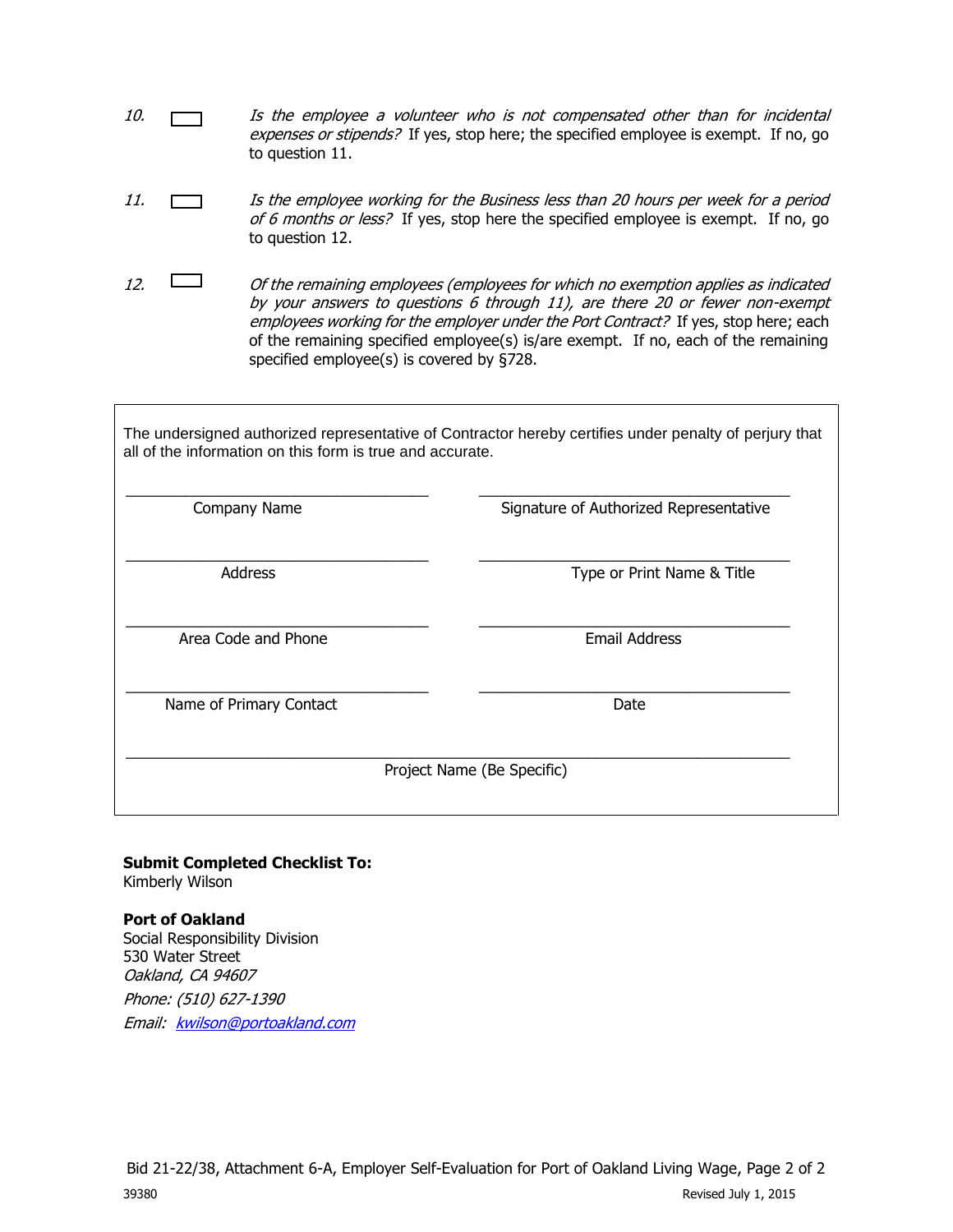- 10.  $\Box$  Is the employee a volunteer who is not compensated other than for incidental expenses or stipends? If yes, stop here; the specified employee is exempt. If no, go to question 11.
- 11. Is the employee working for the Business less than 20 hours per week for a period of 6 months or less? If yes, stop here the specified employee is exempt. If no, go to question 12.
- 12.  $\Box$  Of the remaining employees (employees for which no exemption applies as indicated by your answers to questions 6 through 11), are there 20 or fewer non-exempt employees working for the employer under the Port Contract? If yes, stop here; each of the remaining specified employee(s) is/are exempt. If no, each of the remaining specified employee(s) is covered by §728.

The undersigned authorized representative of Contractor hereby certifies under penalty of perjury that all of the information on this form is true and accurate.

| Company Name               | Signature of Authorized Representative |  |
|----------------------------|----------------------------------------|--|
| Address                    | Type or Print Name & Title             |  |
| Area Code and Phone        | <b>Email Address</b>                   |  |
| Name of Primary Contact    | Date                                   |  |
| Project Name (Be Specific) |                                        |  |

# **Submit Completed Checklist To:**

Kimberly Wilson

#### **Port of Oakland**

Social Responsibility Division 530 Water Street Oakland, CA 94607 Phone: (510) 627-1390 Email: [kwilson@portoakland.com](mailto:kwilson@portoakland.com)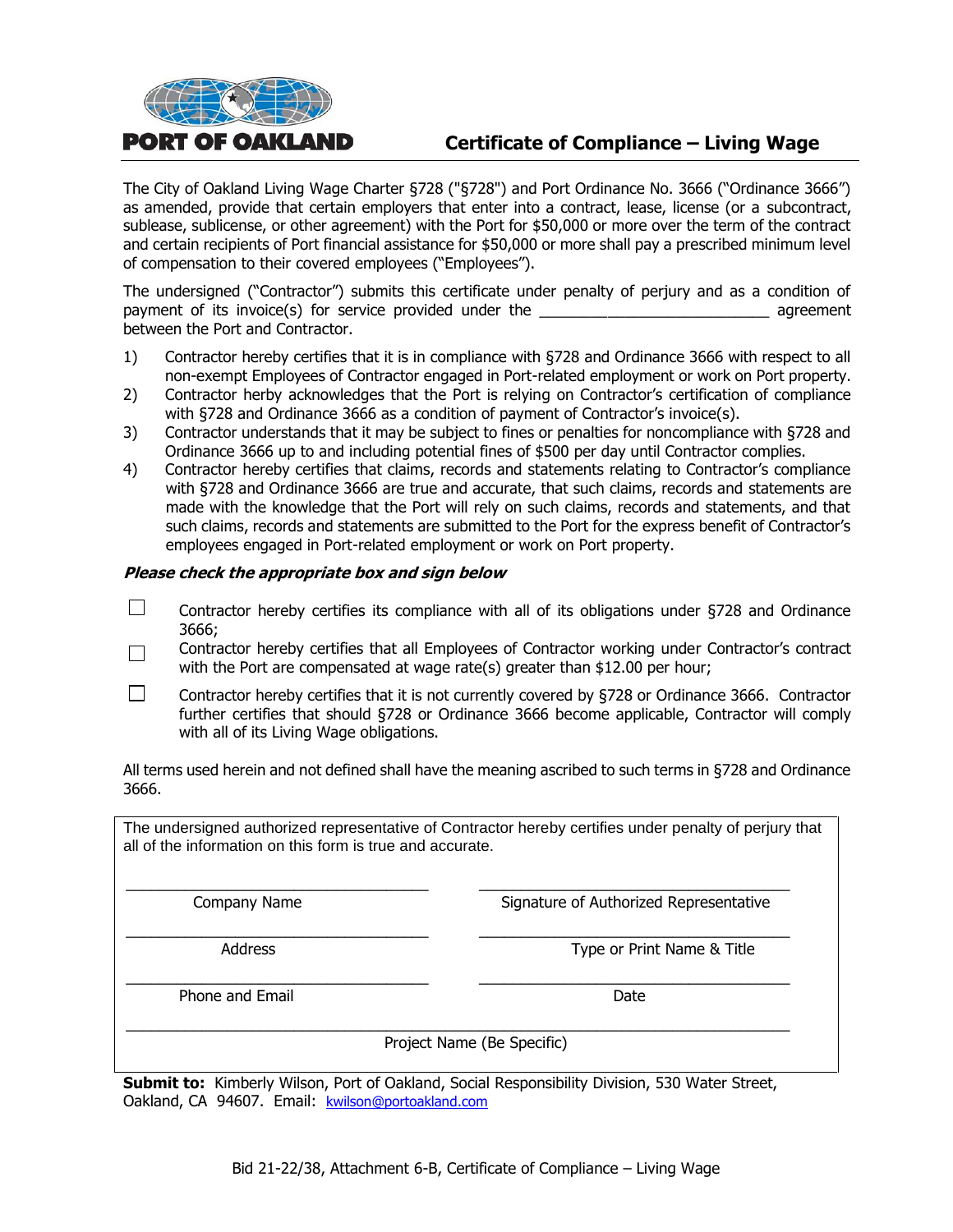

# **Certificate of Compliance – Living Wage**

The City of Oakland Living Wage Charter §728 ("§728") and Port Ordinance No. 3666 ("Ordinance 3666") as amended, provide that certain employers that enter into a contract, lease, license (or a subcontract, sublease, sublicense, or other agreement) with the Port for \$50,000 or more over the term of the contract and certain recipients of Port financial assistance for \$50,000 or more shall pay a prescribed minimum level of compensation to their covered employees ("Employees").

The undersigned ("Contractor") submits this certificate under penalty of perjury and as a condition of payment of its invoice(s) for service provided under the **Example 2** agreement between the Port and Contractor.

- 1) Contractor hereby certifies that it is in compliance with §728 and Ordinance 3666 with respect to all non-exempt Employees of Contractor engaged in Port-related employment or work on Port property.
- 2) Contractor herby acknowledges that the Port is relying on Contractor's certification of compliance with §728 and Ordinance 3666 as a condition of payment of Contractor's invoice(s).
- 3) Contractor understands that it may be subject to fines or penalties for noncompliance with §728 and Ordinance 3666 up to and including potential fines of \$500 per day until Contractor complies.
- 4) Contractor hereby certifies that claims, records and statements relating to Contractor's compliance with §728 and Ordinance 3666 are true and accurate, that such claims, records and statements are made with the knowledge that the Port will rely on such claims, records and statements, and that such claims, records and statements are submitted to the Port for the express benefit of Contractor's employees engaged in Port-related employment or work on Port property.

#### **Please check the appropriate box and sign below**

- П Contractor hereby certifies its compliance with all of its obligations under §728 and Ordinance 3666;
- Contractor hereby certifies that all Employees of Contractor working under Contractor's contract  $\Box$ with the Port are compensated at wage rate(s) greater than \$12.00 per hour;
- П Contractor hereby certifies that it is not currently covered by §728 or Ordinance 3666. Contractor further certifies that should §728 or Ordinance 3666 become applicable, Contractor will comply with all of its Living Wage obligations.

All terms used herein and not defined shall have the meaning ascribed to such terms in §728 and Ordinance 3666.

The undersigned authorized representative of Contractor hereby certifies under penalty of perjury that all of the information on this form is true and accurate.

\_\_\_\_\_\_\_\_\_\_\_\_\_\_\_\_\_\_\_\_\_\_\_\_\_\_\_\_\_\_\_\_\_\_\_\_ \_\_\_\_\_\_\_\_\_\_\_\_\_\_\_\_\_\_\_\_\_\_\_\_\_\_\_\_\_\_\_\_\_\_\_\_\_ Company Name **Signature of Authorized Representative** 

\_\_\_\_\_\_\_\_\_\_\_\_\_\_\_\_\_\_\_\_\_\_\_\_\_\_\_\_\_\_\_\_\_\_\_\_ \_\_\_\_\_\_\_\_\_\_\_\_\_\_\_\_\_\_\_\_\_\_\_\_\_\_\_\_\_\_\_\_\_\_\_\_\_ Address **Address** Type or Print Name & Title

Phone and Email Date and Email Date Date and Email Date Date Date Date Date

Project Name (Be Specific)

**Submit to:** Kimberly Wilson, Port of Oakland, Social Responsibility Division, 530 Water Street, Oakland, CA 94607. Email: [kwilson@portoakland.com](mailto:kwilson@portoakland.com)

\_\_\_\_\_\_\_\_\_\_\_\_\_\_\_\_\_\_\_\_\_\_\_\_\_\_\_\_\_\_\_\_\_\_\_\_ \_\_\_\_\_\_\_\_\_\_\_\_\_\_\_\_\_\_\_\_\_\_\_\_\_\_\_\_\_\_\_\_\_\_\_\_\_

\_\_\_\_\_\_\_\_\_\_\_\_\_\_\_\_\_\_\_\_\_\_\_\_\_\_\_\_\_\_\_\_\_\_\_\_\_\_\_\_\_\_\_\_\_\_\_\_\_\_\_\_\_\_\_\_\_\_\_\_\_\_\_\_\_\_\_\_\_\_\_\_\_\_\_\_\_\_\_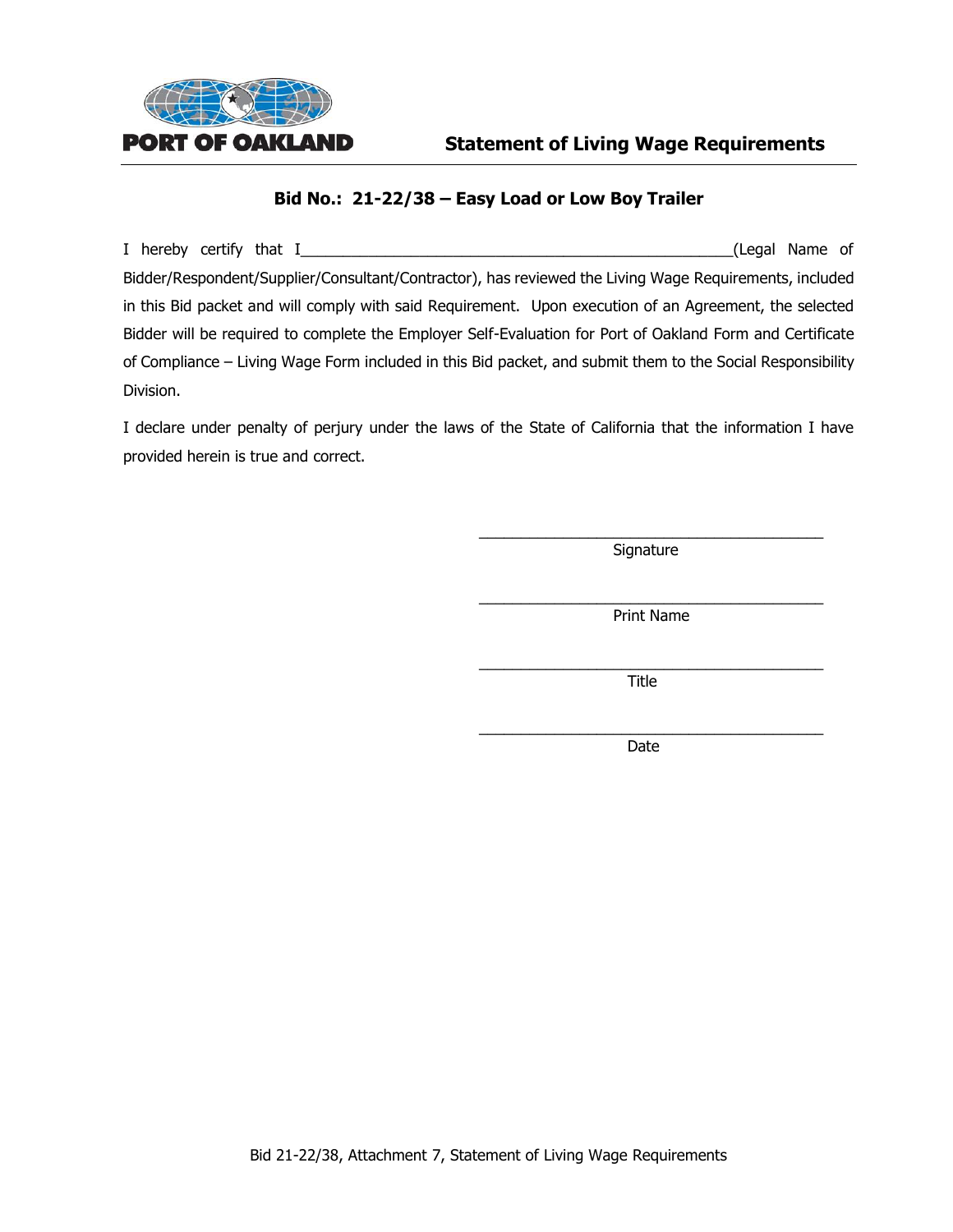

#### **Bid No.: 21-22/38 – Easy Load or Low Boy Trailer**

I hereby certify that I\_\_\_\_\_\_\_\_\_\_\_\_\_\_\_\_\_\_\_\_\_\_\_\_\_\_\_\_\_\_\_\_\_\_\_\_\_\_\_\_\_\_\_\_\_\_\_\_\_\_\_(Legal Name of Bidder/Respondent/Supplier/Consultant/Contractor), has reviewed the Living Wage Requirements, included in this Bid packet and will comply with said Requirement. Upon execution of an Agreement, the selected Bidder will be required to complete the Employer Self-Evaluation for Port of Oakland Form and Certificate of Compliance – Living Wage Form included in this Bid packet, and submit them to the Social Responsibility Division.

I declare under penalty of perjury under the laws of the State of California that the information I have provided herein is true and correct.

> \_\_\_\_\_\_\_\_\_\_\_\_\_\_\_\_\_\_\_\_\_\_\_\_\_\_\_\_\_\_\_\_\_\_\_\_\_\_\_\_\_ **Signature**

> \_\_\_\_\_\_\_\_\_\_\_\_\_\_\_\_\_\_\_\_\_\_\_\_\_\_\_\_\_\_\_\_\_\_\_\_\_\_\_\_\_ Print Name

> \_\_\_\_\_\_\_\_\_\_\_\_\_\_\_\_\_\_\_\_\_\_\_\_\_\_\_\_\_\_\_\_\_\_\_\_\_\_\_\_\_ Title

> \_\_\_\_\_\_\_\_\_\_\_\_\_\_\_\_\_\_\_\_\_\_\_\_\_\_\_\_\_\_\_\_\_\_\_\_\_\_\_\_\_ Date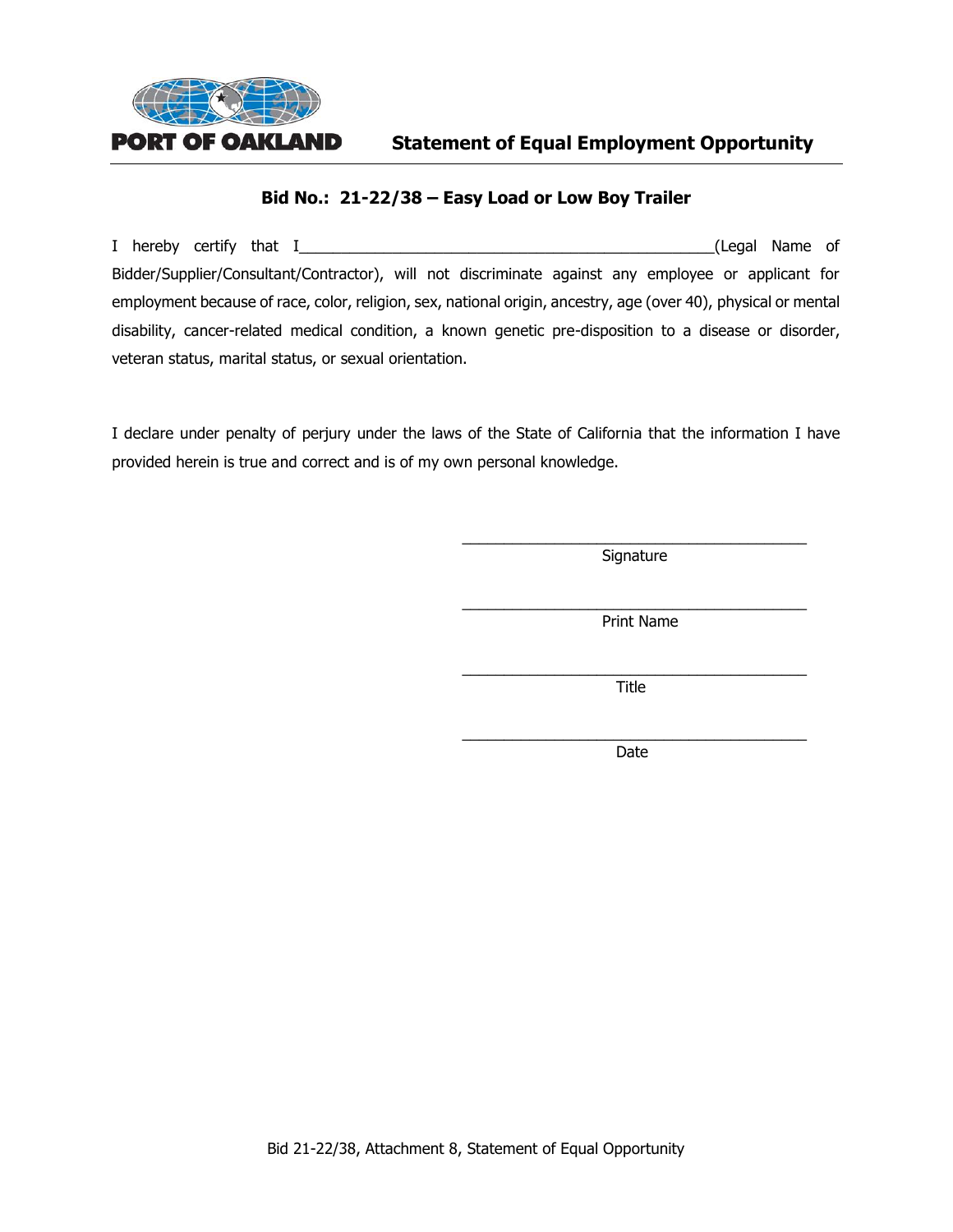

# **Bid No.: 21-22/38 – Easy Load or Low Boy Trailer**

I hereby certify that I\_\_\_\_\_\_\_\_\_\_\_\_\_\_\_\_\_\_\_\_\_\_\_\_\_\_\_\_\_\_\_\_\_\_\_\_\_\_\_\_\_\_\_\_\_\_\_\_\_(Legal Name of Bidder/Supplier/Consultant/Contractor), will not discriminate against any employee or applicant for employment because of race, color, religion, sex, national origin, ancestry, age (over 40), physical or mental disability, cancer-related medical condition, a known genetic pre-disposition to a disease or disorder, veteran status, marital status, or sexual orientation.

I declare under penalty of perjury under the laws of the State of California that the information I have provided herein is true and correct and is of my own personal knowledge.

> \_\_\_\_\_\_\_\_\_\_\_\_\_\_\_\_\_\_\_\_\_\_\_\_\_\_\_\_\_\_\_\_\_\_\_\_\_\_\_\_\_ **Signature**

> \_\_\_\_\_\_\_\_\_\_\_\_\_\_\_\_\_\_\_\_\_\_\_\_\_\_\_\_\_\_\_\_\_\_\_\_\_\_\_\_\_ Print Name

> \_\_\_\_\_\_\_\_\_\_\_\_\_\_\_\_\_\_\_\_\_\_\_\_\_\_\_\_\_\_\_\_\_\_\_\_\_\_\_\_\_ Title

> \_\_\_\_\_\_\_\_\_\_\_\_\_\_\_\_\_\_\_\_\_\_\_\_\_\_\_\_\_\_\_\_\_\_\_\_\_\_\_\_\_ Date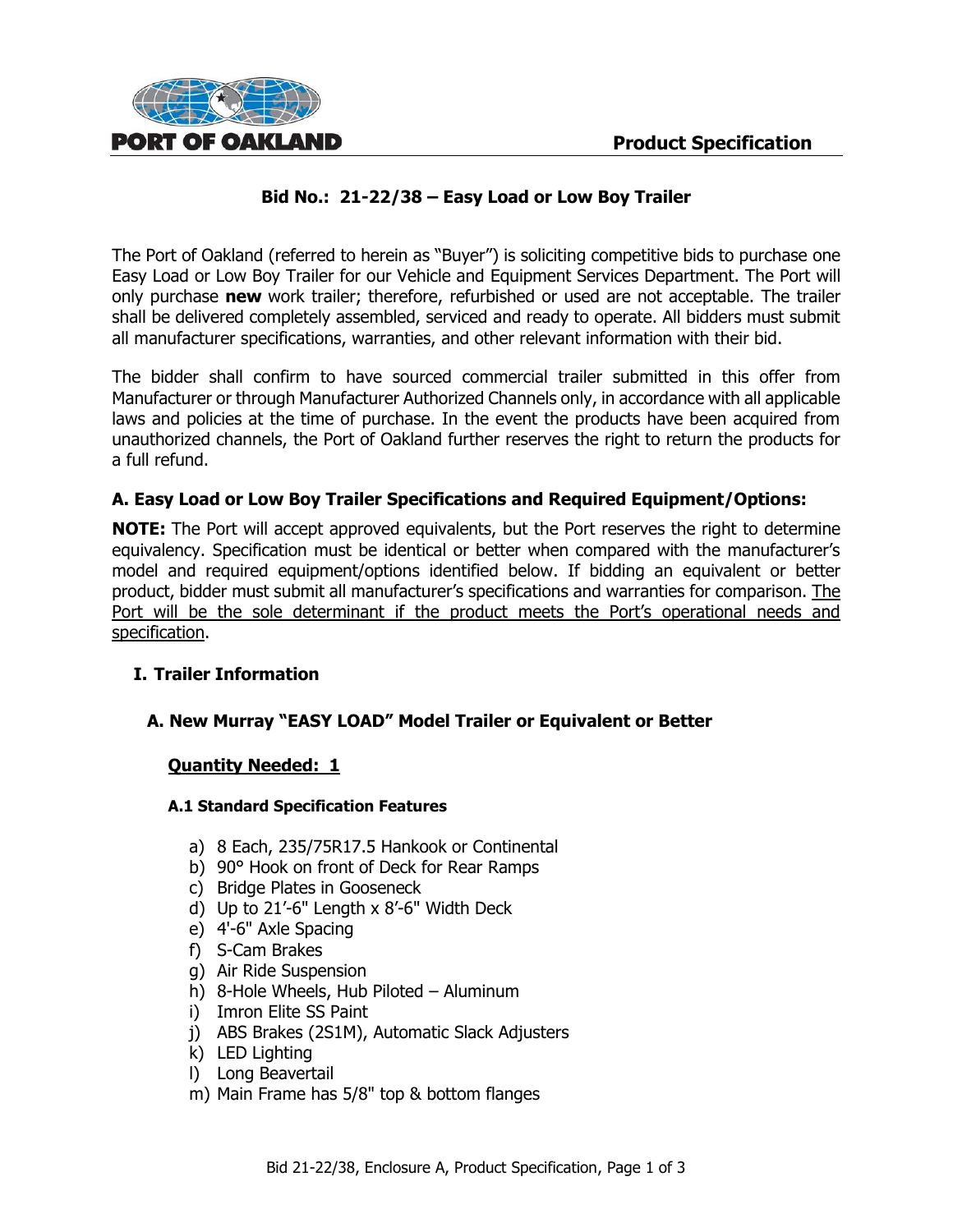

# **Bid No.: 21-22/38 – Easy Load or Low Boy Trailer**

The Port of Oakland (referred to herein as "Buyer") is soliciting competitive bids to purchase one Easy Load or Low Boy Trailer for our Vehicle and Equipment Services Department. The Port will only purchase **new** work trailer; therefore, refurbished or used are not acceptable. The trailer shall be delivered completely assembled, serviced and ready to operate. All bidders must submit all manufacturer specifications, warranties, and other relevant information with their bid.

The bidder shall confirm to have sourced commercial trailer submitted in this offer from Manufacturer or through Manufacturer Authorized Channels only, in accordance with all applicable laws and policies at the time of purchase. In the event the products have been acquired from unauthorized channels, the Port of Oakland further reserves the right to return the products for a full refund.

# **A. Easy Load or Low Boy Trailer Specifications and Required Equipment/Options:**

**NOTE:** The Port will accept approved equivalents, but the Port reserves the right to determine equivalency. Specification must be identical or better when compared with the manufacturer's model and required equipment/options identified below. If bidding an equivalent or better product, bidder must submit all manufacturer's specifications and warranties for comparison. The Port will be the sole determinant if the product meets the Port's operational needs and specification.

#### **I. Trailer Information**

# **A. New Murray "EASY LOAD" Model Trailer or Equivalent or Better**

#### **Quantity Needed: 1**

#### **A.1 Standard Specification Features**

- a) 8 Each, 235/75R17.5 Hankook or Continental
- b) 90° Hook on front of Deck for Rear Ramps
- c) Bridge Plates in Gooseneck
- d) Up to 21'-6" Length x 8'-6" Width Deck
- e) 4'-6" Axle Spacing
- f) S-Cam Brakes
- g) Air Ride Suspension
- h) 8-Hole Wheels, Hub Piloted Aluminum
- i) Imron Elite SS Paint
- j) ABS Brakes (2S1M), Automatic Slack Adjusters
- k) LED Lighting
- l) Long Beavertail
- m) Main Frame has 5/8" top & bottom flanges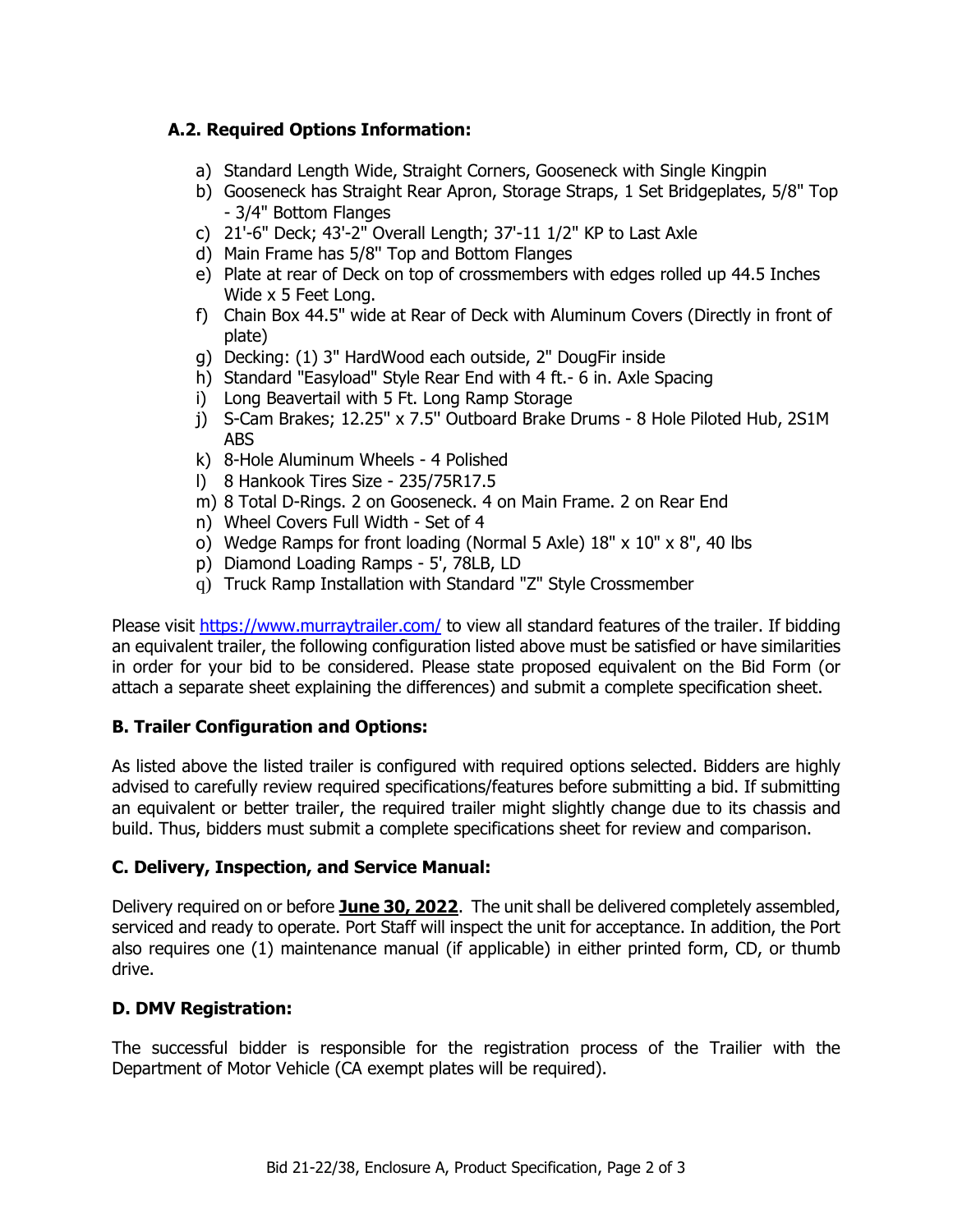# **A.2. Required Options Information:**

- a) Standard Length Wide, Straight Corners, Gooseneck with Single Kingpin
- b) Gooseneck has Straight Rear Apron, Storage Straps, 1 Set Bridgeplates, 5/8" Top - 3/4" Bottom Flanges
- c) 21'-6" Deck; 43'-2" Overall Length; 37'-11 1/2" KP to Last Axle
- d) Main Frame has 5/8'' Top and Bottom Flanges
- e) Plate at rear of Deck on top of crossmembers with edges rolled up 44.5 Inches Wide x 5 Feet Long.
- f) Chain Box 44.5" wide at Rear of Deck with Aluminum Covers (Directly in front of plate)
- g) Decking: (1) 3" HardWood each outside, 2" DougFir inside
- h) Standard "Easyload" Style Rear End with 4 ft.- 6 in. Axle Spacing
- i) Long Beavertail with 5 Ft. Long Ramp Storage
- j) S-Cam Brakes; 12.25'' x 7.5'' Outboard Brake Drums 8 Hole Piloted Hub, 2S1M ABS
- k) 8-Hole Aluminum Wheels 4 Polished
- l) 8 Hankook Tires Size 235/75R17.5
- m) 8 Total D-Rings. 2 on Gooseneck. 4 on Main Frame. 2 on Rear End
- n) Wheel Covers Full Width Set of 4
- o) Wedge Ramps for front loading (Normal 5 Axle) 18" x 10" x 8", 40 lbs
- p) Diamond Loading Ramps 5', 78LB, LD
- q) Truck Ramp Installation with Standard "Z" Style Crossmember

Please visit<https://www.murraytrailer.com/> to view all standard features of the trailer. If bidding an equivalent trailer, the following configuration listed above must be satisfied or have similarities in order for your bid to be considered. Please state proposed equivalent on the Bid Form (or attach a separate sheet explaining the differences) and submit a complete specification sheet.

# **B. Trailer Configuration and Options:**

As listed above the listed trailer is configured with required options selected. Bidders are highly advised to carefully review required specifications/features before submitting a bid. If submitting an equivalent or better trailer, the required trailer might slightly change due to its chassis and build. Thus, bidders must submit a complete specifications sheet for review and comparison.

#### **C. Delivery, Inspection, and Service Manual:**

Delivery required on or before **June 30, 2022**. The unit shall be delivered completely assembled, serviced and ready to operate. Port Staff will inspect the unit for acceptance. In addition, the Port also requires one (1) maintenance manual (if applicable) in either printed form, CD, or thumb drive.

# **D. DMV Registration:**

The successful bidder is responsible for the registration process of the Trailier with the Department of Motor Vehicle (CA exempt plates will be required).